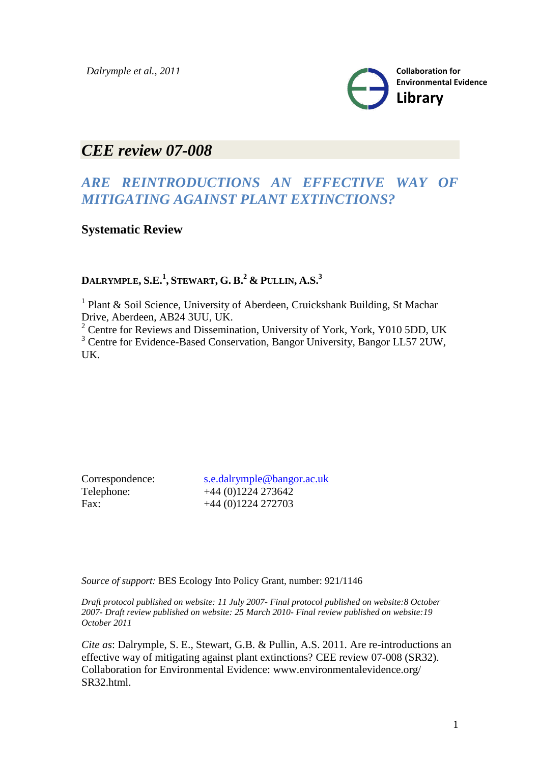

# *CEE review 07-008*

# *ARE REINTRODUCTIONS AN EFFECTIVE WAY OF MITIGATING AGAINST PLANT EXTINCTIONS?*

# **Systematic Review**

# **DALRYMPLE, S.E.<sup>1</sup> , STEWART, G. B.<sup>2</sup> & PULLIN, A.S.<sup>3</sup>**

<sup>1</sup> Plant & Soil Science, University of Aberdeen, Cruickshank Building, St Machar Drive, Aberdeen, AB24 3UU, UK.

<sup>2</sup> Centre for Reviews and Dissemination, University of York, York, Y010 5DD, UK <sup>3</sup> Centre for Evidence-Based Conservation, Bangor University, Bangor LL57 2UW, UK.

Correspondence: [s.e.dalrymple@bangor.ac.uk](mailto:s.e.dalrymple@bangor.ac.uk) Telephone: +44 (0)1224 273642 Fax: +44 (0)1224 272703

*Source of support:* BES Ecology Into Policy Grant, number: 921/1146

*Draft protocol published on website: 11 July 2007- Final protocol published on website:8 October 2007- Draft review published on website: 25 March 2010- Final review published on website:19 October 2011*

*Cite as*: Dalrymple, S. E., Stewart, G.B. & Pullin, A.S. 2011. Are re-introductions an effective way of mitigating against plant extinctions? CEE review 07-008 (SR32). Collaboration for Environmental Evidence: www.environmentalevidence.org/ SR32.html.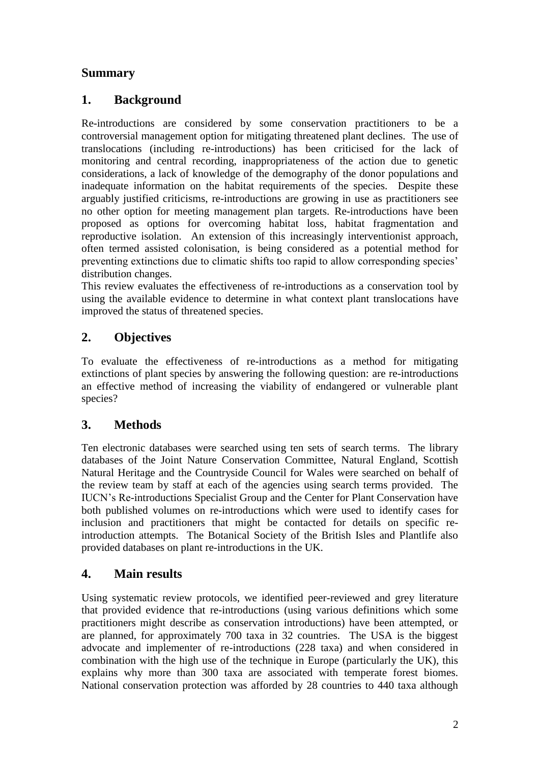# **Summary**

# **1. Background**

Re-introductions are considered by some conservation practitioners to be a controversial management option for mitigating threatened plant declines. The use of translocations (including re-introductions) has been criticised for the lack of monitoring and central recording, inappropriateness of the action due to genetic considerations, a lack of knowledge of the demography of the donor populations and inadequate information on the habitat requirements of the species. Despite these arguably justified criticisms, re-introductions are growing in use as practitioners see no other option for meeting management plan targets. Re-introductions have been proposed as options for overcoming habitat loss, habitat fragmentation and reproductive isolation. An extension of this increasingly interventionist approach, often termed assisted colonisation, is being considered as a potential method for preventing extinctions due to climatic shifts too rapid to allow corresponding species" distribution changes.

This review evaluates the effectiveness of re-introductions as a conservation tool by using the available evidence to determine in what context plant translocations have improved the status of threatened species.

# **2. Objectives**

To evaluate the effectiveness of re-introductions as a method for mitigating extinctions of plant species by answering the following question: are re-introductions an effective method of increasing the viability of endangered or vulnerable plant species?

# **3. Methods**

Ten electronic databases were searched using ten sets of search terms. The library databases of the Joint Nature Conservation Committee, Natural England, Scottish Natural Heritage and the Countryside Council for Wales were searched on behalf of the review team by staff at each of the agencies using search terms provided. The IUCN"s Re-introductions Specialist Group and the Center for Plant Conservation have both published volumes on re-introductions which were used to identify cases for inclusion and practitioners that might be contacted for details on specific reintroduction attempts. The Botanical Society of the British Isles and Plantlife also provided databases on plant re-introductions in the UK.

# **4. Main results**

Using systematic review protocols, we identified peer-reviewed and grey literature that provided evidence that re-introductions (using various definitions which some practitioners might describe as conservation introductions) have been attempted, or are planned, for approximately 700 taxa in 32 countries. The USA is the biggest advocate and implementer of re-introductions (228 taxa) and when considered in combination with the high use of the technique in Europe (particularly the UK), this explains why more than 300 taxa are associated with temperate forest biomes. National conservation protection was afforded by 28 countries to 440 taxa although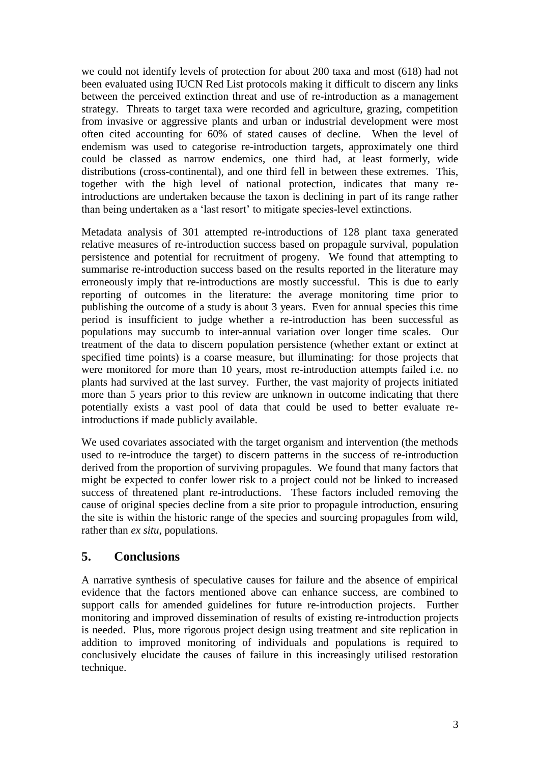we could not identify levels of protection for about 200 taxa and most (618) had not been evaluated using IUCN Red List protocols making it difficult to discern any links between the perceived extinction threat and use of re-introduction as a management strategy. Threats to target taxa were recorded and agriculture, grazing, competition from invasive or aggressive plants and urban or industrial development were most often cited accounting for 60% of stated causes of decline. When the level of endemism was used to categorise re-introduction targets, approximately one third could be classed as narrow endemics, one third had, at least formerly, wide distributions (cross-continental), and one third fell in between these extremes. This, together with the high level of national protection, indicates that many reintroductions are undertaken because the taxon is declining in part of its range rather than being undertaken as a "last resort" to mitigate species-level extinctions.

Metadata analysis of 301 attempted re-introductions of 128 plant taxa generated relative measures of re-introduction success based on propagule survival, population persistence and potential for recruitment of progeny. We found that attempting to summarise re-introduction success based on the results reported in the literature may erroneously imply that re-introductions are mostly successful. This is due to early reporting of outcomes in the literature: the average monitoring time prior to publishing the outcome of a study is about 3 years. Even for annual species this time period is insufficient to judge whether a re-introduction has been successful as populations may succumb to inter-annual variation over longer time scales. Our treatment of the data to discern population persistence (whether extant or extinct at specified time points) is a coarse measure, but illuminating: for those projects that were monitored for more than 10 years, most re-introduction attempts failed i.e. no plants had survived at the last survey. Further, the vast majority of projects initiated more than 5 years prior to this review are unknown in outcome indicating that there potentially exists a vast pool of data that could be used to better evaluate reintroductions if made publicly available.

We used covariates associated with the target organism and intervention (the methods used to re-introduce the target) to discern patterns in the success of re-introduction derived from the proportion of surviving propagules. We found that many factors that might be expected to confer lower risk to a project could not be linked to increased success of threatened plant re-introductions. These factors included removing the cause of original species decline from a site prior to propagule introduction, ensuring the site is within the historic range of the species and sourcing propagules from wild, rather than *ex situ*, populations.

# **5. Conclusions**

A narrative synthesis of speculative causes for failure and the absence of empirical evidence that the factors mentioned above can enhance success, are combined to support calls for amended guidelines for future re-introduction projects. Further monitoring and improved dissemination of results of existing re-introduction projects is needed. Plus, more rigorous project design using treatment and site replication in addition to improved monitoring of individuals and populations is required to conclusively elucidate the causes of failure in this increasingly utilised restoration technique.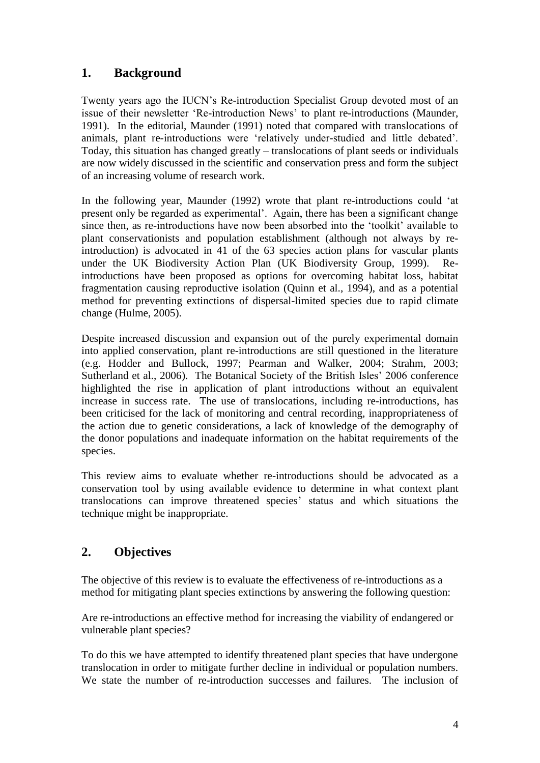# **1. Background**

Twenty years ago the IUCN"s Re-introduction Specialist Group devoted most of an issue of their newsletter "Re-introduction News" to plant re-introductions (Maunder, 1991). In the editorial, Maunder (1991) noted that compared with translocations of animals, plant re-introductions were "relatively under-studied and little debated". Today, this situation has changed greatly – translocations of plant seeds or individuals are now widely discussed in the scientific and conservation press and form the subject of an increasing volume of research work.

In the following year, Maunder (1992) wrote that plant re-introductions could "at present only be regarded as experimental". Again, there has been a significant change since then, as re-introductions have now been absorbed into the "toolkit" available to plant conservationists and population establishment (although not always by reintroduction) is advocated in 41 of the 63 species action plans for vascular plants under the UK Biodiversity Action Plan (UK Biodiversity Group, 1999). Reintroductions have been proposed as options for overcoming habitat loss, habitat fragmentation causing reproductive isolation (Quinn et al., 1994), and as a potential method for preventing extinctions of dispersal-limited species due to rapid climate change (Hulme, 2005).

Despite increased discussion and expansion out of the purely experimental domain into applied conservation, plant re-introductions are still questioned in the literature (e.g. Hodder and Bullock, 1997; Pearman and Walker, 2004; Strahm, 2003; Sutherland et al., 2006). The Botanical Society of the British Isles' 2006 conference highlighted the rise in application of plant introductions without an equivalent increase in success rate. The use of translocations, including re-introductions, has been criticised for the lack of monitoring and central recording, inappropriateness of the action due to genetic considerations, a lack of knowledge of the demography of the donor populations and inadequate information on the habitat requirements of the species.

This review aims to evaluate whether re-introductions should be advocated as a conservation tool by using available evidence to determine in what context plant translocations can improve threatened species" status and which situations the technique might be inappropriate.

# **2. Objectives**

The objective of this review is to evaluate the effectiveness of re-introductions as a method for mitigating plant species extinctions by answering the following question:

Are re-introductions an effective method for increasing the viability of endangered or vulnerable plant species?

To do this we have attempted to identify threatened plant species that have undergone translocation in order to mitigate further decline in individual or population numbers. We state the number of re-introduction successes and failures. The inclusion of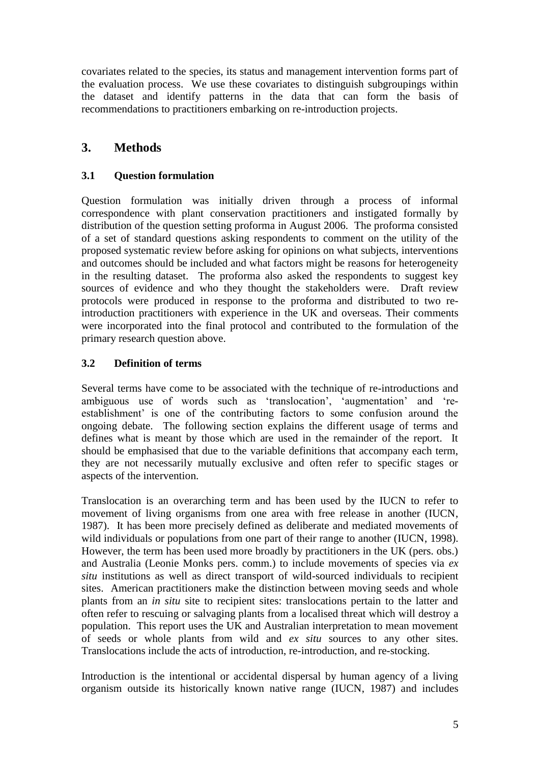covariates related to the species, its status and management intervention forms part of the evaluation process. We use these covariates to distinguish subgroupings within the dataset and identify patterns in the data that can form the basis of recommendations to practitioners embarking on re-introduction projects.

# **3. Methods**

## **3.1 Question formulation**

Question formulation was initially driven through a process of informal correspondence with plant conservation practitioners and instigated formally by distribution of the question setting proforma in August 2006. The proforma consisted of a set of standard questions asking respondents to comment on the utility of the proposed systematic review before asking for opinions on what subjects, interventions and outcomes should be included and what factors might be reasons for heterogeneity in the resulting dataset. The proforma also asked the respondents to suggest key sources of evidence and who they thought the stakeholders were. Draft review protocols were produced in response to the proforma and distributed to two reintroduction practitioners with experience in the UK and overseas. Their comments were incorporated into the final protocol and contributed to the formulation of the primary research question above.

### **3.2 Definition of terms**

Several terms have come to be associated with the technique of re-introductions and ambiguous use of words such as "translocation", "augmentation" and "reestablishment' is one of the contributing factors to some confusion around the ongoing debate. The following section explains the different usage of terms and defines what is meant by those which are used in the remainder of the report. It should be emphasised that due to the variable definitions that accompany each term, they are not necessarily mutually exclusive and often refer to specific stages or aspects of the intervention.

Translocation is an overarching term and has been used by the IUCN to refer to movement of living organisms from one area with free release in another (IUCN, 1987). It has been more precisely defined as deliberate and mediated movements of wild individuals or populations from one part of their range to another (IUCN, 1998). However, the term has been used more broadly by practitioners in the UK (pers. obs.) and Australia (Leonie Monks pers. comm.) to include movements of species via *ex situ* institutions as well as direct transport of wild-sourced individuals to recipient sites. American practitioners make the distinction between moving seeds and whole plants from an *in situ* site to recipient sites: translocations pertain to the latter and often refer to rescuing or salvaging plants from a localised threat which will destroy a population. This report uses the UK and Australian interpretation to mean movement of seeds or whole plants from wild and *ex situ* sources to any other sites. Translocations include the acts of introduction, re-introduction, and re-stocking.

Introduction is the intentional or accidental dispersal by human agency of a living organism outside its historically known native range (IUCN, 1987) and includes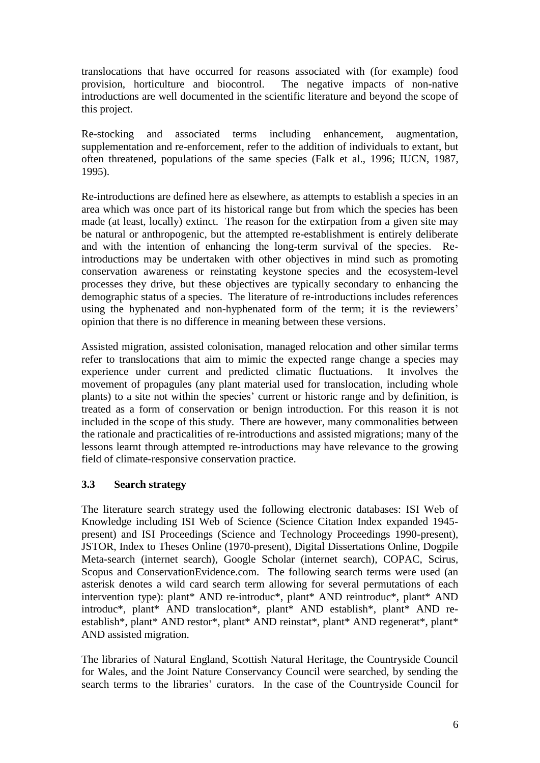translocations that have occurred for reasons associated with (for example) food provision, horticulture and biocontrol. The negative impacts of non-native introductions are well documented in the scientific literature and beyond the scope of this project.

Re-stocking and associated terms including enhancement, augmentation, supplementation and re-enforcement, refer to the addition of individuals to extant, but often threatened, populations of the same species (Falk et al., 1996; IUCN, 1987, 1995).

Re-introductions are defined here as elsewhere, as attempts to establish a species in an area which was once part of its historical range but from which the species has been made (at least, locally) extinct. The reason for the extirpation from a given site may be natural or anthropogenic, but the attempted re-establishment is entirely deliberate and with the intention of enhancing the long-term survival of the species. Reintroductions may be undertaken with other objectives in mind such as promoting conservation awareness or reinstating keystone species and the ecosystem-level processes they drive, but these objectives are typically secondary to enhancing the demographic status of a species. The literature of re-introductions includes references using the hyphenated and non-hyphenated form of the term; it is the reviewers' opinion that there is no difference in meaning between these versions.

Assisted migration, assisted colonisation, managed relocation and other similar terms refer to translocations that aim to mimic the expected range change a species may experience under current and predicted climatic fluctuations. It involves the movement of propagules (any plant material used for translocation, including whole plants) to a site not within the species' current or historic range and by definition, is treated as a form of conservation or benign introduction. For this reason it is not included in the scope of this study. There are however, many commonalities between the rationale and practicalities of re-introductions and assisted migrations; many of the lessons learnt through attempted re-introductions may have relevance to the growing field of climate-responsive conservation practice.

### **3.3 Search strategy**

The literature search strategy used the following electronic databases: ISI Web of Knowledge including ISI Web of Science (Science Citation Index expanded 1945 present) and ISI Proceedings (Science and Technology Proceedings 1990-present), JSTOR, Index to Theses Online (1970-present), Digital Dissertations Online, Dogpile Meta-search (internet search), Google Scholar (internet search), COPAC, Scirus, Scopus and ConservationEvidence.com. The following search terms were used (an asterisk denotes a wild card search term allowing for several permutations of each intervention type): plant\* AND re-introduc\*, plant\* AND reintroduc\*, plant\* AND introduc\*, plant\* AND translocation\*, plant\* AND establish\*, plant\* AND reestablish\*, plant\* AND restor\*, plant\* AND reinstat\*, plant\* AND regenerat\*, plant\* AND assisted migration.

The libraries of Natural England, Scottish Natural Heritage, the Countryside Council for Wales, and the Joint Nature Conservancy Council were searched, by sending the search terms to the libraries' curators. In the case of the Countryside Council for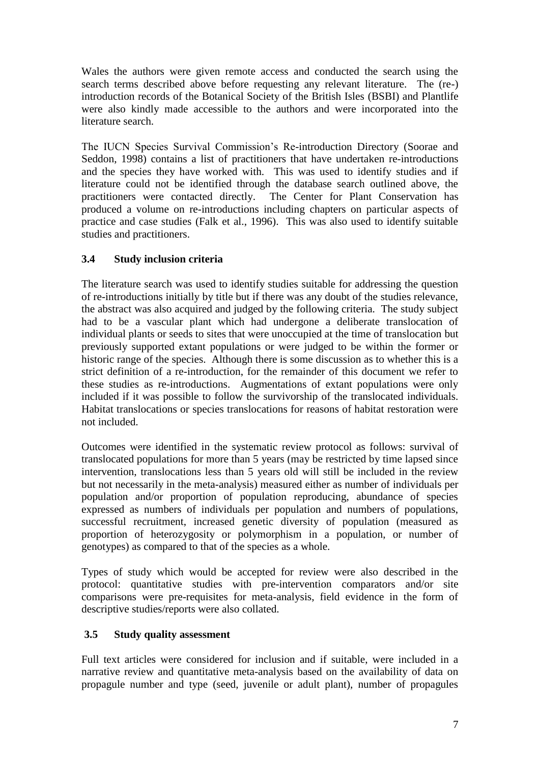Wales the authors were given remote access and conducted the search using the search terms described above before requesting any relevant literature. The (re-) introduction records of the Botanical Society of the British Isles (BSBI) and Plantlife were also kindly made accessible to the authors and were incorporated into the literature search.

The IUCN Species Survival Commission"s Re-introduction Directory (Soorae and Seddon, 1998) contains a list of practitioners that have undertaken re-introductions and the species they have worked with. This was used to identify studies and if literature could not be identified through the database search outlined above, the practitioners were contacted directly. The Center for Plant Conservation has produced a volume on re-introductions including chapters on particular aspects of practice and case studies (Falk et al., 1996). This was also used to identify suitable studies and practitioners.

# **3.4 Study inclusion criteria**

The literature search was used to identify studies suitable for addressing the question of re-introductions initially by title but if there was any doubt of the studies relevance, the abstract was also acquired and judged by the following criteria. The study subject had to be a vascular plant which had undergone a deliberate translocation of individual plants or seeds to sites that were unoccupied at the time of translocation but previously supported extant populations or were judged to be within the former or historic range of the species. Although there is some discussion as to whether this is a strict definition of a re-introduction, for the remainder of this document we refer to these studies as re-introductions. Augmentations of extant populations were only included if it was possible to follow the survivorship of the translocated individuals. Habitat translocations or species translocations for reasons of habitat restoration were not included.

Outcomes were identified in the systematic review protocol as follows: survival of translocated populations for more than 5 years (may be restricted by time lapsed since intervention, translocations less than 5 years old will still be included in the review but not necessarily in the meta-analysis) measured either as number of individuals per population and/or proportion of population reproducing, abundance of species expressed as numbers of individuals per population and numbers of populations, successful recruitment, increased genetic diversity of population (measured as proportion of heterozygosity or polymorphism in a population, or number of genotypes) as compared to that of the species as a whole.

Types of study which would be accepted for review were also described in the protocol: quantitative studies with pre-intervention comparators and/or site comparisons were pre-requisites for meta-analysis, field evidence in the form of descriptive studies/reports were also collated.

# **3.5 Study quality assessment**

Full text articles were considered for inclusion and if suitable, were included in a narrative review and quantitative meta-analysis based on the availability of data on propagule number and type (seed, juvenile or adult plant), number of propagules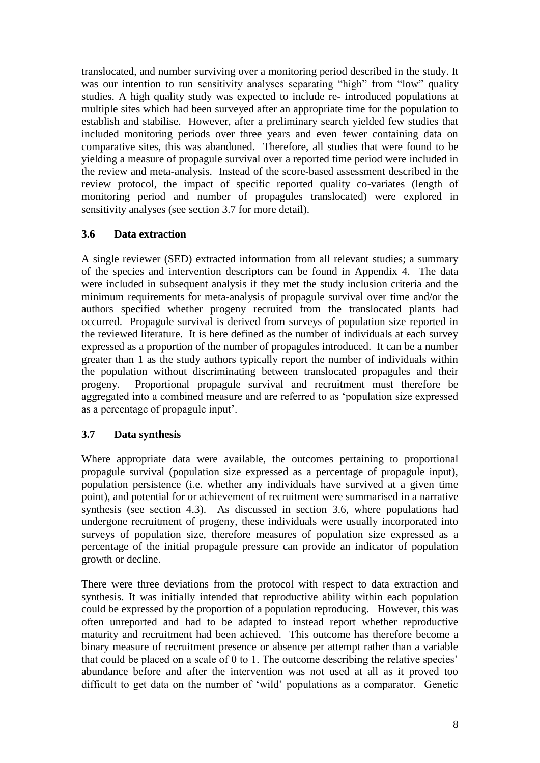translocated, and number surviving over a monitoring period described in the study. It was our intention to run sensitivity analyses separating "high" from "low" quality studies. A high quality study was expected to include re- introduced populations at multiple sites which had been surveyed after an appropriate time for the population to establish and stabilise. However, after a preliminary search yielded few studies that included monitoring periods over three years and even fewer containing data on comparative sites, this was abandoned. Therefore, all studies that were found to be yielding a measure of propagule survival over a reported time period were included in the review and meta-analysis. Instead of the score-based assessment described in the review protocol, the impact of specific reported quality co-variates (length of monitoring period and number of propagules translocated) were explored in sensitivity analyses (see section 3.7 for more detail).

### **3.6 Data extraction**

A single reviewer (SED) extracted information from all relevant studies; a summary of the species and intervention descriptors can be found in Appendix 4. The data were included in subsequent analysis if they met the study inclusion criteria and the minimum requirements for meta-analysis of propagule survival over time and/or the authors specified whether progeny recruited from the translocated plants had occurred. Propagule survival is derived from surveys of population size reported in the reviewed literature. It is here defined as the number of individuals at each survey expressed as a proportion of the number of propagules introduced. It can be a number greater than 1 as the study authors typically report the number of individuals within the population without discriminating between translocated propagules and their progeny. Proportional propagule survival and recruitment must therefore be aggregated into a combined measure and are referred to as "population size expressed as a percentage of propagule input".

### **3.7 Data synthesis**

Where appropriate data were available, the outcomes pertaining to proportional propagule survival (population size expressed as a percentage of propagule input), population persistence (i.e. whether any individuals have survived at a given time point), and potential for or achievement of recruitment were summarised in a narrative synthesis (see section 4.3). As discussed in section 3.6, where populations had undergone recruitment of progeny, these individuals were usually incorporated into surveys of population size, therefore measures of population size expressed as a percentage of the initial propagule pressure can provide an indicator of population growth or decline.

There were three deviations from the protocol with respect to data extraction and synthesis. It was initially intended that reproductive ability within each population could be expressed by the proportion of a population reproducing. However, this was often unreported and had to be adapted to instead report whether reproductive maturity and recruitment had been achieved. This outcome has therefore become a binary measure of recruitment presence or absence per attempt rather than a variable that could be placed on a scale of 0 to 1. The outcome describing the relative species" abundance before and after the intervention was not used at all as it proved too difficult to get data on the number of "wild" populations as a comparator. Genetic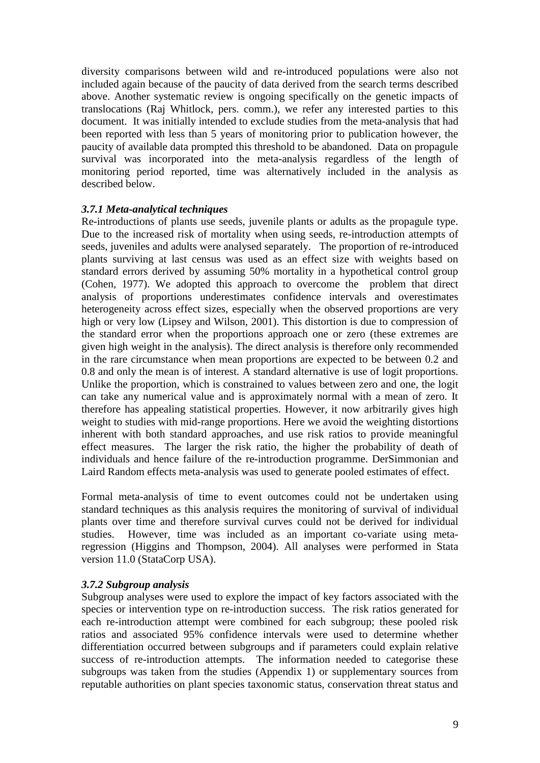diversity comparisons between wild and re-introduced populations were also not included again because of the paucity of data derived from the search terms described above. Another systematic review is ongoing specifically on the genetic impacts of translocations (Raj Whitlock, pers. comm.), we refer any interested parties to this document. It was initially intended to exclude studies from the meta-analysis that had been reported with less than 5 years of monitoring prior to publication however, the paucity of available data prompted this threshold to be abandoned. Data on propagule survival was incorporated into the meta-analysis regardless of the length of monitoring period reported, time was alternatively included in the analysis as described below.

#### *3.7.1 Meta-analytical techniques*

Re-introductions of plants use seeds, juvenile plants or adults as the propagule type. Due to the increased risk of mortality when using seeds, re-introduction attempts of seeds, juveniles and adults were analysed separately. The proportion of re-introduced plants surviving at last census was used as an effect size with weights based on standard errors derived by assuming 50% mortality in a hypothetical control group (Cohen, 1977). We adopted this approach to overcome the problem that direct analysis of proportions underestimates confidence intervals and overestimates heterogeneity across effect sizes, especially when the observed proportions are very high or very low (Lipsey and Wilson, 2001). This distortion is due to compression of the standard error when the proportions approach one or zero (these extremes are given high weight in the analysis). The direct analysis is therefore only recommended in the rare circumstance when mean proportions are expected to be between 0.2 and 0.8 and only the mean is of interest. A standard alternative is use of logit proportions. Unlike the proportion, which is constrained to values between zero and one, the logit can take any numerical value and is approximately normal with a mean of zero. It therefore has appealing statistical properties. However, it now arbitrarily gives high weight to studies with mid-range proportions. Here we avoid the weighting distortions inherent with both standard approaches, and use risk ratios to provide meaningful effect measures. The larger the risk ratio, the higher the probability of death of individuals and hence failure of the re-introduction programme. DerSimmonian and Laird Random effects meta-analysis was used to generate pooled estimates of effect.

Formal meta-analysis of time to event outcomes could not be undertaken using standard techniques as this analysis requires the monitoring of survival of individual plants over time and therefore survival curves could not be derived for individual studies. However, time was included as an important co-variate using metaregression (Higgins and Thompson, 2004). All analyses were performed in Stata version 11.0 (StataCorp USA).

#### *3.7.2 Subgroup analysis*

Subgroup analyses were used to explore the impact of key factors associated with the species or intervention type on re-introduction success. The risk ratios generated for each re-introduction attempt were combined for each subgroup; these pooled risk ratios and associated 95% confidence intervals were used to determine whether differentiation occurred between subgroups and if parameters could explain relative success of re-introduction attempts. The information needed to categorise these subgroups was taken from the studies (Appendix 1) or supplementary sources from reputable authorities on plant species taxonomic status, conservation threat status and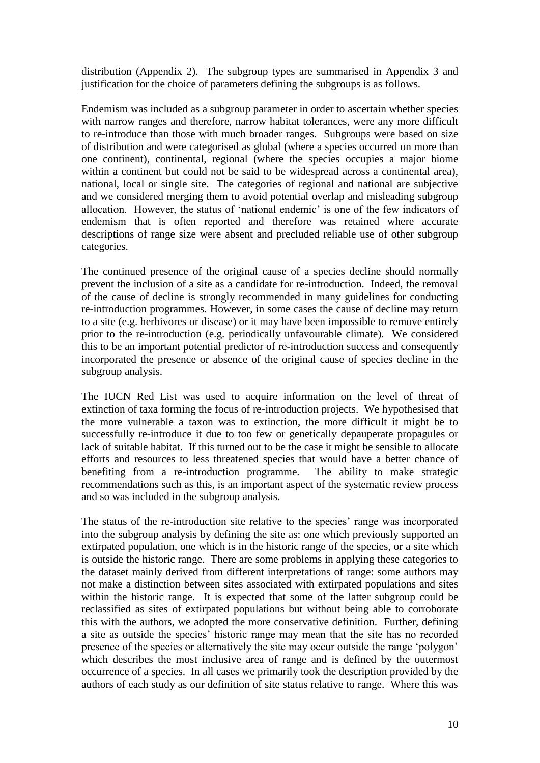distribution (Appendix 2). The subgroup types are summarised in Appendix 3 and justification for the choice of parameters defining the subgroups is as follows.

Endemism was included as a subgroup parameter in order to ascertain whether species with narrow ranges and therefore, narrow habitat tolerances, were any more difficult to re-introduce than those with much broader ranges. Subgroups were based on size of distribution and were categorised as global (where a species occurred on more than one continent), continental, regional (where the species occupies a major biome within a continent but could not be said to be widespread across a continental area), national, local or single site. The categories of regional and national are subjective and we considered merging them to avoid potential overlap and misleading subgroup allocation. However, the status of "national endemic" is one of the few indicators of endemism that is often reported and therefore was retained where accurate descriptions of range size were absent and precluded reliable use of other subgroup categories.

The continued presence of the original cause of a species decline should normally prevent the inclusion of a site as a candidate for re-introduction. Indeed, the removal of the cause of decline is strongly recommended in many guidelines for conducting re-introduction programmes. However, in some cases the cause of decline may return to a site (e.g. herbivores or disease) or it may have been impossible to remove entirely prior to the re-introduction (e.g. periodically unfavourable climate). We considered this to be an important potential predictor of re-introduction success and consequently incorporated the presence or absence of the original cause of species decline in the subgroup analysis.

The IUCN Red List was used to acquire information on the level of threat of extinction of taxa forming the focus of re-introduction projects. We hypothesised that the more vulnerable a taxon was to extinction, the more difficult it might be to successfully re-introduce it due to too few or genetically depauperate propagules or lack of suitable habitat. If this turned out to be the case it might be sensible to allocate efforts and resources to less threatened species that would have a better chance of benefiting from a re-introduction programme. The ability to make strategic recommendations such as this, is an important aspect of the systematic review process and so was included in the subgroup analysis.

The status of the re-introduction site relative to the species' range was incorporated into the subgroup analysis by defining the site as: one which previously supported an extirpated population, one which is in the historic range of the species, or a site which is outside the historic range. There are some problems in applying these categories to the dataset mainly derived from different interpretations of range: some authors may not make a distinction between sites associated with extirpated populations and sites within the historic range. It is expected that some of the latter subgroup could be reclassified as sites of extirpated populations but without being able to corroborate this with the authors, we adopted the more conservative definition. Further, defining a site as outside the species" historic range may mean that the site has no recorded presence of the species or alternatively the site may occur outside the range "polygon" which describes the most inclusive area of range and is defined by the outermost occurrence of a species. In all cases we primarily took the description provided by the authors of each study as our definition of site status relative to range. Where this was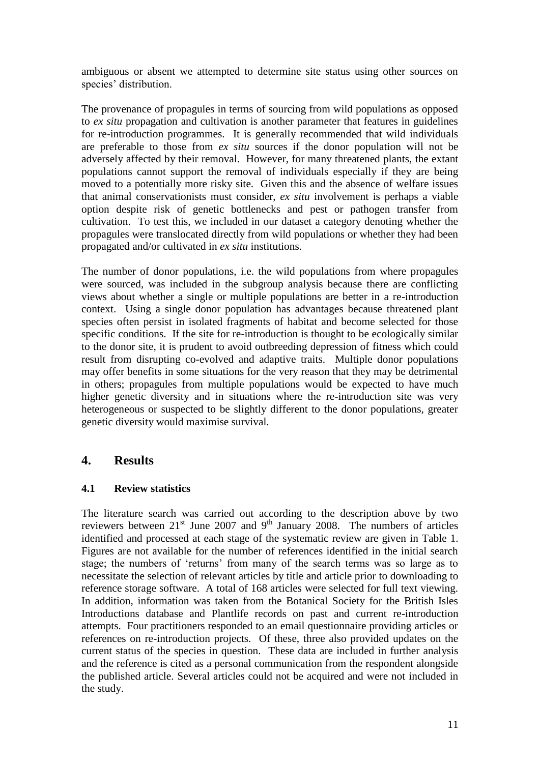ambiguous or absent we attempted to determine site status using other sources on species' distribution.

The provenance of propagules in terms of sourcing from wild populations as opposed to *ex situ* propagation and cultivation is another parameter that features in guidelines for re-introduction programmes. It is generally recommended that wild individuals are preferable to those from *ex situ* sources if the donor population will not be adversely affected by their removal. However, for many threatened plants, the extant populations cannot support the removal of individuals especially if they are being moved to a potentially more risky site. Given this and the absence of welfare issues that animal conservationists must consider, *ex situ* involvement is perhaps a viable option despite risk of genetic bottlenecks and pest or pathogen transfer from cultivation. To test this, we included in our dataset a category denoting whether the propagules were translocated directly from wild populations or whether they had been propagated and/or cultivated in *ex situ* institutions.

The number of donor populations, i.e. the wild populations from where propagules were sourced, was included in the subgroup analysis because there are conflicting views about whether a single or multiple populations are better in a re-introduction context. Using a single donor population has advantages because threatened plant species often persist in isolated fragments of habitat and become selected for those specific conditions. If the site for re-introduction is thought to be ecologically similar to the donor site, it is prudent to avoid outbreeding depression of fitness which could result from disrupting co-evolved and adaptive traits. Multiple donor populations may offer benefits in some situations for the very reason that they may be detrimental in others; propagules from multiple populations would be expected to have much higher genetic diversity and in situations where the re-introduction site was very heterogeneous or suspected to be slightly different to the donor populations, greater genetic diversity would maximise survival.

# **4. Results**

### **4.1 Review statistics**

The literature search was carried out according to the description above by two reviewers between 21st June 2007 and 9th January 2008. The numbers of articles identified and processed at each stage of the systematic review are given in Table 1. Figures are not available for the number of references identified in the initial search stage; the numbers of "returns" from many of the search terms was so large as to necessitate the selection of relevant articles by title and article prior to downloading to reference storage software. A total of 168 articles were selected for full text viewing. In addition, information was taken from the Botanical Society for the British Isles Introductions database and Plantlife records on past and current re-introduction attempts. Four practitioners responded to an email questionnaire providing articles or references on re-introduction projects. Of these, three also provided updates on the current status of the species in question. These data are included in further analysis and the reference is cited as a personal communication from the respondent alongside the published article. Several articles could not be acquired and were not included in the study.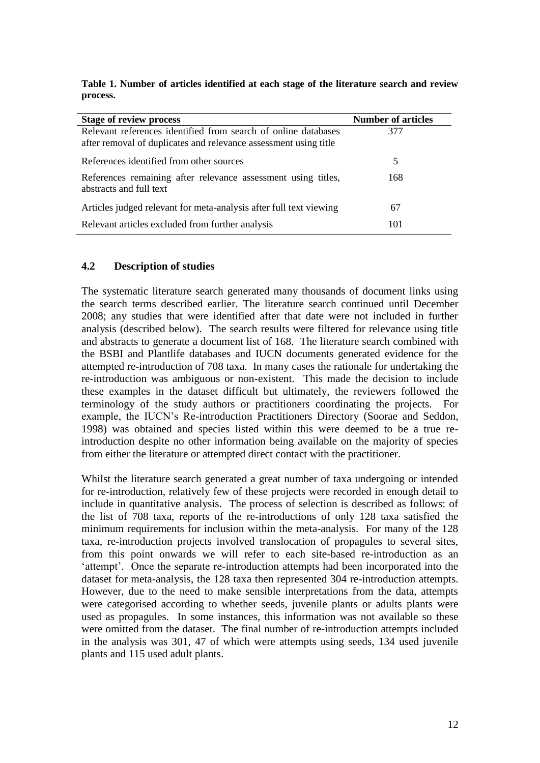|          |  |  |  |  | Table 1. Number of articles identified at each stage of the literature search and review |  |  |
|----------|--|--|--|--|------------------------------------------------------------------------------------------|--|--|
| process. |  |  |  |  |                                                                                          |  |  |

| <b>Stage of review process</b>                                                                                                     | <b>Number of articles</b> |
|------------------------------------------------------------------------------------------------------------------------------------|---------------------------|
| Relevant references identified from search of online databases<br>after removal of duplicates and relevance assessment using title | 377                       |
| References identified from other sources                                                                                           | 5                         |
| References remaining after relevance assessment using titles,<br>abstracts and full text                                           | 168                       |
| Articles judged relevant for meta-analysis after full text viewing                                                                 | 67                        |
| Relevant articles excluded from further analysis                                                                                   | 101                       |

#### **4.2 Description of studies**

The systematic literature search generated many thousands of document links using the search terms described earlier. The literature search continued until December 2008; any studies that were identified after that date were not included in further analysis (described below). The search results were filtered for relevance using title and abstracts to generate a document list of 168. The literature search combined with the BSBI and Plantlife databases and IUCN documents generated evidence for the attempted re-introduction of 708 taxa. In many cases the rationale for undertaking the re-introduction was ambiguous or non-existent. This made the decision to include these examples in the dataset difficult but ultimately, the reviewers followed the terminology of the study authors or practitioners coordinating the projects. For example, the IUCN"s Re-introduction Practitioners Directory (Soorae and Seddon, 1998) was obtained and species listed within this were deemed to be a true reintroduction despite no other information being available on the majority of species from either the literature or attempted direct contact with the practitioner.

Whilst the literature search generated a great number of taxa undergoing or intended for re-introduction, relatively few of these projects were recorded in enough detail to include in quantitative analysis. The process of selection is described as follows: of the list of 708 taxa, reports of the re-introductions of only 128 taxa satisfied the minimum requirements for inclusion within the meta-analysis. For many of the 128 taxa, re-introduction projects involved translocation of propagules to several sites, from this point onwards we will refer to each site-based re-introduction as an "attempt". Once the separate re-introduction attempts had been incorporated into the dataset for meta-analysis, the 128 taxa then represented 304 re-introduction attempts. However, due to the need to make sensible interpretations from the data, attempts were categorised according to whether seeds, juvenile plants or adults plants were used as propagules. In some instances, this information was not available so these were omitted from the dataset. The final number of re-introduction attempts included in the analysis was 301, 47 of which were attempts using seeds, 134 used juvenile plants and 115 used adult plants.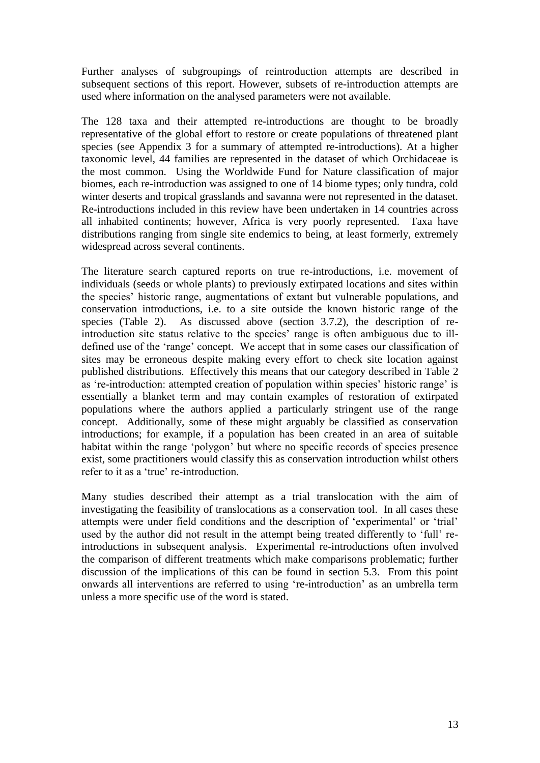Further analyses of subgroupings of reintroduction attempts are described in subsequent sections of this report. However, subsets of re-introduction attempts are used where information on the analysed parameters were not available.

The 128 taxa and their attempted re-introductions are thought to be broadly representative of the global effort to restore or create populations of threatened plant species (see Appendix 3 for a summary of attempted re-introductions). At a higher taxonomic level, 44 families are represented in the dataset of which Orchidaceae is the most common. Using the Worldwide Fund for Nature classification of major biomes, each re-introduction was assigned to one of 14 biome types; only tundra, cold winter deserts and tropical grasslands and savanna were not represented in the dataset. Re-introductions included in this review have been undertaken in 14 countries across all inhabited continents; however, Africa is very poorly represented. Taxa have distributions ranging from single site endemics to being, at least formerly, extremely widespread across several continents.

The literature search captured reports on true re-introductions, i.e. movement of individuals (seeds or whole plants) to previously extirpated locations and sites within the species" historic range, augmentations of extant but vulnerable populations, and conservation introductions, i.e. to a site outside the known historic range of the species (Table 2). As discussed above (section 3.7.2), the description of reintroduction site status relative to the species' range is often ambiguous due to illdefined use of the "range" concept. We accept that in some cases our classification of sites may be erroneous despite making every effort to check site location against published distributions. Effectively this means that our category described in Table 2 as 're-introduction: attempted creation of population within species' historic range' is essentially a blanket term and may contain examples of restoration of extirpated populations where the authors applied a particularly stringent use of the range concept. Additionally, some of these might arguably be classified as conservation introductions; for example, if a population has been created in an area of suitable habitat within the range 'polygon' but where no specific records of species presence exist, some practitioners would classify this as conservation introduction whilst others refer to it as a 'true' re-introduction.

Many studies described their attempt as a trial translocation with the aim of investigating the feasibility of translocations as a conservation tool. In all cases these attempts were under field conditions and the description of "experimental" or "trial" used by the author did not result in the attempt being treated differently to "full" reintroductions in subsequent analysis. Experimental re-introductions often involved the comparison of different treatments which make comparisons problematic; further discussion of the implications of this can be found in section 5.3. From this point onwards all interventions are referred to using "re-introduction" as an umbrella term unless a more specific use of the word is stated.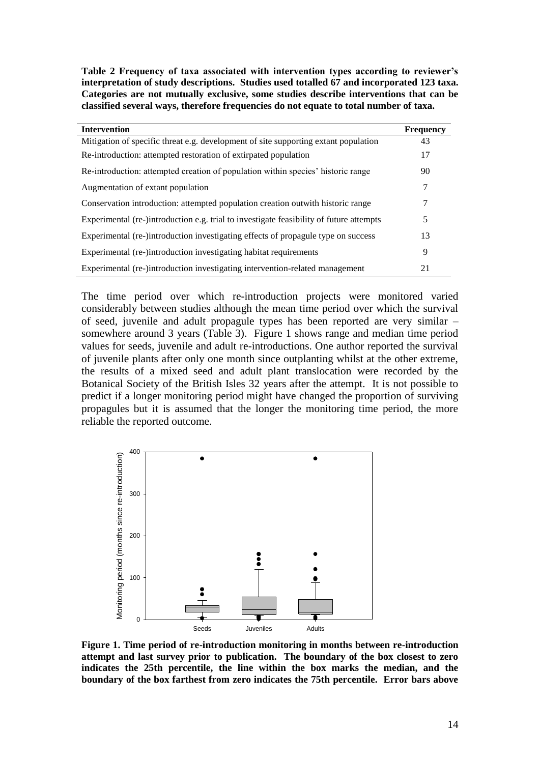**Table 2 Frequency of taxa associated with intervention types according to reviewer's interpretation of study descriptions. Studies used totalled 67 and incorporated 123 taxa. Categories are not mutually exclusive, some studies describe interventions that can be classified several ways, therefore frequencies do not equate to total number of taxa.**

| <b>Intervention</b>                                                                     | <b>Frequency</b> |
|-----------------------------------------------------------------------------------------|------------------|
| Mitigation of specific threat e.g. development of site supporting extant population     | 43               |
| Re-introduction: attempted restoration of extirpated population                         | 17               |
| Re-introduction: attempted creation of population within species' historic range        | 90               |
| Augmentation of extant population                                                       | 7                |
| Conservation introduction: attempted population creation outwith historic range         | 7                |
| Experimental (re-)introduction e.g. trial to investigate feasibility of future attempts | 5                |
| Experimental (re-)introduction investigating effects of propagule type on success       | 13               |
| Experimental (re-)introduction investigating habitat requirements                       | 9                |
| Experimental (re-)introduction investigating intervention-related management            | 21               |

The time period over which re-introduction projects were monitored varied considerably between studies although the mean time period over which the survival of seed, juvenile and adult propagule types has been reported are very similar – somewhere around 3 years (Table 3). Figure 1 shows range and median time period values for seeds, juvenile and adult re-introductions. One author reported the survival of juvenile plants after only one month since outplanting whilst at the other extreme, the results of a mixed seed and adult plant translocation were recorded by the Botanical Society of the British Isles 32 years after the attempt. It is not possible to predict if a longer monitoring period might have changed the proportion of surviving propagules but it is assumed that the longer the monitoring time period, the more reliable the reported outcome.



**Figure 1. Time period of re-introduction monitoring in months between re-introduction attempt and last survey prior to publication. The boundary of the box closest to zero indicates the 25th percentile, the line within the box marks the median, and the boundary of the box farthest from zero indicates the 75th percentile. Error bars above**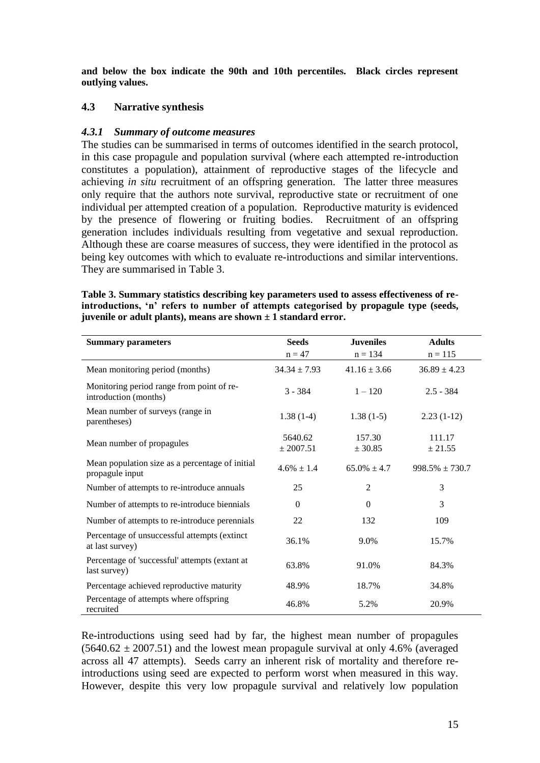**and below the box indicate the 90th and 10th percentiles. Black circles represent outlying values.**

#### **4.3 Narrative synthesis**

#### *4.3.1 Summary of outcome measures*

The studies can be summarised in terms of outcomes identified in the search protocol, in this case propagule and population survival (where each attempted re-introduction constitutes a population), attainment of reproductive stages of the lifecycle and achieving *in situ* recruitment of an offspring generation. The latter three measures only require that the authors note survival, reproductive state or recruitment of one individual per attempted creation of a population. Reproductive maturity is evidenced by the presence of flowering or fruiting bodies. Recruitment of an offspring generation includes individuals resulting from vegetative and sexual reproduction. Although these are coarse measures of success, they were identified in the protocol as being key outcomes with which to evaluate re-introductions and similar interventions. They are summarised in Table 3.

| Table 3. Summary statistics describing key parameters used to assess effectiveness of re- |
|-------------------------------------------------------------------------------------------|
| introductions, 'n' refers to number of attempts categorised by propagule type (seeds,     |
| juvenile or adult plants), means are shown $\pm$ 1 standard error.                        |

| <b>Summary parameters</b>                                          | <b>Seeds</b>         | <b>Juveniles</b>  | <b>Adults</b>       |
|--------------------------------------------------------------------|----------------------|-------------------|---------------------|
|                                                                    | $n = 47$             | $n = 134$         | $n = 115$           |
| Mean monitoring period (months)                                    | $34.34 \pm 7.93$     | $41.16 \pm 3.66$  | $36.89 \pm 4.23$    |
| Monitoring period range from point of re-<br>introduction (months) | $3 - 384$            | $1 - 120$         | $2.5 - 384$         |
| Mean number of surveys (range in<br>parentheses)                   | $1.38(1-4)$          | $1.38(1-5)$       | $2.23(1-12)$        |
| Mean number of propagules                                          | 5640.62<br>± 2007.51 | 157.30<br>± 30.85 | 111.17<br>± 21.55   |
| Mean population size as a percentage of initial<br>propagule input | $4.6\% \pm 1.4$      | $65.0\% \pm 4.7$  | $998.5\% \pm 730.7$ |
| Number of attempts to re-introduce annuals                         | 25                   | $\overline{2}$    | 3                   |
| Number of attempts to re-introduce biennials                       | $\theta$             | $\Omega$          | 3                   |
| Number of attempts to re-introduce perennials                      | 22                   | 132               | 109                 |
| Percentage of unsuccessful attempts (extinct<br>at last survey)    | 36.1%                | 9.0%              | 15.7%               |
| Percentage of 'successful' attempts (extant at<br>last survey)     | 63.8%                | 91.0%             | 84.3%               |
| Percentage achieved reproductive maturity                          | 48.9%                | 18.7%             | 34.8%               |
| Percentage of attempts where offspring<br>recruited                | 46.8%                | 5.2%              | 20.9%               |

Re-introductions using seed had by far, the highest mean number of propagules  $(5640.62 \pm 2007.51)$  and the lowest mean propagule survival at only 4.6% (averaged across all 47 attempts). Seeds carry an inherent risk of mortality and therefore reintroductions using seed are expected to perform worst when measured in this way. However, despite this very low propagule survival and relatively low population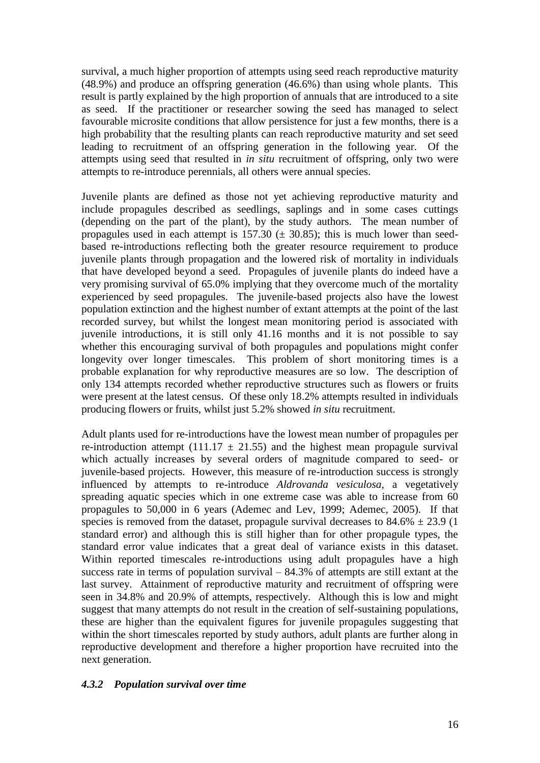survival, a much higher proportion of attempts using seed reach reproductive maturity (48.9%) and produce an offspring generation (46.6%) than using whole plants. This result is partly explained by the high proportion of annuals that are introduced to a site as seed. If the practitioner or researcher sowing the seed has managed to select favourable microsite conditions that allow persistence for just a few months, there is a high probability that the resulting plants can reach reproductive maturity and set seed leading to recruitment of an offspring generation in the following year. Of the attempts using seed that resulted in *in situ* recruitment of offspring, only two were attempts to re-introduce perennials, all others were annual species.

Juvenile plants are defined as those not yet achieving reproductive maturity and include propagules described as seedlings, saplings and in some cases cuttings (depending on the part of the plant), by the study authors. The mean number of propagules used in each attempt is 157.30  $(\pm 30.85)$ ; this is much lower than seedbased re-introductions reflecting both the greater resource requirement to produce juvenile plants through propagation and the lowered risk of mortality in individuals that have developed beyond a seed. Propagules of juvenile plants do indeed have a very promising survival of 65.0% implying that they overcome much of the mortality experienced by seed propagules. The juvenile-based projects also have the lowest population extinction and the highest number of extant attempts at the point of the last recorded survey, but whilst the longest mean monitoring period is associated with juvenile introductions, it is still only 41.16 months and it is not possible to say whether this encouraging survival of both propagules and populations might confer longevity over longer timescales. This problem of short monitoring times is a probable explanation for why reproductive measures are so low. The description of only 134 attempts recorded whether reproductive structures such as flowers or fruits were present at the latest census. Of these only 18.2% attempts resulted in individuals producing flowers or fruits, whilst just 5.2% showed *in situ* recruitment.

Adult plants used for re-introductions have the lowest mean number of propagules per re-introduction attempt (111.17  $\pm$  21.55) and the highest mean propagule survival which actually increases by several orders of magnitude compared to seed- or juvenile-based projects. However, this measure of re-introduction success is strongly influenced by attempts to re-introduce *Aldrovanda vesiculosa*, a vegetatively spreading aquatic species which in one extreme case was able to increase from 60 propagules to 50,000 in 6 years (Ademec and Lev, 1999; Ademec, 2005). If that species is removed from the dataset, propagule survival decreases to  $84.6\% \pm 23.9$  (1) standard error) and although this is still higher than for other propagule types, the standard error value indicates that a great deal of variance exists in this dataset. Within reported timescales re-introductions using adult propagules have a high success rate in terms of population survival  $-84.3\%$  of attempts are still extant at the last survey. Attainment of reproductive maturity and recruitment of offspring were seen in 34.8% and 20.9% of attempts, respectively. Although this is low and might suggest that many attempts do not result in the creation of self-sustaining populations, these are higher than the equivalent figures for juvenile propagules suggesting that within the short timescales reported by study authors, adult plants are further along in reproductive development and therefore a higher proportion have recruited into the next generation.

### *4.3.2 Population survival over time*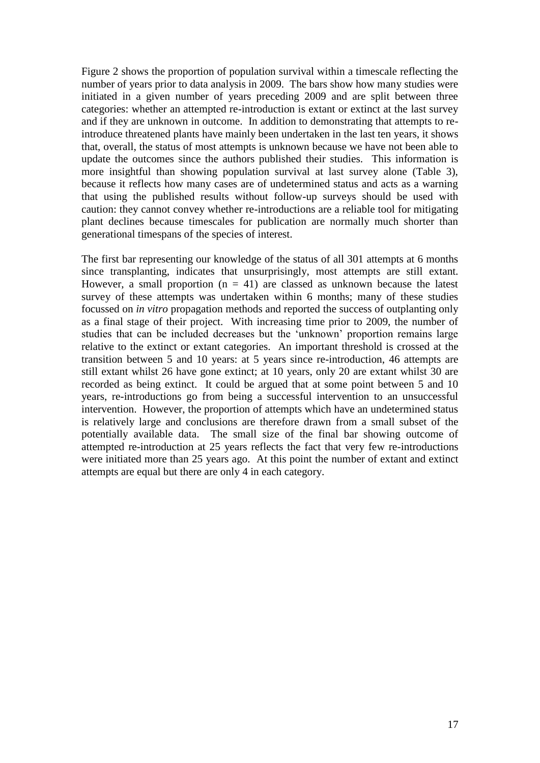Figure 2 shows the proportion of population survival within a timescale reflecting the number of years prior to data analysis in 2009. The bars show how many studies were initiated in a given number of years preceding 2009 and are split between three categories: whether an attempted re-introduction is extant or extinct at the last survey and if they are unknown in outcome. In addition to demonstrating that attempts to reintroduce threatened plants have mainly been undertaken in the last ten years, it shows that, overall, the status of most attempts is unknown because we have not been able to update the outcomes since the authors published their studies. This information is more insightful than showing population survival at last survey alone (Table 3), because it reflects how many cases are of undetermined status and acts as a warning that using the published results without follow-up surveys should be used with caution: they cannot convey whether re-introductions are a reliable tool for mitigating plant declines because timescales for publication are normally much shorter than generational timespans of the species of interest.

The first bar representing our knowledge of the status of all 301 attempts at 6 months since transplanting, indicates that unsurprisingly, most attempts are still extant. However, a small proportion ( $n = 41$ ) are classed as unknown because the latest survey of these attempts was undertaken within 6 months; many of these studies focussed on *in vitro* propagation methods and reported the success of outplanting only as a final stage of their project. With increasing time prior to 2009, the number of studies that can be included decreases but the "unknown" proportion remains large relative to the extinct or extant categories. An important threshold is crossed at the transition between 5 and 10 years: at 5 years since re-introduction, 46 attempts are still extant whilst 26 have gone extinct; at 10 years, only 20 are extant whilst 30 are recorded as being extinct. It could be argued that at some point between 5 and 10 years, re-introductions go from being a successful intervention to an unsuccessful intervention. However, the proportion of attempts which have an undetermined status is relatively large and conclusions are therefore drawn from a small subset of the potentially available data. The small size of the final bar showing outcome of attempted re-introduction at 25 years reflects the fact that very few re-introductions were initiated more than 25 years ago. At this point the number of extant and extinct attempts are equal but there are only 4 in each category.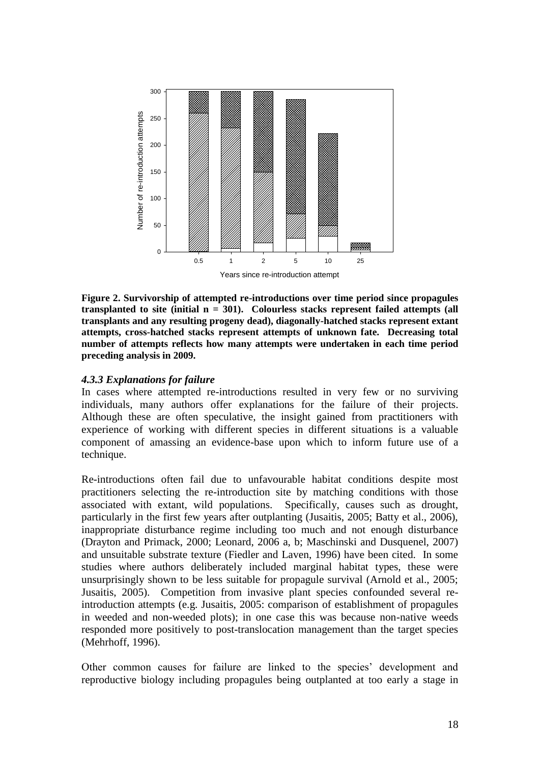

**Figure 2. Survivorship of attempted re-introductions over time period since propagules transplanted to site (initial n = 301). Colourless stacks represent failed attempts (all transplants and any resulting progeny dead), diagonally-hatched stacks represent extant attempts, cross-hatched stacks represent attempts of unknown fate. Decreasing total number of attempts reflects how many attempts were undertaken in each time period preceding analysis in 2009.**

#### *4.3.3 Explanations for failure*

In cases where attempted re-introductions resulted in very few or no surviving individuals, many authors offer explanations for the failure of their projects. Although these are often speculative, the insight gained from practitioners with experience of working with different species in different situations is a valuable component of amassing an evidence-base upon which to inform future use of a technique.

Re-introductions often fail due to unfavourable habitat conditions despite most practitioners selecting the re-introduction site by matching conditions with those associated with extant, wild populations. Specifically, causes such as drought, particularly in the first few years after outplanting (Jusaitis, 2005; Batty et al., 2006), inappropriate disturbance regime including too much and not enough disturbance (Drayton and Primack, 2000; Leonard, 2006 a, b; Maschinski and Dusquenel, 2007) and unsuitable substrate texture (Fiedler and Laven, 1996) have been cited. In some studies where authors deliberately included marginal habitat types, these were unsurprisingly shown to be less suitable for propagule survival (Arnold et al., 2005; Jusaitis, 2005). Competition from invasive plant species confounded several reintroduction attempts (e.g. Jusaitis, 2005: comparison of establishment of propagules in weeded and non-weeded plots); in one case this was because non-native weeds responded more positively to post-translocation management than the target species (Mehrhoff, 1996).

Other common causes for failure are linked to the species' development and reproductive biology including propagules being outplanted at too early a stage in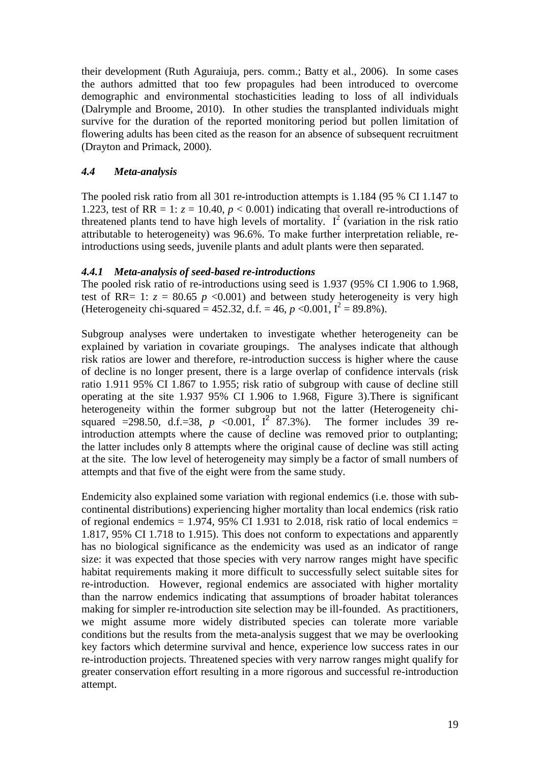their development (Ruth Aguraiuja, pers. comm.; Batty et al., 2006). In some cases the authors admitted that too few propagules had been introduced to overcome demographic and environmental stochasticities leading to loss of all individuals (Dalrymple and Broome, 2010). In other studies the transplanted individuals might survive for the duration of the reported monitoring period but pollen limitation of flowering adults has been cited as the reason for an absence of subsequent recruitment (Drayton and Primack, 2000).

## *4.4 Meta-analysis*

The pooled risk ratio from all 301 re-introduction attempts is 1.184 (95 % CI 1.147 to 1.223, test of RR = 1:  $z = 10.40$ ,  $p < 0.001$ ) indicating that overall re-introductions of threatened plants tend to have high levels of mortality.  $I^2$  (variation in the risk ratio attributable to heterogeneity) was 96.6%. To make further interpretation reliable, reintroductions using seeds, juvenile plants and adult plants were then separated.

### *4.4.1 Meta-analysis of seed-based re-introductions*

The pooled risk ratio of re-introductions using seed is 1.937 (95% CI 1.906 to 1.968, test of RR= 1:  $z = 80.65$  *p* <0.001) and between study heterogeneity is very high (Heterogeneity chi-squared = 452.32, d.f. = 46,  $p < 0.001$ ,  $I^2 = 89.8\%$ ).

Subgroup analyses were undertaken to investigate whether heterogeneity can be explained by variation in covariate groupings. The analyses indicate that although risk ratios are lower and therefore, re-introduction success is higher where the cause of decline is no longer present, there is a large overlap of confidence intervals (risk ratio 1.911 95% CI 1.867 to 1.955; risk ratio of subgroup with cause of decline still operating at the site 1.937 95% CI 1.906 to 1.968, Figure 3).There is significant heterogeneity within the former subgroup but not the latter (Heterogeneity chisquared =298.50, d.f.=38,  $p \le 0.001$ ,  $I^2$  87.3%). The former includes 39 reintroduction attempts where the cause of decline was removed prior to outplanting; the latter includes only 8 attempts where the original cause of decline was still acting at the site. The low level of heterogeneity may simply be a factor of small numbers of attempts and that five of the eight were from the same study.

Endemicity also explained some variation with regional endemics (i.e. those with subcontinental distributions) experiencing higher mortality than local endemics (risk ratio of regional endemics  $= 1.974$ , 95% CI 1.931 to 2.018, risk ratio of local endemics  $=$ 1.817, 95% CI 1.718 to 1.915). This does not conform to expectations and apparently has no biological significance as the endemicity was used as an indicator of range size: it was expected that those species with very narrow ranges might have specific habitat requirements making it more difficult to successfully select suitable sites for re-introduction. However, regional endemics are associated with higher mortality than the narrow endemics indicating that assumptions of broader habitat tolerances making for simpler re-introduction site selection may be ill-founded. As practitioners, we might assume more widely distributed species can tolerate more variable conditions but the results from the meta-analysis suggest that we may be overlooking key factors which determine survival and hence, experience low success rates in our re-introduction projects. Threatened species with very narrow ranges might qualify for greater conservation effort resulting in a more rigorous and successful re-introduction attempt.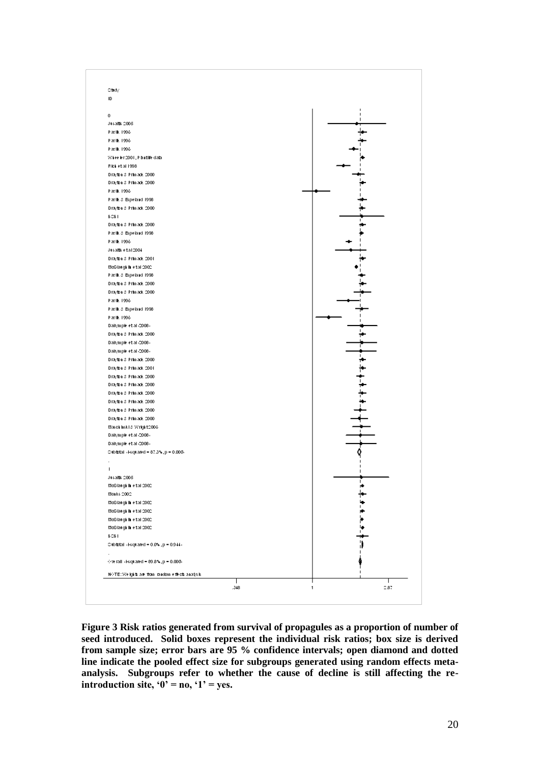

**Figure 3 Risk ratios generated from survival of propagules as a proportion of number of seed introduced. Solid boxes represent the individual risk ratios; box size is derived from sample size; error bars are 95 % confidence intervals; open diamond and dotted line indicate the pooled effect size for subgroups generated using random effects metaanalysis. Subgroups refer to whether the cause of decline is still affecting the reintroduction site, '0' = no, '1' = yes.**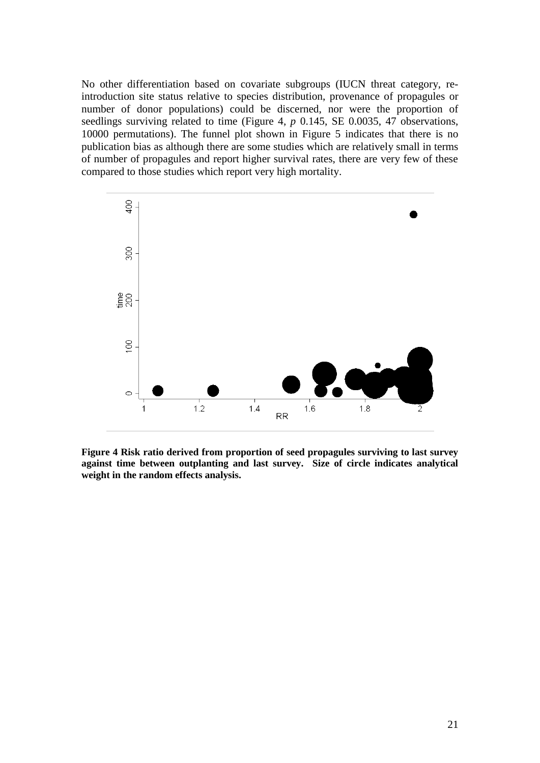No other differentiation based on covariate subgroups (IUCN threat category, reintroduction site status relative to species distribution, provenance of propagules or number of donor populations) could be discerned, nor were the proportion of seedlings surviving related to time (Figure 4, *p* 0.145, SE 0.0035, 47 observations, 10000 permutations). The funnel plot shown in Figure 5 indicates that there is no publication bias as although there are some studies which are relatively small in terms of number of propagules and report higher survival rates, there are very few of these compared to those studies which report very high mortality.



**Figure 4 Risk ratio derived from proportion of seed propagules surviving to last survey against time between outplanting and last survey. Size of circle indicates analytical weight in the random effects analysis.**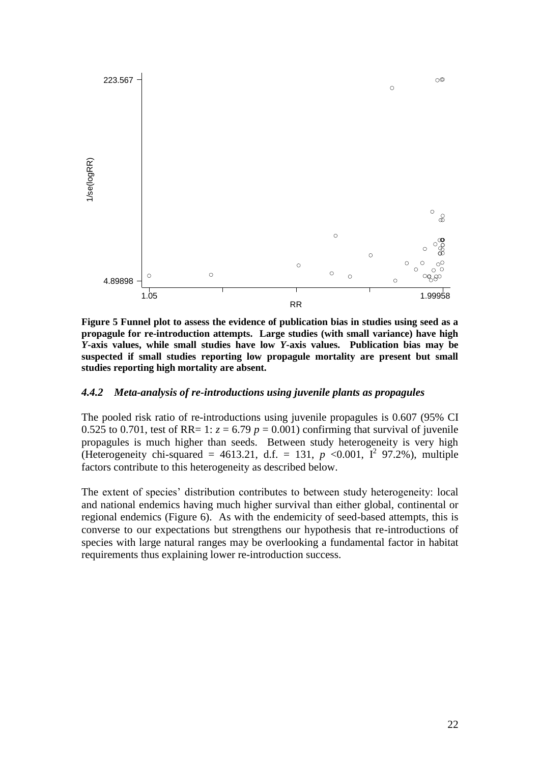

**Figure 5 Funnel plot to assess the evidence of publication bias in studies using seed as a propagule for re-introduction attempts. Large studies (with small variance) have high**  *Y***-axis values, while small studies have low** *Y***-axis values. Publication bias may be suspected if small studies reporting low propagule mortality are present but small studies reporting high mortality are absent.**

#### *4.4.2 Meta-analysis of re-introductions using juvenile plants as propagules*

The pooled risk ratio of re-introductions using juvenile propagules is 0.607 (95% CI 0.525 to 0.701, test of RR= 1:  $z = 6.79$   $p = 0.001$ ) confirming that survival of juvenile propagules is much higher than seeds. Between study heterogeneity is very high (Heterogeneity chi-squared = 4613.21, d.f. = 131,  $p \le 0.001$ ,  $I^2$  97.2%), multiple factors contribute to this heterogeneity as described below.

The extent of species' distribution contributes to between study heterogeneity: local and national endemics having much higher survival than either global, continental or regional endemics (Figure 6). As with the endemicity of seed-based attempts, this is converse to our expectations but strengthens our hypothesis that re-introductions of species with large natural ranges may be overlooking a fundamental factor in habitat requirements thus explaining lower re-introduction success.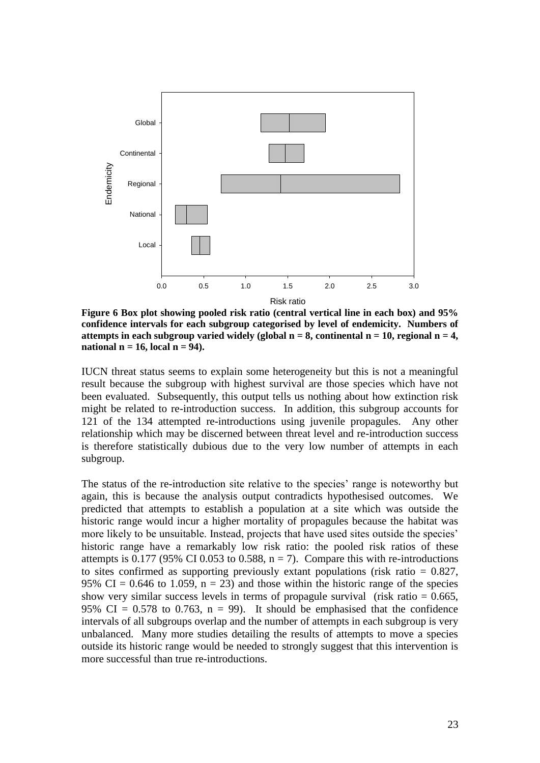

**Figure 6 Box plot showing pooled risk ratio (central vertical line in each box) and 95% confidence intervals for each subgroup categorised by level of endemicity. Numbers of attempts in each subgroup varied widely (global**  $n = 8$ **, continental**  $n = 10$ **, regional**  $n = 4$ **, national n = 16, local n = 94).**

IUCN threat status seems to explain some heterogeneity but this is not a meaningful result because the subgroup with highest survival are those species which have not been evaluated. Subsequently, this output tells us nothing about how extinction risk might be related to re-introduction success. In addition, this subgroup accounts for 121 of the 134 attempted re-introductions using juvenile propagules. Any other relationship which may be discerned between threat level and re-introduction success is therefore statistically dubious due to the very low number of attempts in each subgroup.

The status of the re-introduction site relative to the species' range is noteworthy but again, this is because the analysis output contradicts hypothesised outcomes. We predicted that attempts to establish a population at a site which was outside the historic range would incur a higher mortality of propagules because the habitat was more likely to be unsuitable. Instead, projects that have used sites outside the species' historic range have a remarkably low risk ratio: the pooled risk ratios of these attempts is 0.177 (95% CI 0.053 to 0.588,  $n = 7$ ). Compare this with re-introductions to sites confirmed as supporting previously extant populations (risk ratio  $= 0.827$ , 95% CI = 0.646 to 1.059,  $n = 23$ ) and those within the historic range of the species show very similar success levels in terms of propagule survival (risk ratio  $= 0.665$ , 95% CI = 0.578 to 0.763,  $n = 99$ ). It should be emphasised that the confidence intervals of all subgroups overlap and the number of attempts in each subgroup is very unbalanced. Many more studies detailing the results of attempts to move a species outside its historic range would be needed to strongly suggest that this intervention is more successful than true re-introductions.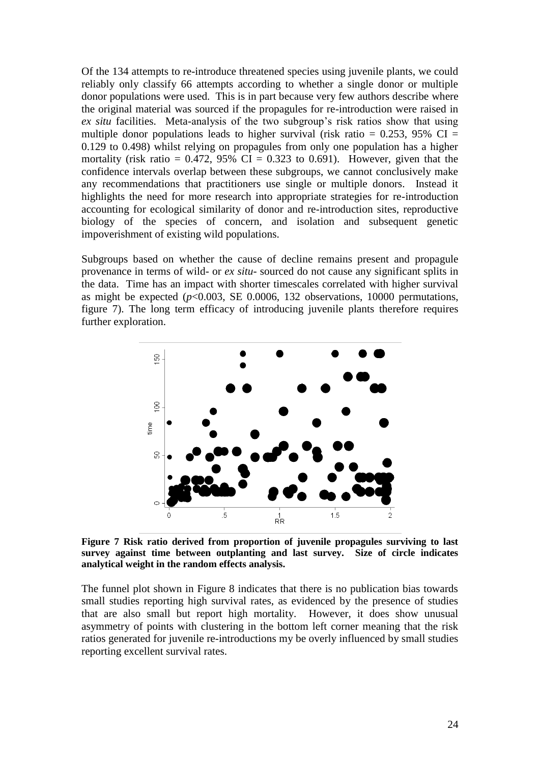Of the 134 attempts to re-introduce threatened species using juvenile plants, we could reliably only classify 66 attempts according to whether a single donor or multiple donor populations were used. This is in part because very few authors describe where the original material was sourced if the propagules for re-introduction were raised in *ex situ* facilities. Meta-analysis of the two subgroup's risk ratios show that using multiple donor populations leads to higher survival (risk ratio =  $0.253$ , 95% CI = 0.129 to 0.498) whilst relying on propagules from only one population has a higher mortality (risk ratio =  $0.472$ , 95% CI = 0.323 to 0.691). However, given that the confidence intervals overlap between these subgroups, we cannot conclusively make any recommendations that practitioners use single or multiple donors. Instead it highlights the need for more research into appropriate strategies for re-introduction accounting for ecological similarity of donor and re-introduction sites, reproductive biology of the species of concern, and isolation and subsequent genetic impoverishment of existing wild populations.

Subgroups based on whether the cause of decline remains present and propagule provenance in terms of wild- or *ex situ*- sourced do not cause any significant splits in the data. Time has an impact with shorter timescales correlated with higher survival as might be expected  $(p<0.003$ , SE 0.0006, 132 observations, 10000 permutations, figure 7). The long term efficacy of introducing juvenile plants therefore requires further exploration.



**Figure 7 Risk ratio derived from proportion of juvenile propagules surviving to last survey against time between outplanting and last survey. Size of circle indicates analytical weight in the random effects analysis.**

The funnel plot shown in Figure 8 indicates that there is no publication bias towards small studies reporting high survival rates, as evidenced by the presence of studies that are also small but report high mortality. However, it does show unusual asymmetry of points with clustering in the bottom left corner meaning that the risk ratios generated for juvenile re-introductions my be overly influenced by small studies reporting excellent survival rates.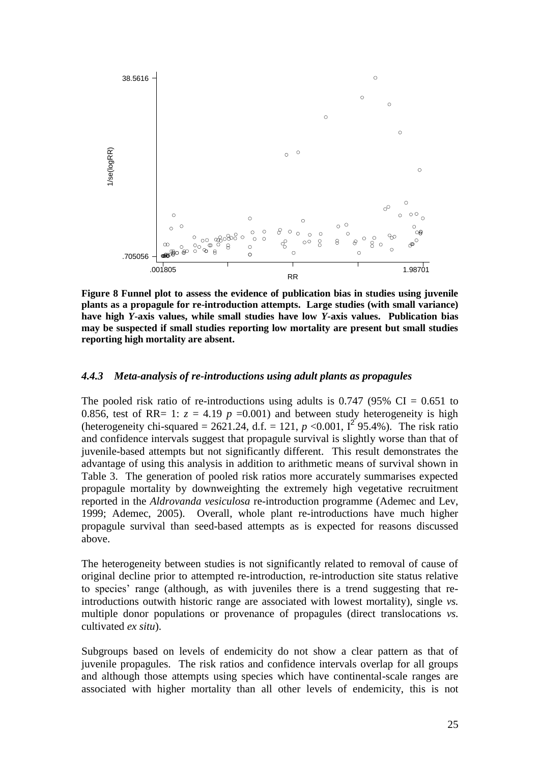

**Figure 8 Funnel plot to assess the evidence of publication bias in studies using juvenile plants as a propagule for re-introduction attempts. Large studies (with small variance) have high** *Y***-axis values, while small studies have low** *Y***-axis values. Publication bias may be suspected if small studies reporting low mortality are present but small studies reporting high mortality are absent.**

#### *4.4.3 Meta-analysis of re-introductions using adult plants as propagules*

The pooled risk ratio of re-introductions using adults is  $0.747$  (95% CI = 0.651 to 0.856, test of RR= 1:  $z = 4.19$  *p* =0.001) and between study heterogeneity is high (heterogeneity chi-squared =  $2621.24$ , d.f. = 121,  $p < 0.001$ ,  $I^2$  95.4%). The risk ratio and confidence intervals suggest that propagule survival is slightly worse than that of juvenile-based attempts but not significantly different. This result demonstrates the advantage of using this analysis in addition to arithmetic means of survival shown in Table 3. The generation of pooled risk ratios more accurately summarises expected propagule mortality by downweighting the extremely high vegetative recruitment reported in the *Aldrovanda vesiculosa* re-introduction programme (Ademec and Lev, 1999; Ademec, 2005). Overall, whole plant re-introductions have much higher propagule survival than seed-based attempts as is expected for reasons discussed above.

The heterogeneity between studies is not significantly related to removal of cause of original decline prior to attempted re-introduction, re-introduction site status relative to species" range (although, as with juveniles there is a trend suggesting that reintroductions outwith historic range are associated with lowest mortality), single *vs.* multiple donor populations or provenance of propagules (direct translocations *vs.* cultivated *ex situ*).

Subgroups based on levels of endemicity do not show a clear pattern as that of juvenile propagules. The risk ratios and confidence intervals overlap for all groups and although those attempts using species which have continental-scale ranges are associated with higher mortality than all other levels of endemicity, this is not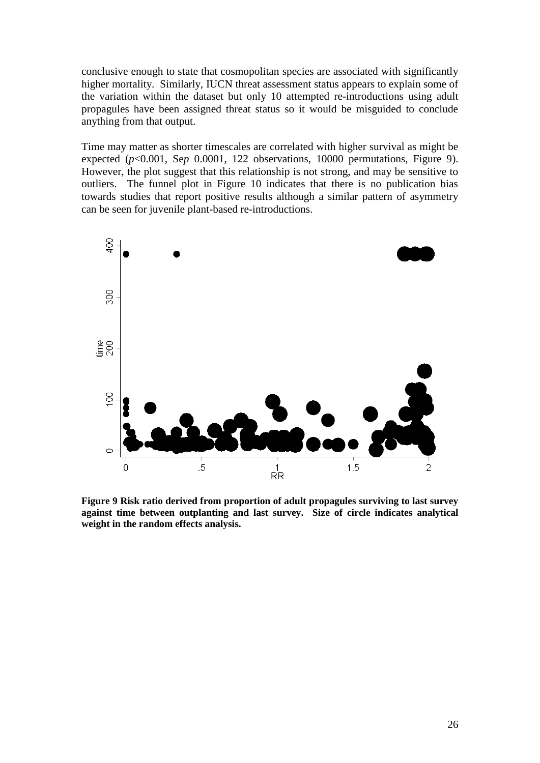conclusive enough to state that cosmopolitan species are associated with significantly higher mortality. Similarly, IUCN threat assessment status appears to explain some of the variation within the dataset but only 10 attempted re-introductions using adult propagules have been assigned threat status so it would be misguided to conclude anything from that output.

Time may matter as shorter timescales are correlated with higher survival as might be expected (*p*<0.001, Se*p* 0.0001, 122 observations, 10000 permutations, Figure 9). However, the plot suggest that this relationship is not strong, and may be sensitive to outliers. The funnel plot in Figure 10 indicates that there is no publication bias towards studies that report positive results although a similar pattern of asymmetry can be seen for juvenile plant-based re-introductions.



**Figure 9 Risk ratio derived from proportion of adult propagules surviving to last survey against time between outplanting and last survey. Size of circle indicates analytical weight in the random effects analysis.**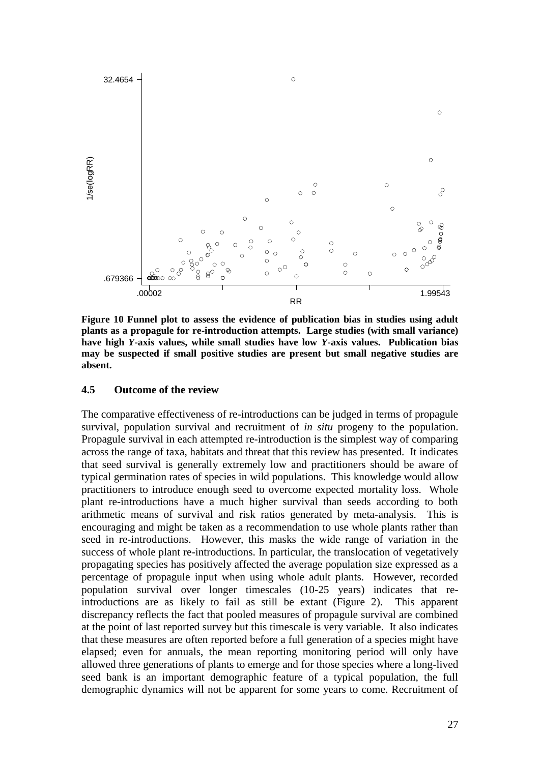

**Figure 10 Funnel plot to assess the evidence of publication bias in studies using adult plants as a propagule for re-introduction attempts. Large studies (with small variance) have high** *Y***-axis values, while small studies have low** *Y***-axis values. Publication bias may be suspected if small positive studies are present but small negative studies are absent.**

#### **4.5 Outcome of the review**

The comparative effectiveness of re-introductions can be judged in terms of propagule survival, population survival and recruitment of *in situ* progeny to the population. Propagule survival in each attempted re-introduction is the simplest way of comparing across the range of taxa, habitats and threat that this review has presented. It indicates that seed survival is generally extremely low and practitioners should be aware of typical germination rates of species in wild populations. This knowledge would allow practitioners to introduce enough seed to overcome expected mortality loss. Whole plant re-introductions have a much higher survival than seeds according to both arithmetic means of survival and risk ratios generated by meta-analysis. This is encouraging and might be taken as a recommendation to use whole plants rather than seed in re-introductions. However, this masks the wide range of variation in the success of whole plant re-introductions. In particular, the translocation of vegetatively propagating species has positively affected the average population size expressed as a percentage of propagule input when using whole adult plants. However, recorded population survival over longer timescales (10-25 years) indicates that reintroductions are as likely to fail as still be extant (Figure 2). This apparent discrepancy reflects the fact that pooled measures of propagule survival are combined at the point of last reported survey but this timescale is very variable. It also indicates that these measures are often reported before a full generation of a species might have elapsed; even for annuals, the mean reporting monitoring period will only have allowed three generations of plants to emerge and for those species where a long-lived seed bank is an important demographic feature of a typical population, the full demographic dynamics will not be apparent for some years to come. Recruitment of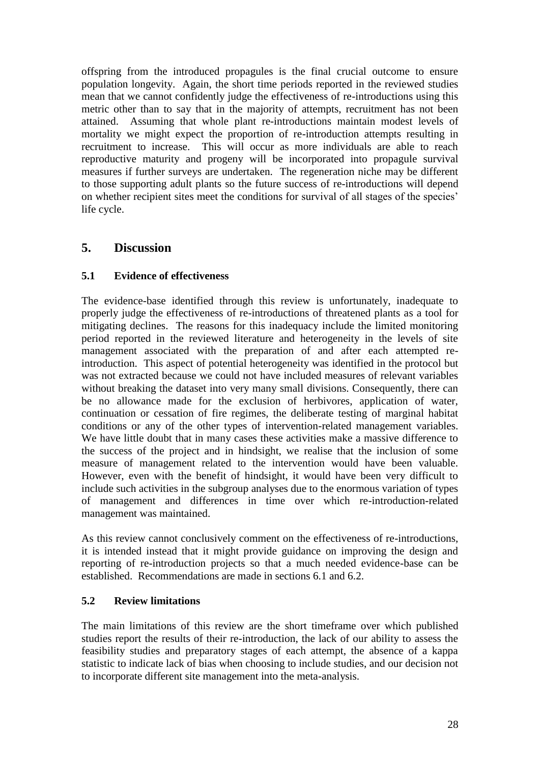offspring from the introduced propagules is the final crucial outcome to ensure population longevity. Again, the short time periods reported in the reviewed studies mean that we cannot confidently judge the effectiveness of re-introductions using this metric other than to say that in the majority of attempts, recruitment has not been attained. Assuming that whole plant re-introductions maintain modest levels of mortality we might expect the proportion of re-introduction attempts resulting in recruitment to increase. This will occur as more individuals are able to reach reproductive maturity and progeny will be incorporated into propagule survival measures if further surveys are undertaken. The regeneration niche may be different to those supporting adult plants so the future success of re-introductions will depend on whether recipient sites meet the conditions for survival of all stages of the species" life cycle.

# **5. Discussion**

## **5.1 Evidence of effectiveness**

The evidence-base identified through this review is unfortunately, inadequate to properly judge the effectiveness of re-introductions of threatened plants as a tool for mitigating declines. The reasons for this inadequacy include the limited monitoring period reported in the reviewed literature and heterogeneity in the levels of site management associated with the preparation of and after each attempted reintroduction. This aspect of potential heterogeneity was identified in the protocol but was not extracted because we could not have included measures of relevant variables without breaking the dataset into very many small divisions. Consequently, there can be no allowance made for the exclusion of herbivores, application of water, continuation or cessation of fire regimes, the deliberate testing of marginal habitat conditions or any of the other types of intervention-related management variables. We have little doubt that in many cases these activities make a massive difference to the success of the project and in hindsight, we realise that the inclusion of some measure of management related to the intervention would have been valuable. However, even with the benefit of hindsight, it would have been very difficult to include such activities in the subgroup analyses due to the enormous variation of types of management and differences in time over which re-introduction-related management was maintained.

As this review cannot conclusively comment on the effectiveness of re-introductions, it is intended instead that it might provide guidance on improving the design and reporting of re-introduction projects so that a much needed evidence-base can be established. Recommendations are made in sections 6.1 and 6.2.

# **5.2 Review limitations**

The main limitations of this review are the short timeframe over which published studies report the results of their re-introduction, the lack of our ability to assess the feasibility studies and preparatory stages of each attempt, the absence of a kappa statistic to indicate lack of bias when choosing to include studies, and our decision not to incorporate different site management into the meta-analysis.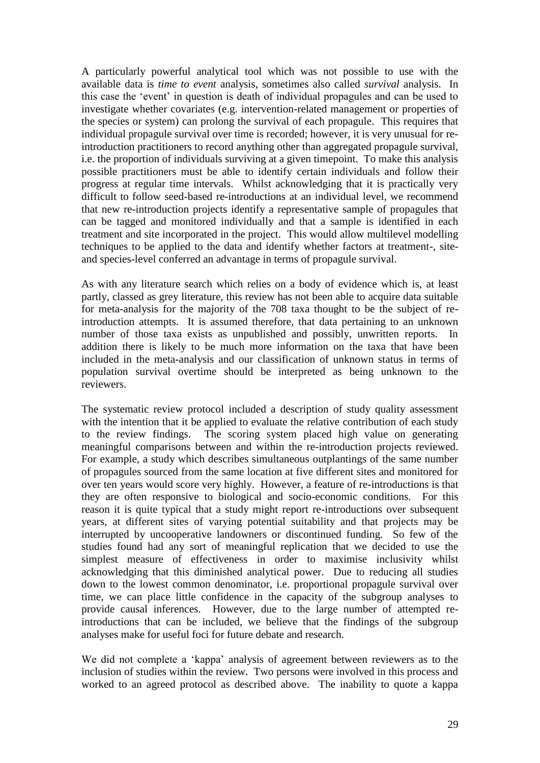A particularly powerful analytical tool which was not possible to use with the available data is *time to event* analysis, sometimes also called *survival* analysis. In this case the "event" in question is death of individual propagules and can be used to investigate whether covariates (e.g. intervention-related management or properties of the species or system) can prolong the survival of each propagule. This requires that individual propagule survival over time is recorded; however, it is very unusual for reintroduction practitioners to record anything other than aggregated propagule survival, i.e. the proportion of individuals surviving at a given timepoint. To make this analysis possible practitioners must be able to identify certain individuals and follow their progress at regular time intervals. Whilst acknowledging that it is practically very difficult to follow seed-based re-introductions at an individual level, we recommend that new re-introduction projects identify a representative sample of propagules that can be tagged and monitored individually and that a sample is identified in each treatment and site incorporated in the project. This would allow multilevel modelling techniques to be applied to the data and identify whether factors at treatment-, siteand species-level conferred an advantage in terms of propagule survival.

As with any literature search which relies on a body of evidence which is, at least partly, classed as grey literature, this review has not been able to acquire data suitable for meta-analysis for the majority of the 708 taxa thought to be the subject of reintroduction attempts. It is assumed therefore, that data pertaining to an unknown number of those taxa exists as unpublished and possibly, unwritten reports. In addition there is likely to be much more information on the taxa that have been included in the meta-analysis and our classification of unknown status in terms of population survival overtime should be interpreted as being unknown to the reviewers.

The systematic review protocol included a description of study quality assessment with the intention that it be applied to evaluate the relative contribution of each study to the review findings. The scoring system placed high value on generating meaningful comparisons between and within the re-introduction projects reviewed. For example, a study which describes simultaneous outplantings of the same number of propagules sourced from the same location at five different sites and monitored for over ten years would score very highly. However, a feature of re-introductions is that they are often responsive to biological and socio-economic conditions. For this reason it is quite typical that a study might report re-introductions over subsequent years, at different sites of varying potential suitability and that projects may be interrupted by uncooperative landowners or discontinued funding. So few of the studies found had any sort of meaningful replication that we decided to use the simplest measure of effectiveness in order to maximise inclusivity whilst acknowledging that this diminished analytical power. Due to reducing all studies down to the lowest common denominator, i.e. proportional propagule survival over time, we can place little confidence in the capacity of the subgroup analyses to provide causal inferences. However, due to the large number of attempted reintroductions that can be included, we believe that the findings of the subgroup analyses make for useful foci for future debate and research.

We did not complete a 'kappa' analysis of agreement between reviewers as to the inclusion of studies within the review. Two persons were involved in this process and worked to an agreed protocol as described above. The inability to quote a kappa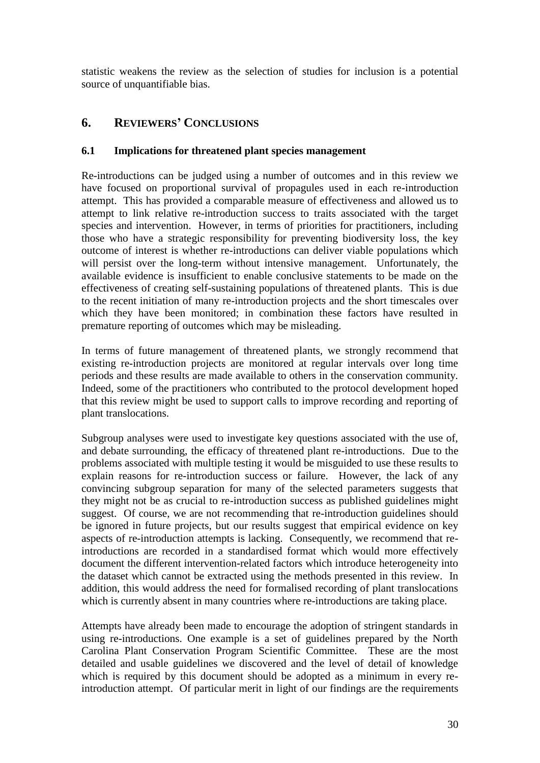statistic weakens the review as the selection of studies for inclusion is a potential source of unquantifiable bias.

# **6. REVIEWERS' CONCLUSIONS**

### **6.1 Implications for threatened plant species management**

Re-introductions can be judged using a number of outcomes and in this review we have focused on proportional survival of propagules used in each re-introduction attempt. This has provided a comparable measure of effectiveness and allowed us to attempt to link relative re-introduction success to traits associated with the target species and intervention. However, in terms of priorities for practitioners, including those who have a strategic responsibility for preventing biodiversity loss, the key outcome of interest is whether re-introductions can deliver viable populations which will persist over the long-term without intensive management. Unfortunately, the available evidence is insufficient to enable conclusive statements to be made on the effectiveness of creating self-sustaining populations of threatened plants. This is due to the recent initiation of many re-introduction projects and the short timescales over which they have been monitored; in combination these factors have resulted in premature reporting of outcomes which may be misleading.

In terms of future management of threatened plants, we strongly recommend that existing re-introduction projects are monitored at regular intervals over long time periods and these results are made available to others in the conservation community. Indeed, some of the practitioners who contributed to the protocol development hoped that this review might be used to support calls to improve recording and reporting of plant translocations.

Subgroup analyses were used to investigate key questions associated with the use of, and debate surrounding, the efficacy of threatened plant re-introductions. Due to the problems associated with multiple testing it would be misguided to use these results to explain reasons for re-introduction success or failure. However, the lack of any convincing subgroup separation for many of the selected parameters suggests that they might not be as crucial to re-introduction success as published guidelines might suggest. Of course, we are not recommending that re-introduction guidelines should be ignored in future projects, but our results suggest that empirical evidence on key aspects of re-introduction attempts is lacking. Consequently, we recommend that reintroductions are recorded in a standardised format which would more effectively document the different intervention-related factors which introduce heterogeneity into the dataset which cannot be extracted using the methods presented in this review. In addition, this would address the need for formalised recording of plant translocations which is currently absent in many countries where re-introductions are taking place.

Attempts have already been made to encourage the adoption of stringent standards in using re-introductions. One example is a set of guidelines prepared by the North Carolina Plant Conservation Program Scientific Committee. These are the most detailed and usable guidelines we discovered and the level of detail of knowledge which is required by this document should be adopted as a minimum in every reintroduction attempt. Of particular merit in light of our findings are the requirements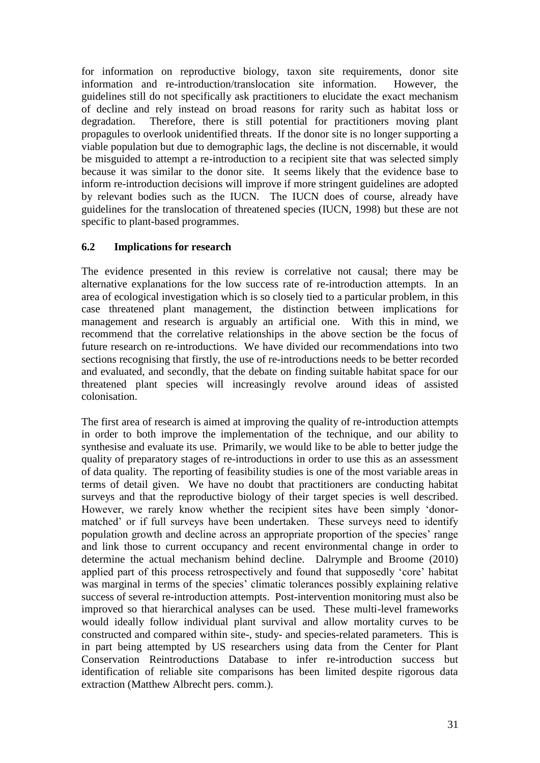for information on reproductive biology, taxon site requirements, donor site information and re-introduction/translocation site information. However, the guidelines still do not specifically ask practitioners to elucidate the exact mechanism of decline and rely instead on broad reasons for rarity such as habitat loss or degradation. Therefore, there is still potential for practitioners moving plant propagules to overlook unidentified threats. If the donor site is no longer supporting a viable population but due to demographic lags, the decline is not discernable, it would be misguided to attempt a re-introduction to a recipient site that was selected simply because it was similar to the donor site. It seems likely that the evidence base to inform re-introduction decisions will improve if more stringent guidelines are adopted by relevant bodies such as the IUCN. The IUCN does of course, already have guidelines for the translocation of threatened species (IUCN, 1998) but these are not specific to plant-based programmes.

### **6.2 Implications for research**

The evidence presented in this review is correlative not causal; there may be alternative explanations for the low success rate of re-introduction attempts. In an area of ecological investigation which is so closely tied to a particular problem, in this case threatened plant management, the distinction between implications for management and research is arguably an artificial one. With this in mind, we recommend that the correlative relationships in the above section be the focus of future research on re-introductions. We have divided our recommendations into two sections recognising that firstly, the use of re-introductions needs to be better recorded and evaluated, and secondly, that the debate on finding suitable habitat space for our threatened plant species will increasingly revolve around ideas of assisted colonisation.

The first area of research is aimed at improving the quality of re-introduction attempts in order to both improve the implementation of the technique, and our ability to synthesise and evaluate its use. Primarily, we would like to be able to better judge the quality of preparatory stages of re-introductions in order to use this as an assessment of data quality. The reporting of feasibility studies is one of the most variable areas in terms of detail given. We have no doubt that practitioners are conducting habitat surveys and that the reproductive biology of their target species is well described. However, we rarely know whether the recipient sites have been simply "donormatched' or if full surveys have been undertaken. These surveys need to identify population growth and decline across an appropriate proportion of the species" range and link those to current occupancy and recent environmental change in order to determine the actual mechanism behind decline. Dalrymple and Broome (2010) applied part of this process retrospectively and found that supposedly "core" habitat was marginal in terms of the species' climatic tolerances possibly explaining relative success of several re-introduction attempts. Post-intervention monitoring must also be improved so that hierarchical analyses can be used. These multi-level frameworks would ideally follow individual plant survival and allow mortality curves to be constructed and compared within site-, study- and species-related parameters. This is in part being attempted by US researchers using data from the Center for Plant Conservation Reintroductions Database to infer re-introduction success but identification of reliable site comparisons has been limited despite rigorous data extraction (Matthew Albrecht pers. comm.).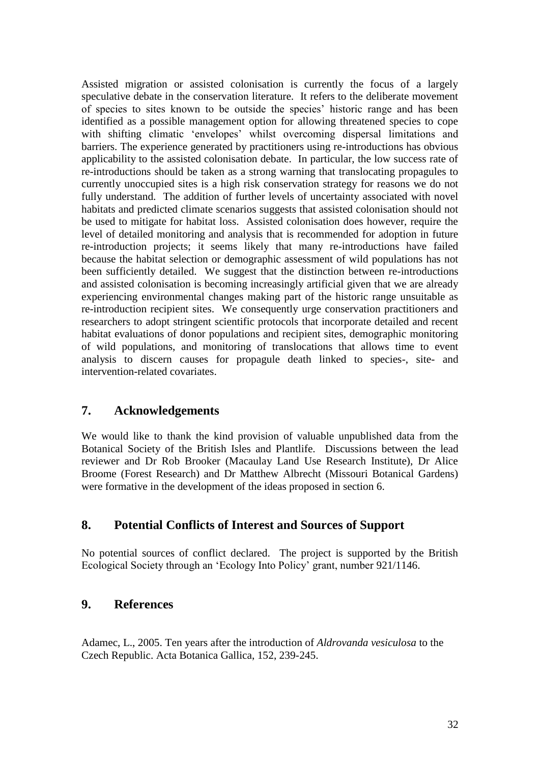Assisted migration or assisted colonisation is currently the focus of a largely speculative debate in the conservation literature. It refers to the deliberate movement of species to sites known to be outside the species" historic range and has been identified as a possible management option for allowing threatened species to cope with shifting climatic 'envelopes' whilst overcoming dispersal limitations and barriers. The experience generated by practitioners using re-introductions has obvious applicability to the assisted colonisation debate. In particular, the low success rate of re-introductions should be taken as a strong warning that translocating propagules to currently unoccupied sites is a high risk conservation strategy for reasons we do not fully understand. The addition of further levels of uncertainty associated with novel habitats and predicted climate scenarios suggests that assisted colonisation should not be used to mitigate for habitat loss. Assisted colonisation does however, require the level of detailed monitoring and analysis that is recommended for adoption in future re-introduction projects; it seems likely that many re-introductions have failed because the habitat selection or demographic assessment of wild populations has not been sufficiently detailed. We suggest that the distinction between re-introductions and assisted colonisation is becoming increasingly artificial given that we are already experiencing environmental changes making part of the historic range unsuitable as re-introduction recipient sites. We consequently urge conservation practitioners and researchers to adopt stringent scientific protocols that incorporate detailed and recent habitat evaluations of donor populations and recipient sites, demographic monitoring of wild populations, and monitoring of translocations that allows time to event analysis to discern causes for propagule death linked to species-, site- and intervention-related covariates.

# **7. Acknowledgements**

We would like to thank the kind provision of valuable unpublished data from the Botanical Society of the British Isles and Plantlife. Discussions between the lead reviewer and Dr Rob Brooker (Macaulay Land Use Research Institute), Dr Alice Broome (Forest Research) and Dr Matthew Albrecht (Missouri Botanical Gardens) were formative in the development of the ideas proposed in section 6.

# **8. Potential Conflicts of Interest and Sources of Support**

No potential sources of conflict declared. The project is supported by the British Ecological Society through an "Ecology Into Policy" grant, number 921/1146.

# **9. References**

Adamec, L., 2005. Ten years after the introduction of *Aldrovanda vesiculosa* to the Czech Republic. Acta Botanica Gallica, 152, 239-245.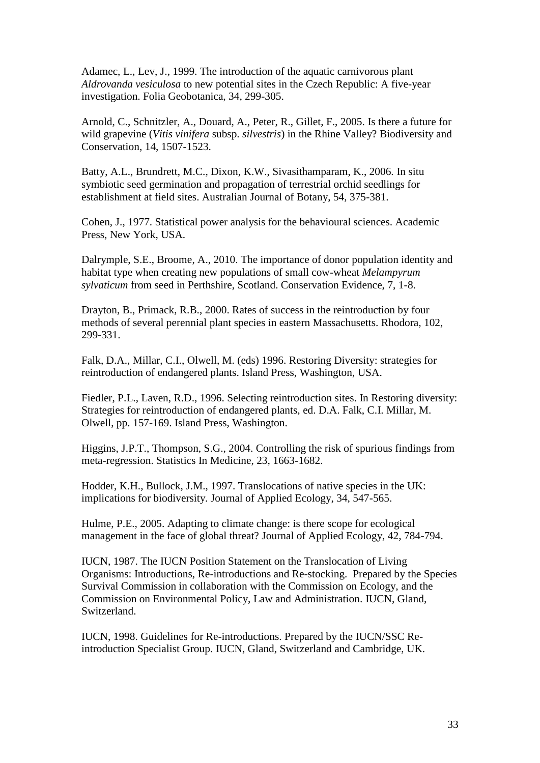Adamec, L., Lev, J., 1999. The introduction of the aquatic carnivorous plant *Aldrovanda vesiculosa* to new potential sites in the Czech Republic: A five-year investigation. Folia Geobotanica, 34, 299-305.

Arnold, C., Schnitzler, A., Douard, A., Peter, R., Gillet, F., 2005. Is there a future for wild grapevine (*Vitis vinifera* subsp. *silvestris*) in the Rhine Valley? Biodiversity and Conservation, 14, 1507-1523.

Batty, A.L., Brundrett, M.C., Dixon, K.W., Sivasithamparam, K., 2006. In situ symbiotic seed germination and propagation of terrestrial orchid seedlings for establishment at field sites. Australian Journal of Botany, 54, 375-381.

Cohen, J., 1977. Statistical power analysis for the behavioural sciences. Academic Press, New York, USA.

Dalrymple, S.E., Broome, A., 2010. The importance of donor population identity and habitat type when creating new populations of small cow-wheat *Melampyrum sylvaticum* from seed in Perthshire, Scotland. Conservation Evidence, 7, 1-8.

Drayton, B., Primack, R.B., 2000. Rates of success in the reintroduction by four methods of several perennial plant species in eastern Massachusetts. Rhodora, 102, 299-331.

Falk, D.A., Millar, C.I., Olwell, M. (eds) 1996. Restoring Diversity: strategies for reintroduction of endangered plants. Island Press, Washington, USA.

Fiedler, P.L., Laven, R.D., 1996. Selecting reintroduction sites. In Restoring diversity: Strategies for reintroduction of endangered plants, ed. D.A. Falk, C.I. Millar, M. Olwell, pp. 157-169. Island Press, Washington.

Higgins, J.P.T., Thompson, S.G., 2004. Controlling the risk of spurious findings from meta-regression. Statistics In Medicine, 23, 1663-1682.

Hodder, K.H., Bullock, J.M., 1997. Translocations of native species in the UK: implications for biodiversity. Journal of Applied Ecology, 34, 547-565.

Hulme, P.E., 2005. Adapting to climate change: is there scope for ecological management in the face of global threat? Journal of Applied Ecology, 42, 784-794.

IUCN, 1987. The IUCN Position Statement on the Translocation of Living Organisms: Introductions, Re-introductions and Re-stocking. Prepared by the Species Survival Commission in collaboration with the Commission on Ecology, and the Commission on Environmental Policy, Law and Administration. IUCN, Gland, Switzerland.

IUCN, 1998. Guidelines for Re-introductions. Prepared by the IUCN/SSC Reintroduction Specialist Group. IUCN, Gland, Switzerland and Cambridge, UK.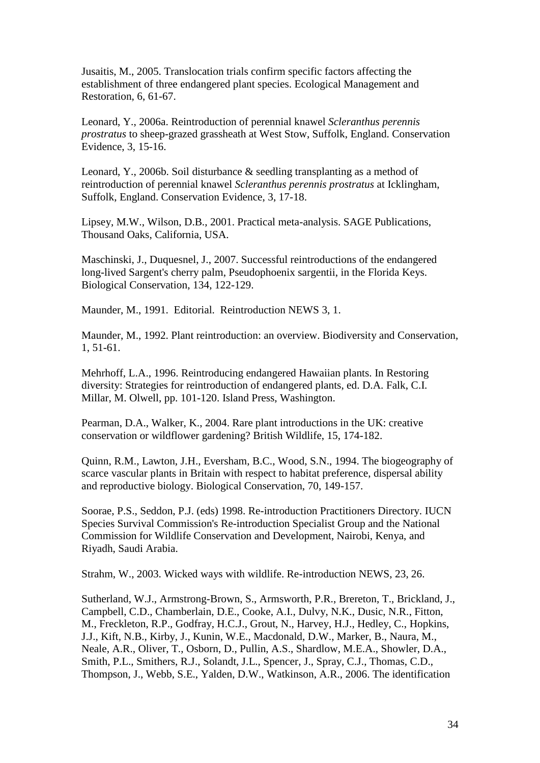Jusaitis, M., 2005. Translocation trials confirm specific factors affecting the establishment of three endangered plant species. Ecological Management and Restoration, 6, 61-67.

Leonard, Y., 2006a. Reintroduction of perennial knawel *Scleranthus perennis prostratus* to sheep-grazed grassheath at West Stow, Suffolk, England. Conservation Evidence, 3, 15-16.

Leonard, Y., 2006b. Soil disturbance & seedling transplanting as a method of reintroduction of perennial knawel *Scleranthus perennis prostratus* at Icklingham, Suffolk, England. Conservation Evidence, 3, 17-18.

Lipsey, M.W., Wilson, D.B., 2001. Practical meta-analysis. SAGE Publications, Thousand Oaks, California, USA.

Maschinski, J., Duquesnel, J., 2007. Successful reintroductions of the endangered long-lived Sargent's cherry palm, Pseudophoenix sargentii, in the Florida Keys. Biological Conservation, 134, 122-129.

Maunder, M., 1991. Editorial. Reintroduction NEWS 3, 1.

Maunder, M., 1992. Plant reintroduction: an overview. Biodiversity and Conservation, 1, 51-61.

Mehrhoff, L.A., 1996. Reintroducing endangered Hawaiian plants. In Restoring diversity: Strategies for reintroduction of endangered plants, ed. D.A. Falk, C.I. Millar, M. Olwell, pp. 101-120. Island Press, Washington.

Pearman, D.A., Walker, K., 2004. Rare plant introductions in the UK: creative conservation or wildflower gardening? British Wildlife, 15, 174-182.

Quinn, R.M., Lawton, J.H., Eversham, B.C., Wood, S.N., 1994. The biogeography of scarce vascular plants in Britain with respect to habitat preference, dispersal ability and reproductive biology. Biological Conservation, 70, 149-157.

Soorae, P.S., Seddon, P.J. (eds) 1998. Re-introduction Practitioners Directory. IUCN Species Survival Commission's Re-introduction Specialist Group and the National Commission for Wildlife Conservation and Development, Nairobi, Kenya, and Riyadh, Saudi Arabia.

Strahm, W., 2003. Wicked ways with wildlife. Re-introduction NEWS, 23, 26.

Sutherland, W.J., Armstrong-Brown, S., Armsworth, P.R., Brereton, T., Brickland, J., Campbell, C.D., Chamberlain, D.E., Cooke, A.I., Dulvy, N.K., Dusic, N.R., Fitton, M., Freckleton, R.P., Godfray, H.C.J., Grout, N., Harvey, H.J., Hedley, C., Hopkins, J.J., Kift, N.B., Kirby, J., Kunin, W.E., Macdonald, D.W., Marker, B., Naura, M., Neale, A.R., Oliver, T., Osborn, D., Pullin, A.S., Shardlow, M.E.A., Showler, D.A., Smith, P.L., Smithers, R.J., Solandt, J.L., Spencer, J., Spray, C.J., Thomas, C.D., Thompson, J., Webb, S.E., Yalden, D.W., Watkinson, A.R., 2006. The identification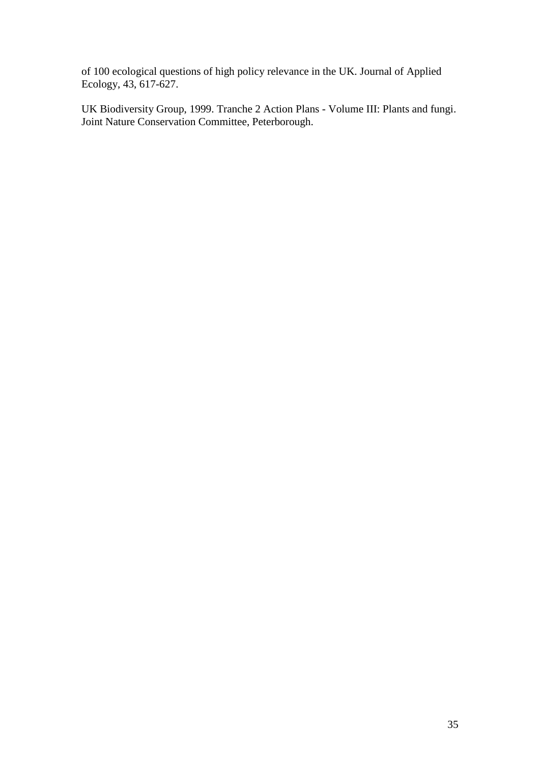of 100 ecological questions of high policy relevance in the UK. Journal of Applied Ecology, 43, 617-627.

UK Biodiversity Group, 1999. Tranche 2 Action Plans - Volume III: Plants and fungi. Joint Nature Conservation Committee, Peterborough.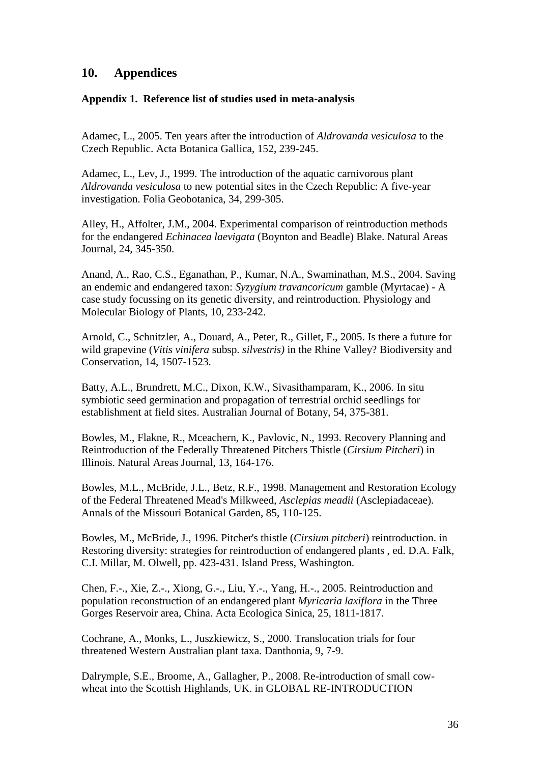# **10. Appendices**

#### **Appendix 1. Reference list of studies used in meta-analysis**

Adamec, L., 2005. Ten years after the introduction of *Aldrovanda vesiculosa* to the Czech Republic. Acta Botanica Gallica, 152, 239-245.

Adamec, L., Lev, J., 1999. The introduction of the aquatic carnivorous plant *Aldrovanda vesiculosa* to new potential sites in the Czech Republic: A five-year investigation. Folia Geobotanica, 34, 299-305.

Alley, H., Affolter, J.M., 2004. Experimental comparison of reintroduction methods for the endangered *Echinacea laevigata* (Boynton and Beadle) Blake. Natural Areas Journal, 24, 345-350.

Anand, A., Rao, C.S., Eganathan, P., Kumar, N.A., Swaminathan, M.S., 2004. Saving an endemic and endangered taxon: *Syzygium travancoricum* gamble (Myrtacae) - A case study focussing on its genetic diversity, and reintroduction. Physiology and Molecular Biology of Plants, 10, 233-242.

Arnold, C., Schnitzler, A., Douard, A., Peter, R., Gillet, F., 2005. Is there a future for wild grapevine (*Vitis vinifera* subsp. *silvestris)* in the Rhine Valley? Biodiversity and Conservation, 14, 1507-1523.

Batty, A.L., Brundrett, M.C., Dixon, K.W., Sivasithamparam, K., 2006. In situ symbiotic seed germination and propagation of terrestrial orchid seedlings for establishment at field sites. Australian Journal of Botany, 54, 375-381.

Bowles, M., Flakne, R., Mceachern, K., Pavlovic, N., 1993. Recovery Planning and Reintroduction of the Federally Threatened Pitchers Thistle (*Cirsium Pitcheri*) in Illinois. Natural Areas Journal, 13, 164-176.

Bowles, M.L., McBride, J.L., Betz, R.F., 1998. Management and Restoration Ecology of the Federal Threatened Mead's Milkweed, *Asclepias meadii* (Asclepiadaceae). Annals of the Missouri Botanical Garden, 85, 110-125.

Bowles, M., McBride, J., 1996. Pitcher's thistle (*Cirsium pitcheri*) reintroduction. in Restoring diversity: strategies for reintroduction of endangered plants , ed. D.A. Falk, C.I. Millar, M. Olwell, pp. 423-431. Island Press, Washington.

Chen, F.-., Xie, Z.-., Xiong, G.-., Liu, Y.-., Yang, H.-., 2005. Reintroduction and population reconstruction of an endangered plant *Myricaria laxiflora* in the Three Gorges Reservoir area, China. Acta Ecologica Sinica, 25, 1811-1817.

Cochrane, A., Monks, L., Juszkiewicz, S., 2000. Translocation trials for four threatened Western Australian plant taxa. Danthonia, 9, 7-9.

Dalrymple, S.E., Broome, A., Gallagher, P., 2008. Re-introduction of small cowwheat into the Scottish Highlands, UK. in GLOBAL RE-INTRODUCTION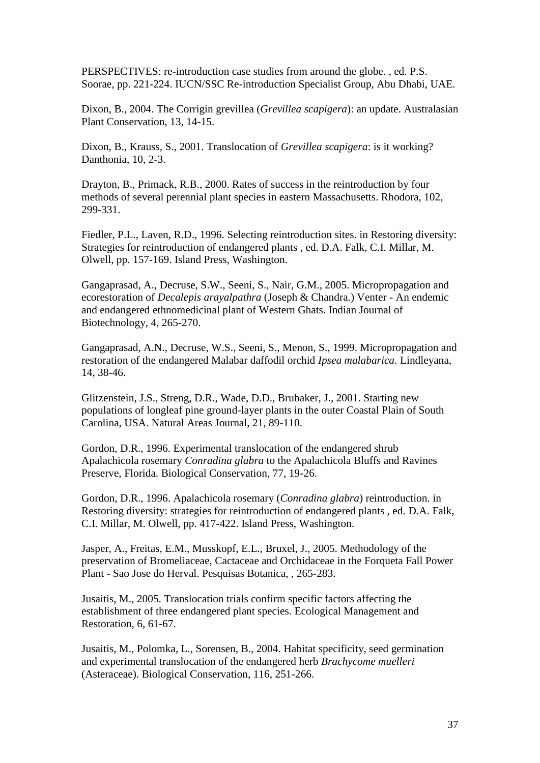PERSPECTIVES: re-introduction case studies from around the globe. , ed. P.S. Soorae, pp. 221-224. IUCN/SSC Re-introduction Specialist Group, Abu Dhabi, UAE.

Dixon, B., 2004. The Corrigin grevillea (*Grevillea scapigera*): an update. Australasian Plant Conservation, 13, 14-15.

Dixon, B., Krauss, S., 2001. Translocation of *Grevillea scapigera*: is it working? Danthonia, 10, 2-3.

Drayton, B., Primack, R.B., 2000. Rates of success in the reintroduction by four methods of several perennial plant species in eastern Massachusetts. Rhodora, 102, 299-331.

Fiedler, P.L., Laven, R.D., 1996. Selecting reintroduction sites. in Restoring diversity: Strategies for reintroduction of endangered plants , ed. D.A. Falk, C.I. Millar, M. Olwell, pp. 157-169. Island Press, Washington.

Gangaprasad, A., Decruse, S.W., Seeni, S., Nair, G.M., 2005. Micropropagation and ecorestoration of *Decalepis arayalpathra* (Joseph & Chandra.) Venter - An endemic and endangered ethnomedicinal plant of Western Ghats. Indian Journal of Biotechnology, 4, 265-270.

Gangaprasad, A.N., Decruse, W.S., Seeni, S., Menon, S., 1999. Micropropagation and restoration of the endangered Malabar daffodil orchid *Ipsea malabarica*. Lindleyana, 14, 38-46.

Glitzenstein, J.S., Streng, D.R., Wade, D.D., Brubaker, J., 2001. Starting new populations of longleaf pine ground-layer plants in the outer Coastal Plain of South Carolina, USA. Natural Areas Journal, 21, 89-110.

Gordon, D.R., 1996. Experimental translocation of the endangered shrub Apalachicola rosemary *Conradina glabra* to the Apalachicola Bluffs and Ravines Preserve, Florida. Biological Conservation, 77, 19-26.

Gordon, D.R., 1996. Apalachicola rosemary (*Conradina glabra*) reintroduction. in Restoring diversity: strategies for reintroduction of endangered plants , ed. D.A. Falk, C.I. Millar, M. Olwell, pp. 417-422. Island Press, Washington.

Jasper, A., Freitas, E.M., Musskopf, E.L., Bruxel, J., 2005. Methodology of the preservation of Bromeliaceae, Cactaceae and Orchidaceae in the Forqueta Fall Power Plant - Sao Jose do Herval. Pesquisas Botanica, , 265-283.

Jusaitis, M., 2005. Translocation trials confirm specific factors affecting the establishment of three endangered plant species. Ecological Management and Restoration, 6, 61-67.

Jusaitis, M., Polomka, L., Sorensen, B., 2004. Habitat specificity, seed germination and experimental translocation of the endangered herb *Brachycome muelleri* (Asteraceae). Biological Conservation, 116, 251-266.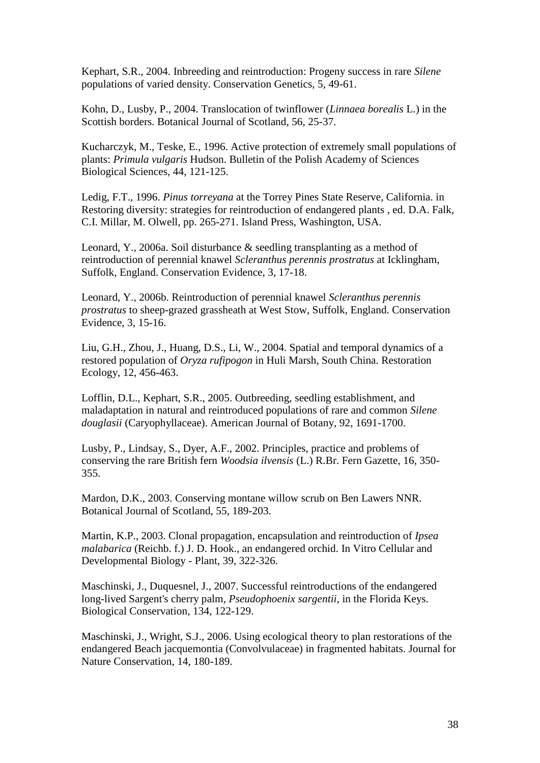Kephart, S.R., 2004. Inbreeding and reintroduction: Progeny success in rare *Silene* populations of varied density. Conservation Genetics, 5, 49-61.

Kohn, D., Lusby, P., 2004. Translocation of twinflower (*Linnaea borealis* L.) in the Scottish borders. Botanical Journal of Scotland, 56, 25-37.

Kucharczyk, M., Teske, E., 1996. Active protection of extremely small populations of plants: *Primula vulgaris* Hudson. Bulletin of the Polish Academy of Sciences Biological Sciences, 44, 121-125.

Ledig, F.T., 1996. *Pinus torreyana* at the Torrey Pines State Reserve, California. in Restoring diversity: strategies for reintroduction of endangered plants , ed. D.A. Falk, C.I. Millar, M. Olwell, pp. 265-271. Island Press, Washington, USA.

Leonard, Y., 2006a. Soil disturbance & seedling transplanting as a method of reintroduction of perennial knawel *Scleranthus perennis prostratus* at Icklingham, Suffolk, England. Conservation Evidence, 3, 17-18.

Leonard, Y., 2006b. Reintroduction of perennial knawel *Scleranthus perennis prostratus* to sheep-grazed grassheath at West Stow, Suffolk, England. Conservation Evidence, 3, 15-16.

Liu, G.H., Zhou, J., Huang, D.S., Li, W., 2004. Spatial and temporal dynamics of a restored population of *Oryza rufipogon* in Huli Marsh, South China. Restoration Ecology, 12, 456-463.

Lofflin, D.L., Kephart, S.R., 2005. Outbreeding, seedling establishment, and maladaptation in natural and reintroduced populations of rare and common *Silene douglasii* (Caryophyllaceae). American Journal of Botany, 92, 1691-1700.

Lusby, P., Lindsay, S., Dyer, A.F., 2002. Principles, practice and problems of conserving the rare British fern *Woodsia ilvensis* (L.) R.Br. Fern Gazette, 16, 350- 355.

Mardon, D.K., 2003. Conserving montane willow scrub on Ben Lawers NNR. Botanical Journal of Scotland, 55, 189-203.

Martin, K.P., 2003. Clonal propagation, encapsulation and reintroduction of *Ipsea malabarica* (Reichb. f.) J. D. Hook., an endangered orchid. In Vitro Cellular and Developmental Biology - Plant, 39, 322-326.

Maschinski, J., Duquesnel, J., 2007. Successful reintroductions of the endangered long-lived Sargent's cherry palm, *Pseudophoenix sargentii*, in the Florida Keys. Biological Conservation, 134, 122-129.

Maschinski, J., Wright, S.J., 2006. Using ecological theory to plan restorations of the endangered Beach jacquemontia (Convolvulaceae) in fragmented habitats. Journal for Nature Conservation, 14, 180-189.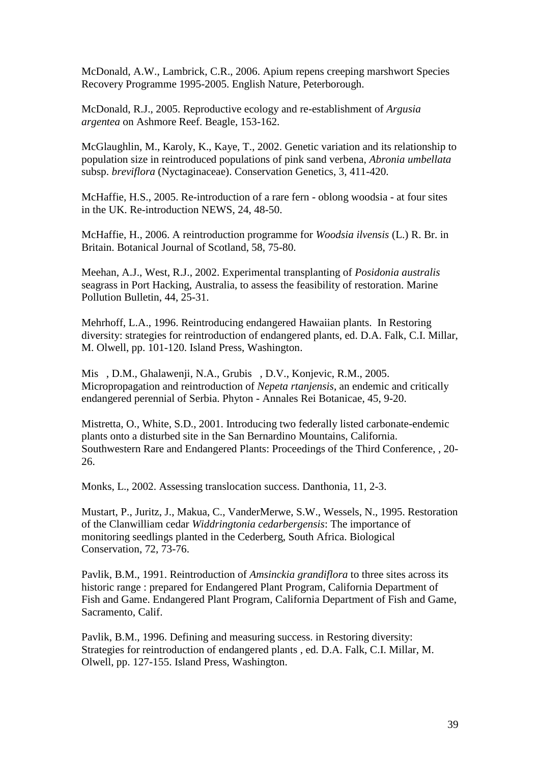McDonald, A.W., Lambrick, C.R., 2006. Apium repens creeping marshwort Species Recovery Programme 1995-2005. English Nature, Peterborough.

McDonald, R.J., 2005. Reproductive ecology and re-establishment of *Argusia argentea* on Ashmore Reef. Beagle, 153-162.

McGlaughlin, M., Karoly, K., Kaye, T., 2002. Genetic variation and its relationship to population size in reintroduced populations of pink sand verbena, *Abronia umbellata*  subsp. *breviflora* (Nyctaginaceae). Conservation Genetics, 3, 411-420.

McHaffie, H.S., 2005. Re-introduction of a rare fern - oblong woodsia - at four sites in the UK. Re-introduction NEWS, 24, 48-50.

McHaffie, H., 2006. A reintroduction programme for *Woodsia ilvensis* (L.) R. Br. in Britain. Botanical Journal of Scotland, 58, 75-80.

Meehan, A.J., West, R.J., 2002. Experimental transplanting of *Posidonia australis* seagrass in Port Hacking, Australia, to assess the feasibility of restoration. Marine Pollution Bulletin, 44, 25-31.

Mehrhoff, L.A., 1996. Reintroducing endangered Hawaiian plants. In Restoring diversity: strategies for reintroduction of endangered plants, ed. D.A. Falk, C.I. Millar, M. Olwell, pp. 101-120. Island Press, Washington.

Mis , D.M., Ghalawenji, N.A., Grubis , D.V., Konjevic, R.M., 2005. Micropropagation and reintroduction of *Nepeta rtanjensis*, an endemic and critically endangered perennial of Serbia. Phyton - Annales Rei Botanicae, 45, 9-20.

Mistretta, O., White, S.D., 2001. Introducing two federally listed carbonate-endemic plants onto a disturbed site in the San Bernardino Mountains, California. Southwestern Rare and Endangered Plants: Proceedings of the Third Conference, , 20- 26.

Monks, L., 2002. Assessing translocation success. Danthonia, 11, 2-3.

Mustart, P., Juritz, J., Makua, C., VanderMerwe, S.W., Wessels, N., 1995. Restoration of the Clanwilliam cedar *Widdringtonia cedarbergensis*: The importance of monitoring seedlings planted in the Cederberg, South Africa. Biological Conservation, 72, 73-76.

Pavlik, B.M., 1991. Reintroduction of *Amsinckia grandiflora* to three sites across its historic range : prepared for Endangered Plant Program, California Department of Fish and Game. Endangered Plant Program, California Department of Fish and Game, Sacramento, Calif.

Pavlik, B.M., 1996. Defining and measuring success. in Restoring diversity: Strategies for reintroduction of endangered plants , ed. D.A. Falk, C.I. Millar, M. Olwell, pp. 127-155. Island Press, Washington.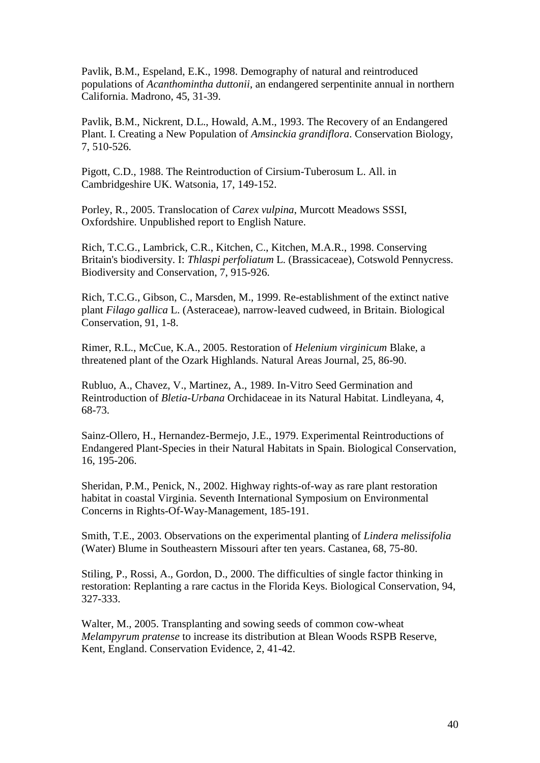Pavlik, B.M., Espeland, E.K., 1998. Demography of natural and reintroduced populations of *Acanthomintha duttonii*, an endangered serpentinite annual in northern California. Madrono, 45, 31-39.

Pavlik, B.M., Nickrent, D.L., Howald, A.M., 1993. The Recovery of an Endangered Plant. I. Creating a New Population of *Amsinckia grandiflora*. Conservation Biology, 7, 510-526.

Pigott, C.D., 1988. The Reintroduction of Cirsium-Tuberosum L. All. in Cambridgeshire UK. Watsonia, 17, 149-152.

Porley, R., 2005. Translocation of *Carex vulpina*, Murcott Meadows SSSI, Oxfordshire. Unpublished report to English Nature.

Rich, T.C.G., Lambrick, C.R., Kitchen, C., Kitchen, M.A.R., 1998. Conserving Britain's biodiversity. I: *Thlaspi perfoliatum* L. (Brassicaceae), Cotswold Pennycress. Biodiversity and Conservation, 7, 915-926.

Rich, T.C.G., Gibson, C., Marsden, M., 1999. Re-establishment of the extinct native plant *Filago gallica* L. (Asteraceae), narrow-leaved cudweed, in Britain. Biological Conservation, 91, 1-8.

Rimer, R.L., McCue, K.A., 2005. Restoration of *Helenium virginicum* Blake, a threatened plant of the Ozark Highlands. Natural Areas Journal, 25, 86-90.

Rubluo, A., Chavez, V., Martinez, A., 1989. In-Vitro Seed Germination and Reintroduction of *Bletia-Urbana* Orchidaceae in its Natural Habitat. Lindleyana, 4, 68-73.

Sainz-Ollero, H., Hernandez-Bermejo, J.E., 1979. Experimental Reintroductions of Endangered Plant-Species in their Natural Habitats in Spain. Biological Conservation, 16, 195-206.

Sheridan, P.M., Penick, N., 2002. Highway rights-of-way as rare plant restoration habitat in coastal Virginia. Seventh International Symposium on Environmental Concerns in Rights-Of-Way-Management, 185-191.

Smith, T.E., 2003. Observations on the experimental planting of *Lindera melissifolia* (Water) Blume in Southeastern Missouri after ten years. Castanea, 68, 75-80.

Stiling, P., Rossi, A., Gordon, D., 2000. The difficulties of single factor thinking in restoration: Replanting a rare cactus in the Florida Keys. Biological Conservation, 94, 327-333.

Walter, M., 2005. Transplanting and sowing seeds of common cow-wheat *Melampyrum pratense* to increase its distribution at Blean Woods RSPB Reserve, Kent, England. Conservation Evidence, 2, 41-42.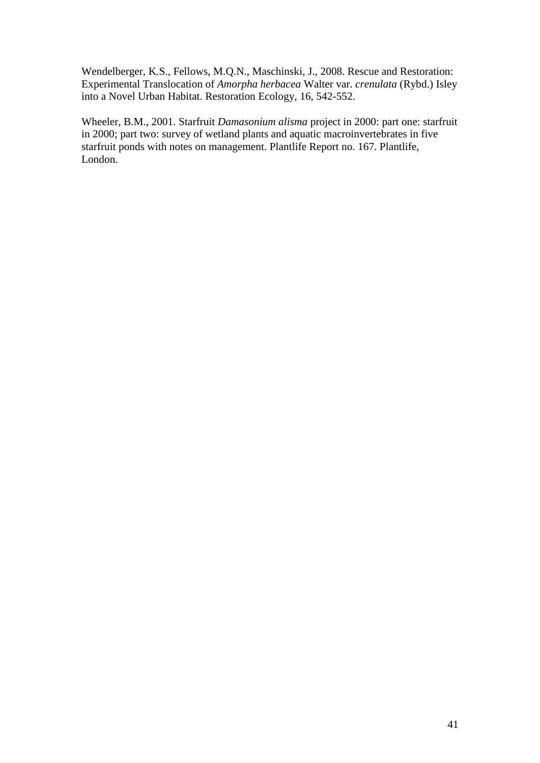Wendelberger, K.S., Fellows, M.Q.N., Maschinski, J., 2008. Rescue and Restoration: Experimental Translocation of *Amorpha herbacea* Walter var. *crenulata* (Rybd.) Isley into a Novel Urban Habitat. Restoration Ecology, 16, 542-552.

Wheeler, B.M., 2001. Starfruit *Damasonium alisma* project in 2000: part one: starfruit in 2000; part two: survey of wetland plants and aquatic macroinvertebrates in five starfruit ponds with notes on management. Plantlife Report no. 167. Plantlife, London.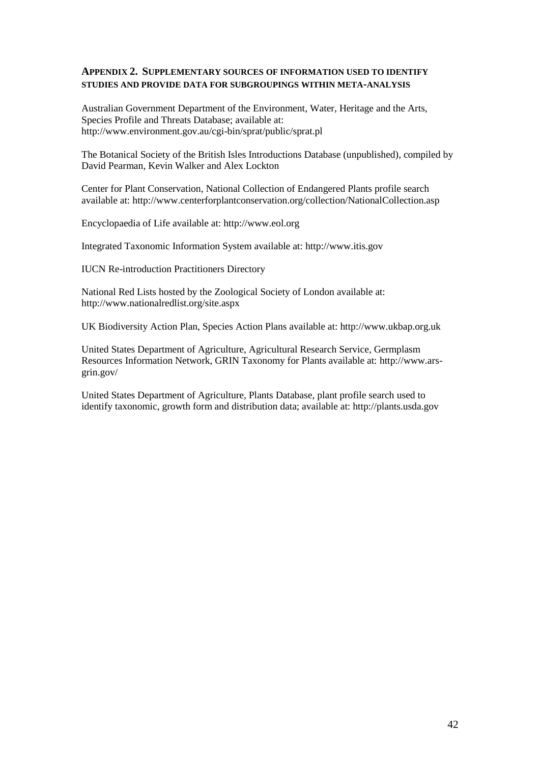#### **APPENDIX 2. SUPPLEMENTARY SOURCES OF INFORMATION USED TO IDENTIFY STUDIES AND PROVIDE DATA FOR SUBGROUPINGS WITHIN META-ANALYSIS**

Australian Government Department of the Environment, Water, Heritage and the Arts, Species Profile and Threats Database; available at: http://www.environment.gov.au/cgi-bin/sprat/public/sprat.pl

The Botanical Society of the British Isles Introductions Database (unpublished), compiled by David Pearman, Kevin Walker and Alex Lockton

Center for Plant Conservation, National Collection of Endangered Plants profile search available at: http://www.centerforplantconservation.org/collection/NationalCollection.asp

Encyclopaedia of Life available at: http://www.eol.org

Integrated Taxonomic Information System available at: http://www.itis.gov

IUCN Re-introduction Practitioners Directory

National Red Lists hosted by the Zoological Society of London available at: http://www.nationalredlist.org/site.aspx

UK Biodiversity Action Plan, Species Action Plans available at: http://www.ukbap.org.uk

United States Department of Agriculture, Agricultural Research Service, Germplasm Resources Information Network, GRIN Taxonomy for Plants available at: http://www.arsgrin.gov/

United States Department of Agriculture, Plants Database, plant profile search used to identify taxonomic, growth form and distribution data; available at: http://plants.usda.gov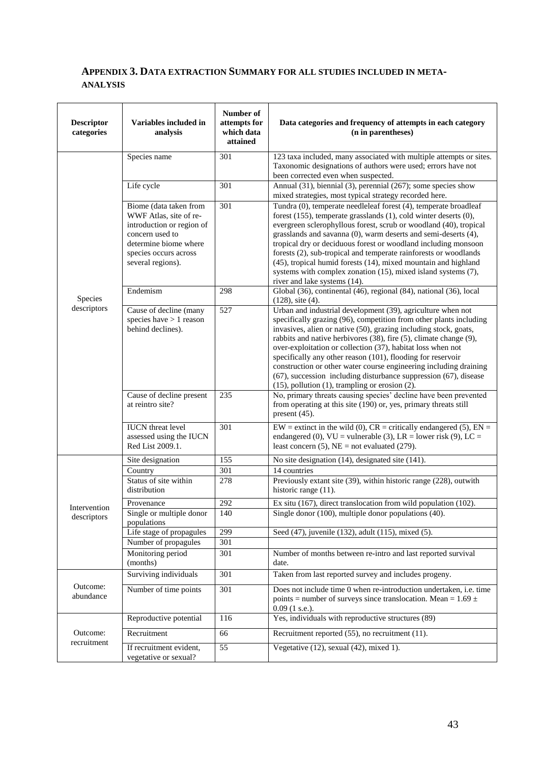## **APPENDIX 3. DATA EXTRACTION SUMMARY FOR ALL STUDIES INCLUDED IN META-ANALYSIS**

| <b>Descriptor</b><br>categories | Variables included in<br>analysis                                                                                                                                       | Number of<br>attempts for<br>which data<br>attained | Data categories and frequency of attempts in each category<br>(n in parentheses)                                                                                                                                                                                                                                                                                                                                                                                                                                                                                                                             |
|---------------------------------|-------------------------------------------------------------------------------------------------------------------------------------------------------------------------|-----------------------------------------------------|--------------------------------------------------------------------------------------------------------------------------------------------------------------------------------------------------------------------------------------------------------------------------------------------------------------------------------------------------------------------------------------------------------------------------------------------------------------------------------------------------------------------------------------------------------------------------------------------------------------|
|                                 | Species name                                                                                                                                                            | 301                                                 | 123 taxa included, many associated with multiple attempts or sites.<br>Taxonomic designations of authors were used; errors have not<br>been corrected even when suspected.                                                                                                                                                                                                                                                                                                                                                                                                                                   |
|                                 | Life cycle                                                                                                                                                              | 301                                                 | Annual $(31)$ , biennial $(3)$ , perennial $(267)$ ; some species show<br>mixed strategies, most typical strategy recorded here.                                                                                                                                                                                                                                                                                                                                                                                                                                                                             |
|                                 | Biome (data taken from<br>WWF Atlas, site of re-<br>introduction or region of<br>concern used to<br>determine biome where<br>species occurs across<br>several regions). | 301                                                 | Tundra (0), temperate needleleaf forest (4), temperate broadleaf<br>forest (155), temperate grasslands (1), cold winter deserts (0),<br>evergreen sclerophyllous forest, scrub or woodland (40), tropical<br>grasslands and savanna (0), warm deserts and semi-deserts (4),<br>tropical dry or deciduous forest or woodland including monsoon<br>forests (2), sub-tropical and temperate rainforests or woodlands<br>(45), tropical humid forests (14), mixed mountain and highland<br>systems with complex zonation (15), mixed island systems (7),<br>river and lake systems (14).                         |
| Species                         | Endemism                                                                                                                                                                | 298                                                 | Global (36), continental (46), regional (84), national (36), local<br>$(128)$ , site $(4)$ .                                                                                                                                                                                                                                                                                                                                                                                                                                                                                                                 |
| descriptors                     | Cause of decline (many<br>species have $> 1$ reason<br>behind declines).                                                                                                | 527                                                 | Urban and industrial development (39), agriculture when not<br>specifically grazing (96), competition from other plants including<br>invasives, alien or native (50), grazing including stock, goats,<br>rabbits and native herbivores (38), fire (5), climate change (9),<br>over-exploitation or collection (37), habitat loss when not<br>specifically any other reason (101), flooding for reservoir<br>construction or other water course engineering including draining<br>(67), succession including disturbance suppression (67), disease<br>$(15)$ , pollution $(1)$ , trampling or erosion $(2)$ . |
|                                 | Cause of decline present<br>at reintro site?                                                                                                                            | 235                                                 | No, primary threats causing species' decline have been prevented<br>from operating at this site (190) or, yes, primary threats still<br>present $(45)$ .                                                                                                                                                                                                                                                                                                                                                                                                                                                     |
|                                 | <b>IUCN</b> threat level<br>assessed using the IUCN<br>Red List 2009.1.                                                                                                 | $\overline{301}$                                    | $EW$ = extinct in the wild (0), $CR$ = critically endangered (5), $EN =$<br>endangered (0), $VU =$ vulnerable (3), LR = lower risk (9), LC =<br>least concern $(5)$ , NE = not evaluated $(279)$ .                                                                                                                                                                                                                                                                                                                                                                                                           |
|                                 | Site designation                                                                                                                                                        | 155                                                 | No site designation (14), designated site (141).                                                                                                                                                                                                                                                                                                                                                                                                                                                                                                                                                             |
|                                 | Country                                                                                                                                                                 | 301                                                 | 14 countries                                                                                                                                                                                                                                                                                                                                                                                                                                                                                                                                                                                                 |
|                                 | Status of site within<br>distribution                                                                                                                                   | 278                                                 | Previously extant site (39), within historic range (228), outwith<br>historic range $(11)$ .                                                                                                                                                                                                                                                                                                                                                                                                                                                                                                                 |
| Intervention                    | Provenance                                                                                                                                                              | 292                                                 | Ex situ (167), direct translocation from wild population (102).                                                                                                                                                                                                                                                                                                                                                                                                                                                                                                                                              |
| descriptors                     | Single or multiple donor<br>populations                                                                                                                                 | 140                                                 | Single donor (100), multiple donor populations (40).                                                                                                                                                                                                                                                                                                                                                                                                                                                                                                                                                         |
|                                 | Life stage of propagules                                                                                                                                                | 299                                                 | Seed (47), juvenile (132), adult (115), mixed (5).                                                                                                                                                                                                                                                                                                                                                                                                                                                                                                                                                           |
|                                 | Number of propagules                                                                                                                                                    | 301                                                 |                                                                                                                                                                                                                                                                                                                                                                                                                                                                                                                                                                                                              |
|                                 | Monitoring period<br>(months)                                                                                                                                           | 301                                                 | Number of months between re-intro and last reported survival<br>date.                                                                                                                                                                                                                                                                                                                                                                                                                                                                                                                                        |
|                                 | Surviving individuals                                                                                                                                                   | 301                                                 | Taken from last reported survey and includes progeny.                                                                                                                                                                                                                                                                                                                                                                                                                                                                                                                                                        |
| Outcome:<br>abundance           | Number of time points                                                                                                                                                   | 301                                                 | Does not include time 0 when re-introduction undertaken, i.e. time<br>points = number of surveys since translocation. Mean = $1.69 \pm$<br>$0.09$ (1 s.e.).                                                                                                                                                                                                                                                                                                                                                                                                                                                  |
|                                 | Reproductive potential                                                                                                                                                  | 116                                                 | Yes, individuals with reproductive structures (89)                                                                                                                                                                                                                                                                                                                                                                                                                                                                                                                                                           |
| Outcome:<br>recruitment         | Recruitment                                                                                                                                                             | 66                                                  | Recruitment reported (55), no recruitment (11).                                                                                                                                                                                                                                                                                                                                                                                                                                                                                                                                                              |
|                                 | If recruitment evident,<br>vegetative or sexual?                                                                                                                        | 55                                                  | Vegetative $(12)$ , sexual $(42)$ , mixed 1).                                                                                                                                                                                                                                                                                                                                                                                                                                                                                                                                                                |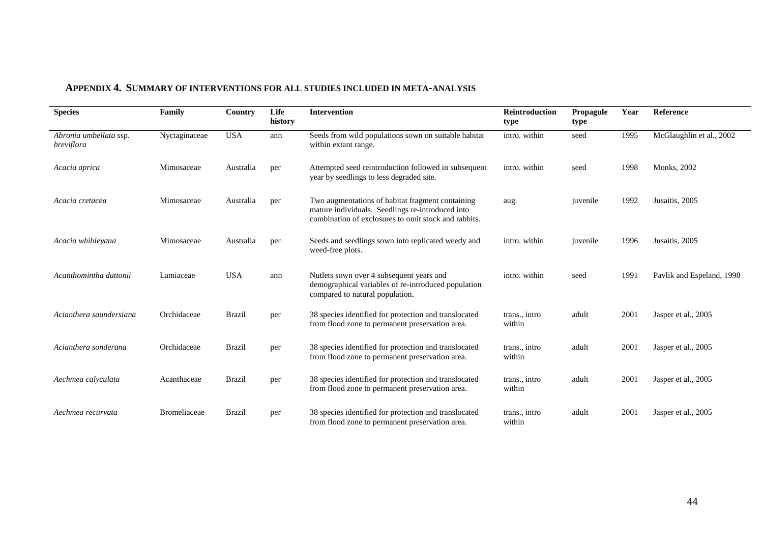| <b>Species</b>                              | Family              | Country       | Life<br>history | Intervention                                                                                                                                                 | Reintroduction<br>type  | Propagule<br>type | Year | Reference                 |
|---------------------------------------------|---------------------|---------------|-----------------|--------------------------------------------------------------------------------------------------------------------------------------------------------------|-------------------------|-------------------|------|---------------------------|
| Abronia umbellata ssp.<br><i>breviflora</i> | Nyctaginaceae       | <b>USA</b>    | ann             | Seeds from wild populations sown on suitable habitat<br>within extant range.                                                                                 | intro. within           | seed              | 1995 | McGlaughlin et al., 2002  |
| Acacia aprica                               | Mimosaceae          | Australia     | per             | Attempted seed reintroduction followed in subsequent<br>year by seedlings to less degraded site.                                                             | intro. within           | seed              | 1998 | <b>Monks</b> , 2002       |
| Acacia cretacea                             | Mimosaceae          | Australia     | per             | Two augmentations of habitat fragment containing<br>mature individuals. Seedlings re-introduced into<br>combination of exclosures to omit stock and rabbits. | aug.                    | juvenile          | 1992 | Jusaitis, 2005            |
| Acacia whibleyana                           | Mimosaceae          | Australia     | per             | Seeds and seedlings sown into replicated weedy and<br>weed-free plots.                                                                                       | intro. within           | juvenile          | 1996 | Jusaitis, 2005            |
| Acanthomintha duttonii                      | Lamiaceae           | <b>USA</b>    | ann             | Nutlets sown over 4 subsequent years and<br>demographical variables of re-introduced population<br>compared to natural population.                           | intro. within           | seed              | 1991 | Pavlik and Espeland, 1998 |
| Acianthera saundersiana                     | Orchidaceae         | <b>Brazil</b> | per             | 38 species identified for protection and translocated<br>from flood zone to permanent preservation area.                                                     | trans., intro<br>within | adult             | 2001 | Jasper et al., 2005       |
| Acianthera sonderana                        | Orchidaceae         | <b>Brazil</b> | per             | 38 species identified for protection and translocated<br>from flood zone to permanent preservation area.                                                     | trans., intro<br>within | adult             | 2001 | Jasper et al., 2005       |
| Aechmea calyculata                          | Acanthaceae         | <b>Brazil</b> | per             | 38 species identified for protection and translocated<br>from flood zone to permanent preservation area.                                                     | trans., intro<br>within | adult             | 2001 | Jasper et al., 2005       |
| Aechmea recurvata                           | <b>Bromeliaceae</b> | <b>Brazil</b> | per             | 38 species identified for protection and translocated<br>from flood zone to permanent preservation area.                                                     | trans., intro<br>within | adult             | 2001 | Jasper et al., 2005       |

## **APPENDIX 4. SUMMARY OF INTERVENTIONS FOR ALL STUDIES INCLUDED IN META-ANALYSIS**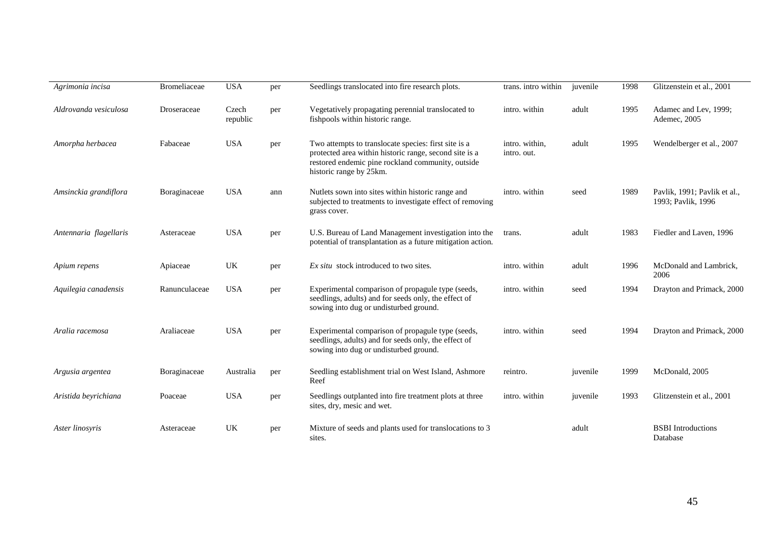| Agrimonia incisa       | Bromeliaceae  | <b>USA</b>        | per | Seedlings translocated into fire research plots.                                                                                                                                               | trans. intro within           | juvenile | 1998 | Glitzenstein et al., 2001                          |
|------------------------|---------------|-------------------|-----|------------------------------------------------------------------------------------------------------------------------------------------------------------------------------------------------|-------------------------------|----------|------|----------------------------------------------------|
| Aldrovanda vesiculosa  | Droseraceae   | Czech<br>republic | per | Vegetatively propagating perennial translocated to<br>fishpools within historic range.                                                                                                         | intro. within                 | adult    | 1995 | Adamec and Lev, 1999;<br>Ademec, 2005              |
| Amorpha herbacea       | Fabaceae      | <b>USA</b>        | per | Two attempts to translocate species: first site is a<br>protected area within historic range, second site is a<br>restored endemic pine rockland community, outside<br>historic range by 25km. | intro. within,<br>intro. out. | adult    | 1995 | Wendelberger et al., 2007                          |
| Amsinckia grandiflora  | Boraginaceae  | <b>USA</b>        | ann | Nutlets sown into sites within historic range and<br>subjected to treatments to investigate effect of removing<br>grass cover.                                                                 | intro. within                 | seed     | 1989 | Pavlik, 1991; Pavlik et al.,<br>1993; Pavlik, 1996 |
| Antennaria flagellaris | Asteraceae    | <b>USA</b>        | per | U.S. Bureau of Land Management investigation into the<br>potential of transplantation as a future mitigation action.                                                                           | trans.                        | adult    | 1983 | Fiedler and Laven, 1996                            |
| Apium repens           | Apiaceae      | UK                | per | <i>Ex situ</i> stock introduced to two sites.                                                                                                                                                  | intro. within                 | adult    | 1996 | McDonald and Lambrick,<br>2006                     |
| Aquilegia canadensis   | Ranunculaceae | <b>USA</b>        | per | Experimental comparison of propagule type (seeds,<br>seedlings, adults) and for seeds only, the effect of<br>sowing into dug or undisturbed ground.                                            | intro. within                 | seed     | 1994 | Drayton and Primack, 2000                          |
| Aralia racemosa        | Araliaceae    | <b>USA</b>        | per | Experimental comparison of propagule type (seeds,<br>seedlings, adults) and for seeds only, the effect of<br>sowing into dug or undisturbed ground.                                            | intro. within                 | seed     | 1994 | Drayton and Primack, 2000                          |
| Argusia argentea       | Boraginaceae  | Australia         | per | Seedling establishment trial on West Island, Ashmore<br>Reef                                                                                                                                   | reintro.                      | juvenile | 1999 | McDonald, 2005                                     |
| Aristida beyrichiana   | Poaceae       | <b>USA</b>        | per | Seedlings outplanted into fire treatment plots at three<br>sites, dry, mesic and wet.                                                                                                          | intro. within                 | juvenile | 1993 | Glitzenstein et al., 2001                          |
| Aster linosyris        | Asteraceae    | UK                | per | Mixture of seeds and plants used for translocations to 3<br>sites.                                                                                                                             |                               | adult    |      | <b>BSBI</b> Introductions<br>Database              |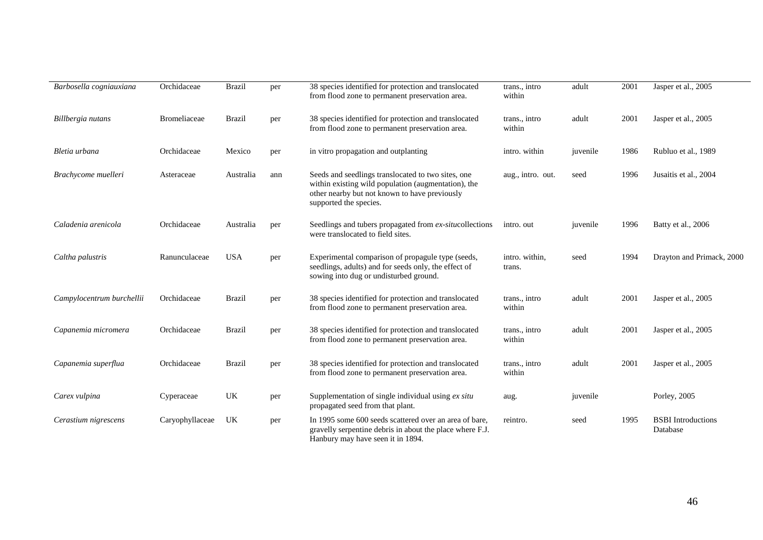| Barbosella cogniauxiana   | Orchidaceae         | <b>Brazil</b> | per | 38 species identified for protection and translocated<br>from flood zone to permanent preservation area.                                                                             | trans., intro<br>within  | adult    | 2001 | Jasper et al., 2005                   |
|---------------------------|---------------------|---------------|-----|--------------------------------------------------------------------------------------------------------------------------------------------------------------------------------------|--------------------------|----------|------|---------------------------------------|
| Billbergia nutans         | <b>Bromeliaceae</b> | <b>Brazil</b> | per | 38 species identified for protection and translocated<br>from flood zone to permanent preservation area.                                                                             | trans., intro<br>within  | adult    | 2001 | Jasper et al., 2005                   |
| Bletia urbana             | Orchidaceae         | Mexico        | per | in vitro propagation and outplanting                                                                                                                                                 | intro. within            | juvenile | 1986 | Rubluo et al., 1989                   |
| Brachycome muelleri       | Asteraceae          | Australia     | ann | Seeds and seedlings translocated to two sites, one<br>within existing wild population (augmentation), the<br>other nearby but not known to have previously<br>supported the species. | aug., intro. out.        | seed     | 1996 | Jusaitis et al., 2004                 |
| Caladenia arenicola       | Orchidaceae         | Australia     | per | Seedlings and tubers propagated from ex-situcollections<br>were translocated to field sites.                                                                                         | intro. out               | juvenile | 1996 | Batty et al., 2006                    |
| Caltha palustris          | Ranunculaceae       | <b>USA</b>    | per | Experimental comparison of propagule type (seeds,<br>seedlings, adults) and for seeds only, the effect of<br>sowing into dug or undisturbed ground.                                  | intro. within,<br>trans. | seed     | 1994 | Drayton and Primack, 2000             |
| Campylocentrum burchellii | Orchidaceae         | <b>Brazil</b> | per | 38 species identified for protection and translocated<br>from flood zone to permanent preservation area.                                                                             | trans., intro<br>within  | adult    | 2001 | Jasper et al., 2005                   |
| Capanemia micromera       | Orchidaceae         | <b>Brazil</b> | per | 38 species identified for protection and translocated<br>from flood zone to permanent preservation area.                                                                             | trans., intro<br>within  | adult    | 2001 | Jasper et al., 2005                   |
| Capanemia superflua       | Orchidaceae         | <b>Brazil</b> | per | 38 species identified for protection and translocated<br>from flood zone to permanent preservation area.                                                                             | trans., intro<br>within  | adult    | 2001 | Jasper et al., 2005                   |
| Carex vulpina             | Cyperaceae          | UK            | per | Supplementation of single individual using ex situ<br>propagated seed from that plant.                                                                                               | aug.                     | juvenile |      | Porley, 2005                          |
| Cerastium nigrescens      | Caryophyllaceae     | UK            | per | In 1995 some 600 seeds scattered over an area of bare,<br>gravelly serpentine debris in about the place where F.J.<br>Hanbury may have seen it in 1894.                              | reintro.                 | seed     | 1995 | <b>BSBI</b> Introductions<br>Database |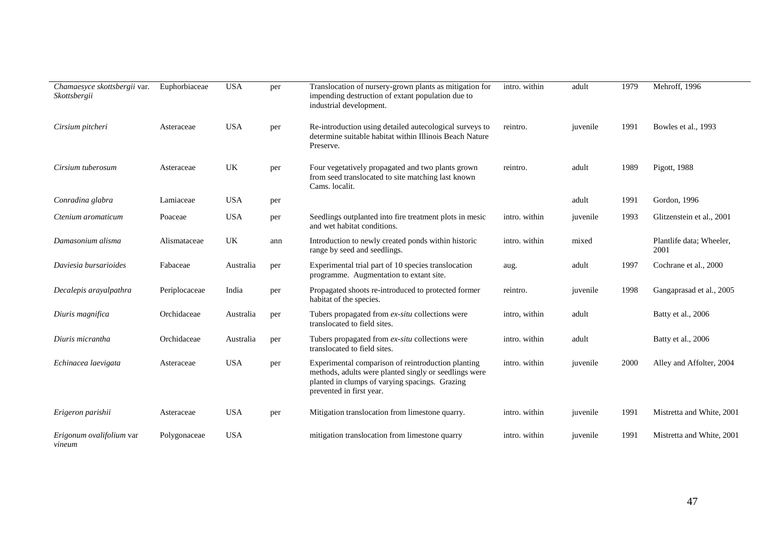| Chamaesyce skottsbergii var.<br>Skottsbergii | Euphorbiaceae | <b>USA</b> | per | Translocation of nursery-grown plants as mitigation for<br>impending destruction of extant population due to<br>industrial development.                                                   | intro. within | adult    | 1979 | Mehroff, 1996                    |
|----------------------------------------------|---------------|------------|-----|-------------------------------------------------------------------------------------------------------------------------------------------------------------------------------------------|---------------|----------|------|----------------------------------|
| Cirsium pitcheri                             | Asteraceae    | <b>USA</b> | per | Re-introduction using detailed autecological surveys to<br>determine suitable habitat within Illinois Beach Nature<br>Preserve.                                                           | reintro.      | juvenile | 1991 | Bowles et al., 1993              |
| Cirsium tuberosum                            | Asteraceae    | UK         | per | Four vegetatively propagated and two plants grown<br>from seed translocated to site matching last known<br>Cams. localit.                                                                 | reintro.      | adult    | 1989 | Pigott, 1988                     |
| Conradina glabra                             | Lamiaceae     | <b>USA</b> | per |                                                                                                                                                                                           |               | adult    | 1991 | Gordon, 1996                     |
| Ctenium aromaticum                           | Poaceae       | <b>USA</b> | per | Seedlings outplanted into fire treatment plots in mesic<br>and wet habitat conditions.                                                                                                    | intro. within | juvenile | 1993 | Glitzenstein et al., 2001        |
| Damasonium alisma                            | Alismataceae  | UK         | ann | Introduction to newly created ponds within historic<br>range by seed and seedlings.                                                                                                       | intro. within | mixed    |      | Plantlife data; Wheeler,<br>2001 |
| Daviesia bursarioides                        | Fabaceae      | Australia  | per | Experimental trial part of 10 species translocation<br>programme. Augmentation to extant site.                                                                                            | aug.          | adult    | 1997 | Cochrane et al., 2000            |
| Decalepis arayalpathra                       | Periplocaceae | India      | per | Propagated shoots re-introduced to protected former<br>habitat of the species.                                                                                                            | reintro.      | juvenile | 1998 | Gangaprasad et al., 2005         |
| Diuris magnifica                             | Orchidaceae   | Australia  | per | Tubers propagated from ex-situ collections were<br>translocated to field sites.                                                                                                           | intro, within | adult    |      | Batty et al., 2006               |
| Diuris micrantha                             | Orchidaceae   | Australia  | per | Tubers propagated from ex-situ collections were<br>translocated to field sites.                                                                                                           | intro. within | adult    |      | Batty et al., 2006               |
| Echinacea laevigata                          | Asteraceae    | <b>USA</b> | per | Experimental comparison of reintroduction planting<br>methods, adults were planted singly or seedlings were<br>planted in clumps of varying spacings. Grazing<br>prevented in first year. | intro. within | juvenile | 2000 | Alley and Affolter, 2004         |
| Erigeron parishii                            | Asteraceae    | <b>USA</b> | per | Mitigation translocation from limestone quarry.                                                                                                                                           | intro. within | juvenile | 1991 | Mistretta and White, 2001        |
| Erigonum ovalifolium var<br>vineum           | Polygonaceae  | <b>USA</b> |     | mitigation translocation from limestone quarry                                                                                                                                            | intro. within | juvenile | 1991 | Mistretta and White, 2001        |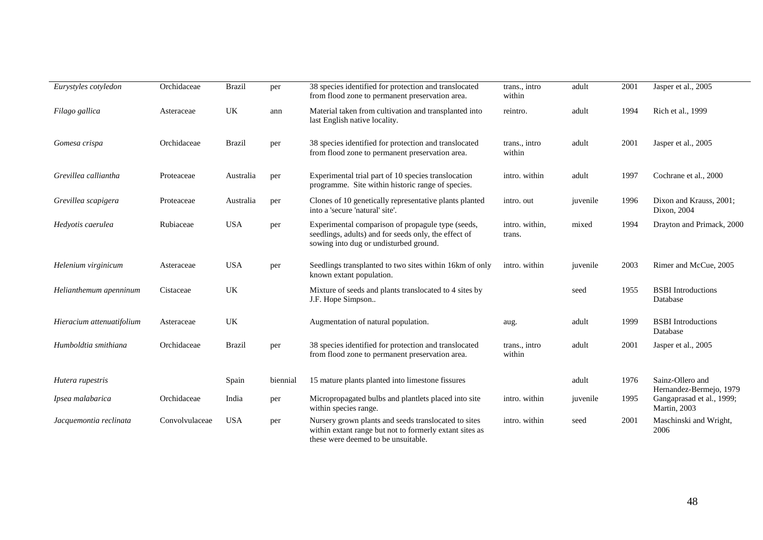| Eurystyles cotyledon      | Orchidaceae    | <b>Brazil</b> | per      | 38 species identified for protection and translocated<br>from flood zone to permanent preservation area.                                               | trans., intro<br>within  | adult    | 2001 | Jasper et al., 2005                         |
|---------------------------|----------------|---------------|----------|--------------------------------------------------------------------------------------------------------------------------------------------------------|--------------------------|----------|------|---------------------------------------------|
| Filago gallica            | Asteraceae     | UK            | ann      | Material taken from cultivation and transplanted into<br>last English native locality.                                                                 | reintro.                 | adult    | 1994 | Rich et al., 1999                           |
| Gomesa crispa             | Orchidaceae    | <b>Brazil</b> | per      | 38 species identified for protection and translocated<br>from flood zone to permanent preservation area.                                               | trans., intro<br>within  | adult    | 2001 | Jasper et al., 2005                         |
| Grevillea calliantha      | Proteaceae     | Australia     | per      | Experimental trial part of 10 species translocation<br>programme. Site within historic range of species.                                               | intro. within            | adult    | 1997 | Cochrane et al., 2000                       |
| Grevillea scapigera       | Proteaceae     | Australia     | per      | Clones of 10 genetically representative plants planted<br>into a 'secure 'natural' site'.                                                              | intro. out               | juvenile | 1996 | Dixon and Krauss, 2001;<br>Dixon, 2004      |
| Hedyotis caerulea         | Rubiaceae      | <b>USA</b>    | per      | Experimental comparison of propagule type (seeds,<br>seedlings, adults) and for seeds only, the effect of<br>sowing into dug or undisturbed ground.    | intro. within,<br>trans. | mixed    | 1994 | Drayton and Primack, 2000                   |
| Helenium virginicum       | Asteraceae     | <b>USA</b>    | per      | Seedlings transplanted to two sites within 16km of only<br>known extant population.                                                                    | intro. within            | juvenile | 2003 | Rimer and McCue, 2005                       |
| Helianthemum apenninum    | Cistaceae      | UK            |          | Mixture of seeds and plants translocated to 4 sites by<br>J.F. Hope Simpson                                                                            |                          | seed     | 1955 | <b>BSBI</b> Introductions<br>Database       |
| Hieracium attenuatifolium | Asteraceae     | UK            |          | Augmentation of natural population.                                                                                                                    | aug.                     | adult    | 1999 | <b>BSBI</b> Introductions<br>Database       |
| Humboldtia smithiana      | Orchidaceae    | <b>Brazil</b> | per      | 38 species identified for protection and translocated<br>from flood zone to permanent preservation area.                                               | trans., intro<br>within  | adult    | 2001 | Jasper et al., 2005                         |
| Hutera rupestris          |                | Spain         | biennial | 15 mature plants planted into limestone fissures                                                                                                       |                          | adult    | 1976 | Sainz-Ollero and<br>Hernandez-Bermejo, 1979 |
| Ipsea malabarica          | Orchidaceae    | India         | per      | Micropropagated bulbs and plantlets placed into site<br>within species range.                                                                          | intro. within            | juvenile | 1995 | Gangaprasad et al., 1999;<br>Martin, 2003   |
| Jacquemontia reclinata    | Convolvulaceae | <b>USA</b>    | per      | Nursery grown plants and seeds translocated to sites<br>within extant range but not to formerly extant sites as<br>these were deemed to be unsuitable. | intro. within            | seed     | 2001 | Maschinski and Wright,<br>2006              |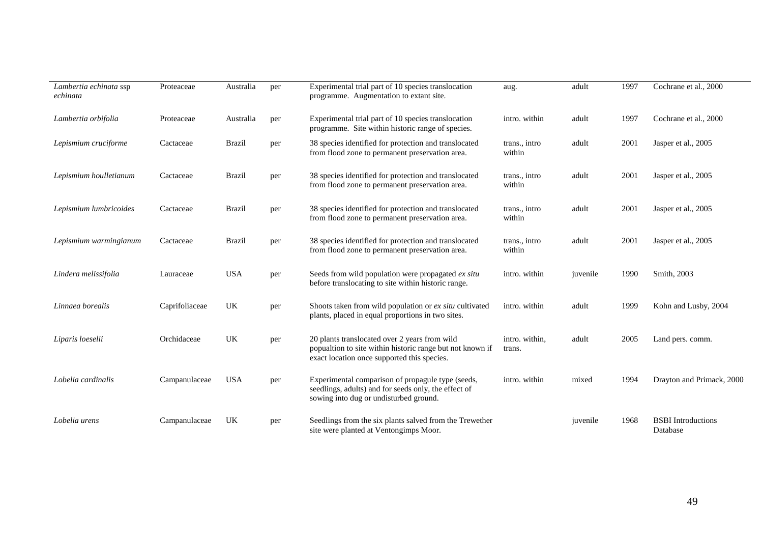| Lambertia echinata ssp<br>echinata | Proteaceae     | Australia     | per | Experimental trial part of 10 species translocation<br>programme. Augmentation to extant site.                                                            | aug.                     | adult    | 1997 | Cochrane et al., 2000                 |
|------------------------------------|----------------|---------------|-----|-----------------------------------------------------------------------------------------------------------------------------------------------------------|--------------------------|----------|------|---------------------------------------|
| Lambertia orbifolia                | Proteaceae     | Australia     | per | Experimental trial part of 10 species translocation<br>programme. Site within historic range of species.                                                  | intro. within            | adult    | 1997 | Cochrane et al., 2000                 |
| Lepismium cruciforme               | Cactaceae      | <b>Brazil</b> | per | 38 species identified for protection and translocated<br>from flood zone to permanent preservation area.                                                  | trans., intro<br>within  | adult    | 2001 | Jasper et al., 2005                   |
| Lepismium houlletianum             | Cactaceae      | <b>Brazil</b> | per | 38 species identified for protection and translocated<br>from flood zone to permanent preservation area.                                                  | trans., intro<br>within  | adult    | 2001 | Jasper et al., 2005                   |
| Lepismium lumbricoides             | Cactaceae      | <b>Brazil</b> | per | 38 species identified for protection and translocated<br>from flood zone to permanent preservation area.                                                  | trans., intro<br>within  | adult    | 2001 | Jasper et al., 2005                   |
| Lepismium warmingianum             | Cactaceae      | <b>Brazil</b> | per | 38 species identified for protection and translocated<br>from flood zone to permanent preservation area.                                                  | trans., intro<br>within  | adult    | 2001 | Jasper et al., 2005                   |
| Lindera melissifolia               | Lauraceae      | <b>USA</b>    | per | Seeds from wild population were propagated ex situ<br>before translocating to site within historic range.                                                 | intro. within            | juvenile | 1990 | Smith, 2003                           |
| Linnaea borealis                   | Caprifoliaceae | UK            | per | Shoots taken from wild population or ex situ cultivated<br>plants, placed in equal proportions in two sites.                                              | intro. within            | adult    | 1999 | Kohn and Lusby, 2004                  |
| Liparis loeselii                   | Orchidaceae    | UK            | per | 20 plants translocated over 2 years from wild<br>popualtion to site within historic range but not known if<br>exact location once supported this species. | intro. within,<br>trans. | adult    | 2005 | Land pers. comm.                      |
| Lobelia cardinalis                 | Campanulaceae  | <b>USA</b>    | per | Experimental comparison of propagule type (seeds,<br>seedlings, adults) and for seeds only, the effect of<br>sowing into dug or undisturbed ground.       | intro. within            | mixed    | 1994 | Drayton and Primack, 2000             |
| Lobelia urens                      | Campanulaceae  | UK            | per | Seedlings from the six plants salved from the Trewether<br>site were planted at Ventongimps Moor.                                                         |                          | juvenile | 1968 | <b>BSBI</b> Introductions<br>Database |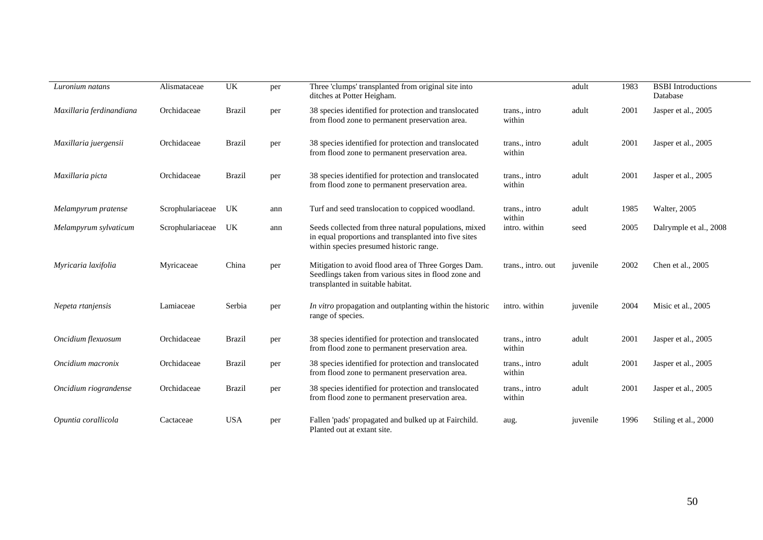| Luronium natans          | Alismataceae     | UK            | per | Three 'clumps' transplanted from original site into<br>ditches at Potter Heigham.                                                                         |                         | adult    | 1983 | <b>BSBI</b> Introductions<br>Database |
|--------------------------|------------------|---------------|-----|-----------------------------------------------------------------------------------------------------------------------------------------------------------|-------------------------|----------|------|---------------------------------------|
| Maxillaria ferdinandiana | Orchidaceae      | <b>Brazil</b> | per | 38 species identified for protection and translocated<br>from flood zone to permanent preservation area.                                                  | trans., intro<br>within | adult    | 2001 | Jasper et al., 2005                   |
| Maxillaria juergensii    | Orchidaceae      | <b>Brazil</b> | per | 38 species identified for protection and translocated<br>from flood zone to permanent preservation area.                                                  | trans., intro<br>within | adult    | 2001 | Jasper et al., 2005                   |
| Maxillaria picta         | Orchidaceae      | <b>Brazil</b> | per | 38 species identified for protection and translocated<br>from flood zone to permanent preservation area.                                                  | trans., intro<br>within | adult    | 2001 | Jasper et al., 2005                   |
| Melampyrum pratense      | Scrophulariaceae | UK            | ann | Turf and seed translocation to coppiced woodland.                                                                                                         | trans., intro<br>within | adult    | 1985 | <b>Walter, 2005</b>                   |
| Melampyrum sylvaticum    | Scrophulariaceae | UK            | ann | Seeds collected from three natural populations, mixed<br>in equal proportions and transplanted into five sites<br>within species presumed historic range. | intro. within           | seed     | 2005 | Dalrymple et al., 2008                |
| Myricaria laxifolia      | Myricaceae       | China         | per | Mitigation to avoid flood area of Three Gorges Dam.<br>Seedlings taken from various sites in flood zone and<br>transplanted in suitable habitat.          | trans., intro. out      | juvenile | 2002 | Chen et al., 2005                     |
| Nepeta rtanjensis        | Lamiaceae        | Serbia        | per | In vitro propagation and outplanting within the historic<br>range of species.                                                                             | intro. within           | juvenile | 2004 | Misic et al., 2005                    |
| Oncidium flexuosum       | Orchidaceae      | <b>Brazil</b> | per | 38 species identified for protection and translocated<br>from flood zone to permanent preservation area.                                                  | trans., intro<br>within | adult    | 2001 | Jasper et al., 2005                   |
| Oncidium macronix        | Orchidaceae      | <b>Brazil</b> | per | 38 species identified for protection and translocated<br>from flood zone to permanent preservation area.                                                  | trans., intro<br>within | adult    | 2001 | Jasper et al., 2005                   |
| Oncidium riograndense    | Orchidaceae      | <b>Brazil</b> | per | 38 species identified for protection and translocated<br>from flood zone to permanent preservation area.                                                  | trans., intro<br>within | adult    | 2001 | Jasper et al., 2005                   |
| Opuntia corallicola      | Cactaceae        | <b>USA</b>    | per | Fallen 'pads' propagated and bulked up at Fairchild.<br>Planted out at extant site.                                                                       | aug.                    | juvenile | 1996 | Stiling et al., 2000                  |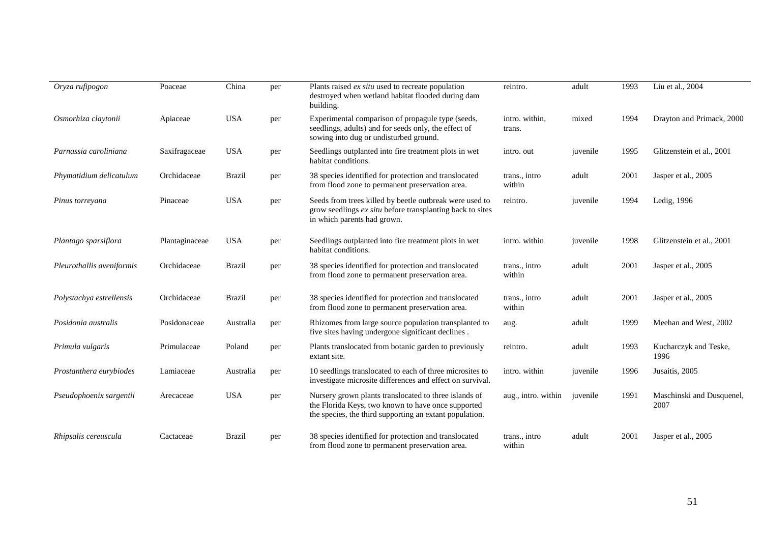| Oryza rufipogon           | Poaceae        | China         | per | Plants raised ex situ used to recreate population<br>destroyed when wetland habitat flooded during dam<br>building.                                                    | reintro.                 | adult    | 1993 | Liu et al., 2004                  |
|---------------------------|----------------|---------------|-----|------------------------------------------------------------------------------------------------------------------------------------------------------------------------|--------------------------|----------|------|-----------------------------------|
| Osmorhiza claytonii       | Apiaceae       | <b>USA</b>    | per | Experimental comparison of propagule type (seeds,<br>seedlings, adults) and for seeds only, the effect of<br>sowing into dug or undisturbed ground.                    | intro. within,<br>trans. | mixed    | 1994 | Drayton and Primack, 2000         |
| Parnassia caroliniana     | Saxifragaceae  | <b>USA</b>    | per | Seedlings outplanted into fire treatment plots in wet<br>habitat conditions.                                                                                           | intro. out               | juvenile | 1995 | Glitzenstein et al., 2001         |
| Phymatidium delicatulum   | Orchidaceae    | <b>Brazil</b> | per | 38 species identified for protection and translocated<br>from flood zone to permanent preservation area.                                                               | trans., intro<br>within  | adult    | 2001 | Jasper et al., 2005               |
| Pinus torreyana           | Pinaceae       | <b>USA</b>    | per | Seeds from trees killed by beetle outbreak were used to<br>grow seedlings ex situ before transplanting back to sites<br>in which parents had grown.                    | reintro.                 | juvenile | 1994 | Ledig, 1996                       |
| Plantago sparsiflora      | Plantaginaceae | <b>USA</b>    | per | Seedlings outplanted into fire treatment plots in wet<br>habitat conditions.                                                                                           | intro. within            | juvenile | 1998 | Glitzenstein et al., 2001         |
| Pleurothallis aveniformis | Orchidaceae    | <b>Brazil</b> | per | 38 species identified for protection and translocated<br>from flood zone to permanent preservation area.                                                               | trans., intro<br>within  | adult    | 2001 | Jasper et al., 2005               |
| Polystachya estrellensis  | Orchidaceae    | <b>Brazil</b> | per | 38 species identified for protection and translocated<br>from flood zone to permanent preservation area.                                                               | trans., intro<br>within  | adult    | 2001 | Jasper et al., 2005               |
| Posidonia australis       | Posidonaceae   | Australia     | per | Rhizomes from large source population transplanted to<br>five sites having undergone significant declines.                                                             | aug.                     | adult    | 1999 | Meehan and West, 2002             |
| Primula vulgaris          | Primulaceae    | Poland        | per | Plants translocated from botanic garden to previously<br>extant site.                                                                                                  | reintro.                 | adult    | 1993 | Kucharczyk and Teske,<br>1996     |
| Prostanthera eurybiodes   | Lamiaceae      | Australia     | per | 10 seedlings translocated to each of three microsites to<br>investigate microsite differences and effect on survival.                                                  | intro. within            | juvenile | 1996 | Jusaitis, 2005                    |
| Pseudophoenix sargentii   | Arecaceae      | <b>USA</b>    | per | Nursery grown plants translocated to three islands of<br>the Florida Keys, two known to have once supported<br>the species, the third supporting an extant population. | aug., intro. within      | juvenile | 1991 | Maschinski and Dusquenel,<br>2007 |
| Rhipsalis cereuscula      | Cactaceae      | <b>Brazil</b> | per | 38 species identified for protection and translocated<br>from flood zone to permanent preservation area.                                                               | trans., intro<br>within  | adult    | 2001 | Jasper et al., 2005               |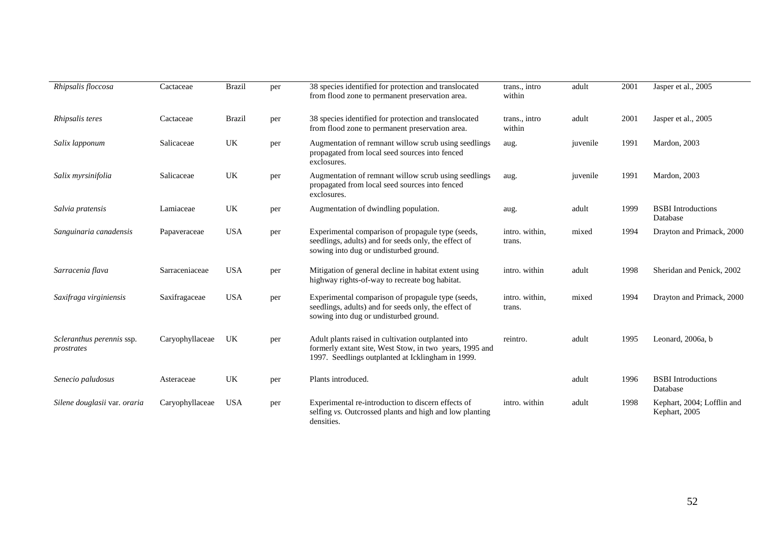| Rhipsalis floccosa                      | Cactaceae       | <b>Brazil</b> | per | 38 species identified for protection and translocated<br>from flood zone to permanent preservation area.                                                           | trans., intro<br>within  | adult    | 2001 | Jasper et al., 2005                         |
|-----------------------------------------|-----------------|---------------|-----|--------------------------------------------------------------------------------------------------------------------------------------------------------------------|--------------------------|----------|------|---------------------------------------------|
| Rhipsalis teres                         | Cactaceae       | <b>Brazil</b> | per | 38 species identified for protection and translocated<br>from flood zone to permanent preservation area.                                                           | trans., intro<br>within  | adult    | 2001 | Jasper et al., 2005                         |
| Salix lapponum                          | Salicaceae      | UK            | per | Augmentation of remnant willow scrub using seedlings<br>propagated from local seed sources into fenced<br>exclosures.                                              | aug.                     | juvenile | 1991 | Mardon, 2003                                |
| Salix myrsinifolia                      | Salicaceae      | UK            | per | Augmentation of remnant willow scrub using seedlings<br>propagated from local seed sources into fenced<br>exclosures.                                              | aug.                     | juvenile | 1991 | Mardon, 2003                                |
| Salvia pratensis                        | Lamiaceae       | UK            | per | Augmentation of dwindling population.                                                                                                                              | aug.                     | adult    | 1999 | <b>BSBI</b> Introductions<br>Database       |
| Sanguinaria canadensis                  | Papaveraceae    | <b>USA</b>    | per | Experimental comparison of propagule type (seeds,<br>seedlings, adults) and for seeds only, the effect of<br>sowing into dug or undisturbed ground.                | intro. within,<br>trans. | mixed    | 1994 | Drayton and Primack, 2000                   |
| Sarracenia flava                        | Sarraceniaceae  | <b>USA</b>    | per | Mitigation of general decline in habitat extent using<br>highway rights-of-way to recreate bog habitat.                                                            | intro. within            | adult    | 1998 | Sheridan and Penick, 2002                   |
| Saxifraga virginiensis                  | Saxifragaceae   | <b>USA</b>    | per | Experimental comparison of propagule type (seeds,<br>seedlings, adults) and for seeds only, the effect of<br>sowing into dug or undisturbed ground.                | intro. within,<br>trans. | mixed    | 1994 | Drayton and Primack, 2000                   |
| Scleranthus perennis ssp.<br>prostrates | Caryophyllaceae | UK            | per | Adult plants raised in cultivation outplanted into<br>formerly extant site, West Stow, in two years, 1995 and<br>1997. Seedlings outplanted at Icklingham in 1999. | reintro.                 | adult    | 1995 | Leonard, 2006a, b                           |
| Senecio paludosus                       | Asteraceae      | UK            | per | Plants introduced.                                                                                                                                                 |                          | adult    | 1996 | <b>BSBI</b> Introductions<br>Database       |
| Silene douglasii var. oraria            | Caryophyllaceae | <b>USA</b>    | per | Experimental re-introduction to discern effects of<br>selfing vs. Outcrossed plants and high and low planting<br>densities.                                        | intro. within            | adult    | 1998 | Kephart, 2004; Lofflin and<br>Kephart, 2005 |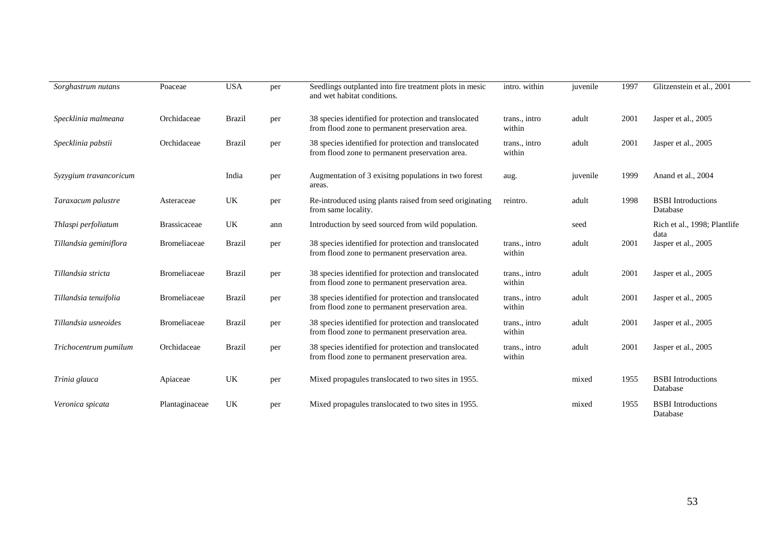| Sorghastrum nutans     | Poaceae             | <b>USA</b>    | per | Seedlings outplanted into fire treatment plots in mesic<br>and wet habitat conditions.                   | intro. within           | juvenile | 1997 | Glitzenstein et al., 2001             |
|------------------------|---------------------|---------------|-----|----------------------------------------------------------------------------------------------------------|-------------------------|----------|------|---------------------------------------|
| Specklinia malmeana    | Orchidaceae         | <b>Brazil</b> | per | 38 species identified for protection and translocated<br>from flood zone to permanent preservation area. | trans., intro<br>within | adult    | 2001 | Jasper et al., 2005                   |
| Specklinia pabstii     | Orchidaceae         | <b>Brazil</b> | per | 38 species identified for protection and translocated<br>from flood zone to permanent preservation area. | trans., intro<br>within | adult    | 2001 | Jasper et al., 2005                   |
| Syzygium travancoricum |                     | India         | per | Augmentation of 3 exisitng populations in two forest<br>areas.                                           | aug.                    | juvenile | 1999 | Anand et al., 2004                    |
| Taraxacum palustre     | Asteraceae          | UK            | per | Re-introduced using plants raised from seed originating<br>from same locality.                           | reintro.                | adult    | 1998 | <b>BSBI</b> Introductions<br>Database |
| Thlaspi perfoliatum    | <b>Brassicaceae</b> | UK            | ann | Introduction by seed sourced from wild population.                                                       |                         | seed     |      | Rich et al., 1998; Plantlife<br>data  |
| Tillandsia geminiflora | Bromeliaceae        | <b>Brazil</b> | per | 38 species identified for protection and translocated<br>from flood zone to permanent preservation area. | trans., intro<br>within | adult    | 2001 | Jasper et al., 2005                   |
| Tillandsia stricta     | <b>Bromeliaceae</b> | <b>Brazil</b> | per | 38 species identified for protection and translocated<br>from flood zone to permanent preservation area. | trans., intro<br>within | adult    | 2001 | Jasper et al., 2005                   |
| Tillandsia tenuifolia  | <b>Bromeliaceae</b> | <b>Brazil</b> | per | 38 species identified for protection and translocated<br>from flood zone to permanent preservation area. | trans., intro<br>within | adult    | 2001 | Jasper et al., 2005                   |
| Tillandsia usneoides   | <b>Bromeliaceae</b> | <b>Brazil</b> | per | 38 species identified for protection and translocated<br>from flood zone to permanent preservation area. | trans., intro<br>within | adult    | 2001 | Jasper et al., 2005                   |
| Trichocentrum pumilum  | Orchidaceae         | <b>Brazil</b> | per | 38 species identified for protection and translocated<br>from flood zone to permanent preservation area. | trans., intro<br>within | adult    | 2001 | Jasper et al., 2005                   |
| Trinia glauca          | Apiaceae            | UK            | per | Mixed propagules translocated to two sites in 1955.                                                      |                         | mixed    | 1955 | <b>BSBI</b> Introductions<br>Database |
| Veronica spicata       | Plantaginaceae      | UK            | per | Mixed propagules translocated to two sites in 1955.                                                      |                         | mixed    | 1955 | <b>BSBI</b> Introductions<br>Database |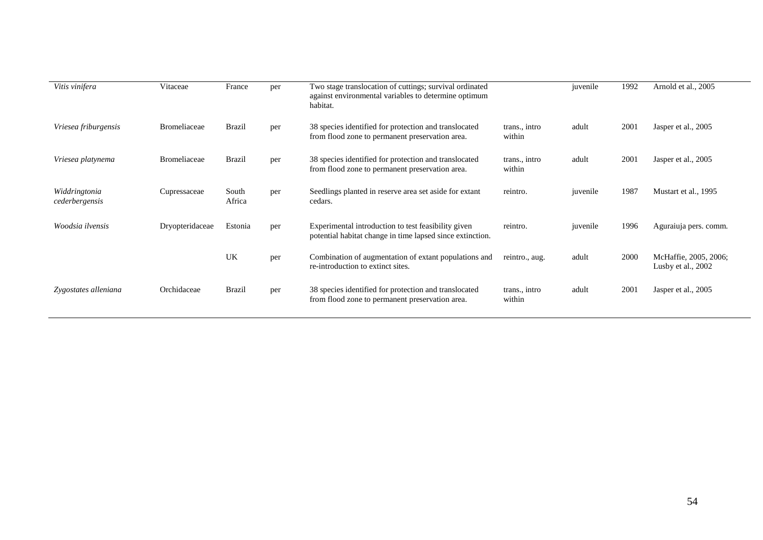| Vitis vinifera                  | Vitaceae            | France          | per | Two stage translocation of cuttings; survival ordinated<br>against environmental variables to determine optimum<br>habitat. |                         | juvenile | 1992 | Arnold et al., 2005                           |
|---------------------------------|---------------------|-----------------|-----|-----------------------------------------------------------------------------------------------------------------------------|-------------------------|----------|------|-----------------------------------------------|
| Vriesea friburgensis            | <b>Bromeliaceae</b> | Brazil          | per | 38 species identified for protection and translocated<br>from flood zone to permanent preservation area.                    | trans., intro<br>within | adult    | 2001 | Jasper et al., 2005                           |
| Vriesea platynema               | <b>Bromeliaceae</b> | <b>Brazil</b>   | per | 38 species identified for protection and translocated<br>from flood zone to permanent preservation area.                    | trans., intro<br>within | adult    | 2001 | Jasper et al., 2005                           |
| Widdringtonia<br>cederbergensis | Cupressaceae        | South<br>Africa | per | Seedlings planted in reserve area set aside for extant<br>cedars.                                                           | reintro.                | juvenile | 1987 | Mustart et al., 1995                          |
| Woodsia ilvensis                | Dryopteridaceae     | Estonia         | per | Experimental introduction to test feasibility given<br>potential habitat change in time lapsed since extinction.            | reintro.                | juvenile | 1996 | Aguraiuja pers. comm.                         |
|                                 |                     | UK              | per | Combination of augmentation of extant populations and<br>re-introduction to extinct sites.                                  | reintro., aug.          | adult    | 2000 | McHaffie, 2005, 2006;<br>Lusby et al., $2002$ |
| Zygostates alleniana            | Orchidaceae         | <b>Brazil</b>   | per | 38 species identified for protection and translocated<br>from flood zone to permanent preservation area.                    | trans., intro<br>within | adult    | 2001 | Jasper et al., 2005                           |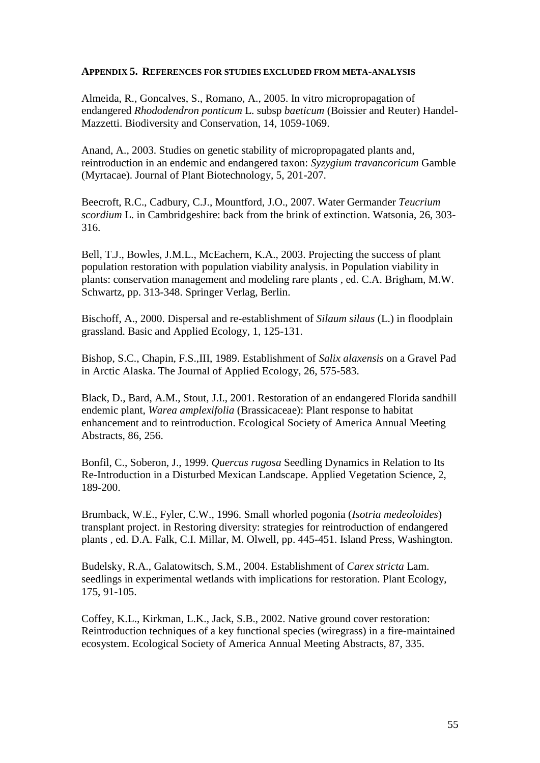#### **APPENDIX 5. REFERENCES FOR STUDIES EXCLUDED FROM META-ANALYSIS**

Almeida, R., Goncalves, S., Romano, A., 2005. In vitro micropropagation of endangered *Rhododendron ponticum* L. subsp *baeticum* (Boissier and Reuter) Handel-Mazzetti. Biodiversity and Conservation, 14, 1059-1069.

Anand, A., 2003. Studies on genetic stability of micropropagated plants and, reintroduction in an endemic and endangered taxon: *Syzygium travancoricum* Gamble (Myrtacae). Journal of Plant Biotechnology, 5, 201-207.

Beecroft, R.C., Cadbury, C.J., Mountford, J.O., 2007. Water Germander *Teucrium scordium* L. in Cambridgeshire: back from the brink of extinction. Watsonia, 26, 303- 316.

Bell, T.J., Bowles, J.M.L., McEachern, K.A., 2003. Projecting the success of plant population restoration with population viability analysis. in Population viability in plants: conservation management and modeling rare plants , ed. C.A. Brigham, M.W. Schwartz, pp. 313-348. Springer Verlag, Berlin.

Bischoff, A., 2000. Dispersal and re-establishment of *Silaum silaus* (L.) in floodplain grassland. Basic and Applied Ecology, 1, 125-131.

Bishop, S.C., Chapin, F.S.,III, 1989. Establishment of *Salix alaxensis* on a Gravel Pad in Arctic Alaska. The Journal of Applied Ecology, 26, 575-583.

Black, D., Bard, A.M., Stout, J.I., 2001. Restoration of an endangered Florida sandhill endemic plant, *Warea amplexifolia* (Brassicaceae): Plant response to habitat enhancement and to reintroduction. Ecological Society of America Annual Meeting Abstracts, 86, 256.

Bonfil, C., Soberon, J., 1999. *Quercus rugosa* Seedling Dynamics in Relation to Its Re-Introduction in a Disturbed Mexican Landscape. Applied Vegetation Science, 2, 189-200.

Brumback, W.E., Fyler, C.W., 1996. Small whorled pogonia (*Isotria medeoloides*) transplant project. in Restoring diversity: strategies for reintroduction of endangered plants , ed. D.A. Falk, C.I. Millar, M. Olwell, pp. 445-451. Island Press, Washington.

Budelsky, R.A., Galatowitsch, S.M., 2004. Establishment of *Carex stricta* Lam. seedlings in experimental wetlands with implications for restoration. Plant Ecology, 175, 91-105.

Coffey, K.L., Kirkman, L.K., Jack, S.B., 2002. Native ground cover restoration: Reintroduction techniques of a key functional species (wiregrass) in a fire-maintained ecosystem. Ecological Society of America Annual Meeting Abstracts, 87, 335.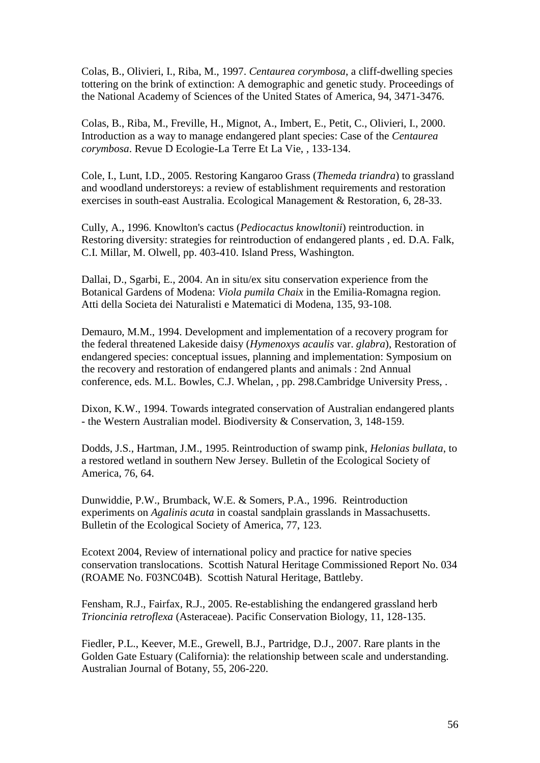Colas, B., Olivieri, I., Riba, M., 1997. *Centaurea corymbosa*, a cliff-dwelling species tottering on the brink of extinction: A demographic and genetic study. Proceedings of the National Academy of Sciences of the United States of America, 94, 3471-3476.

Colas, B., Riba, M., Freville, H., Mignot, A., Imbert, E., Petit, C., Olivieri, I., 2000. Introduction as a way to manage endangered plant species: Case of the *Centaurea corymbosa*. Revue D Ecologie-La Terre Et La Vie, , 133-134.

Cole, I., Lunt, I.D., 2005. Restoring Kangaroo Grass (*Themeda triandra*) to grassland and woodland understoreys: a review of establishment requirements and restoration exercises in south-east Australia. Ecological Management & Restoration, 6, 28-33.

Cully, A., 1996. Knowlton's cactus (*Pediocactus knowltonii*) reintroduction. in Restoring diversity: strategies for reintroduction of endangered plants , ed. D.A. Falk, C.I. Millar, M. Olwell, pp. 403-410. Island Press, Washington.

Dallai, D., Sgarbi, E., 2004. An in situ/ex situ conservation experience from the Botanical Gardens of Modena: *Viola pumila Chaix* in the Emilia-Romagna region. Atti della Societa dei Naturalisti e Matematici di Modena, 135, 93-108.

Demauro, M.M., 1994. Development and implementation of a recovery program for the federal threatened Lakeside daisy (*Hymenoxys acaulis* var. *glabra*), Restoration of endangered species: conceptual issues, planning and implementation: Symposium on the recovery and restoration of endangered plants and animals : 2nd Annual conference, eds. M.L. Bowles, C.J. Whelan, , pp. 298.Cambridge University Press, .

Dixon, K.W., 1994. Towards integrated conservation of Australian endangered plants - the Western Australian model. Biodiversity & Conservation, 3, 148-159.

Dodds, J.S., Hartman, J.M., 1995. Reintroduction of swamp pink, *Helonias bullata*, to a restored wetland in southern New Jersey. Bulletin of the Ecological Society of America, 76, 64.

Dunwiddie, P.W., Brumback, W.E. & Somers, P.A., 1996. Reintroduction experiments on *Agalinis acuta* in coastal sandplain grasslands in Massachusetts. Bulletin of the Ecological Society of America, 77, 123.

Ecotext 2004, Review of international policy and practice for native species conservation translocations. Scottish Natural Heritage Commissioned Report No. 034 (ROAME No. F03NC04B). Scottish Natural Heritage, Battleby.

Fensham, R.J., Fairfax, R.J., 2005. Re-establishing the endangered grassland herb *Trioncinia retroflexa* (Asteraceae). Pacific Conservation Biology, 11, 128-135.

Fiedler, P.L., Keever, M.E., Grewell, B.J., Partridge, D.J., 2007. Rare plants in the Golden Gate Estuary (California): the relationship between scale and understanding. Australian Journal of Botany, 55, 206-220.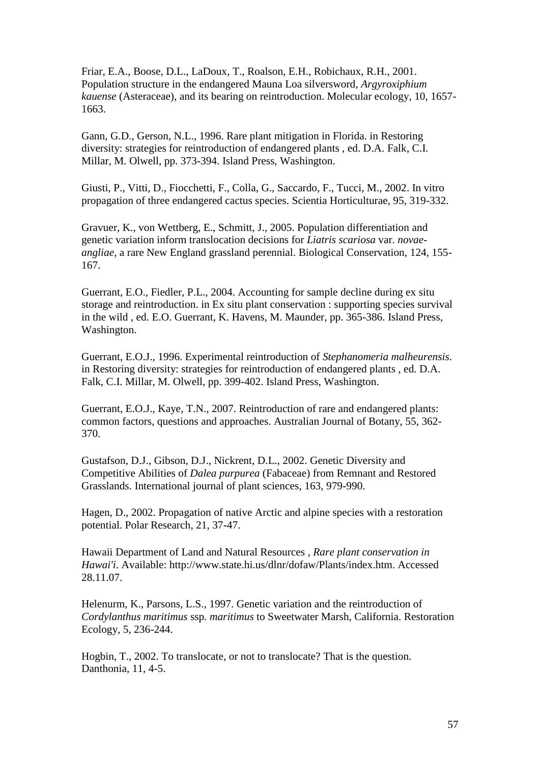Friar, E.A., Boose, D.L., LaDoux, T., Roalson, E.H., Robichaux, R.H., 2001. Population structure in the endangered Mauna Loa silversword, *Argyroxiphium kauense* (Asteraceae), and its bearing on reintroduction. Molecular ecology, 10, 1657- 1663.

Gann, G.D., Gerson, N.L., 1996. Rare plant mitigation in Florida. in Restoring diversity: strategies for reintroduction of endangered plants , ed. D.A. Falk, C.I. Millar, M. Olwell, pp. 373-394. Island Press, Washington.

Giusti, P., Vitti, D., Fiocchetti, F., Colla, G., Saccardo, F., Tucci, M., 2002. In vitro propagation of three endangered cactus species. Scientia Horticulturae, 95, 319-332.

Gravuer, K., von Wettberg, E., Schmitt, J., 2005. Population differentiation and genetic variation inform translocation decisions for *Liatris scariosa* var. *novaeangliae*, a rare New England grassland perennial. Biological Conservation, 124, 155- 167.

Guerrant, E.O., Fiedler, P.L., 2004. Accounting for sample decline during ex situ storage and reintroduction. in Ex situ plant conservation : supporting species survival in the wild , ed. E.O. Guerrant, K. Havens, M. Maunder, pp. 365-386. Island Press, Washington.

Guerrant, E.O.J., 1996. Experimental reintroduction of *Stephanomeria malheurensis*. in Restoring diversity: strategies for reintroduction of endangered plants , ed. D.A. Falk, C.I. Millar, M. Olwell, pp. 399-402. Island Press, Washington.

Guerrant, E.O.J., Kaye, T.N., 2007. Reintroduction of rare and endangered plants: common factors, questions and approaches. Australian Journal of Botany, 55, 362- 370.

Gustafson, D.J., Gibson, D.J., Nickrent, D.L., 2002. Genetic Diversity and Competitive Abilities of *Dalea purpurea* (Fabaceae) from Remnant and Restored Grasslands. International journal of plant sciences, 163, 979-990.

Hagen, D., 2002. Propagation of native Arctic and alpine species with a restoration potential. Polar Research, 21, 37-47.

Hawaii Department of Land and Natural Resources *, Rare plant conservation in Hawai'i*. Available: http://www.state.hi.us/dlnr/dofaw/Plants/index.htm. Accessed 28.11.07.

Helenurm, K., Parsons, L.S., 1997. Genetic variation and the reintroduction of *Cordylanthus maritimus* ssp*. maritimus* to Sweetwater Marsh, California. Restoration Ecology, 5, 236-244.

Hogbin, T., 2002. To translocate, or not to translocate? That is the question. Danthonia, 11, 4-5.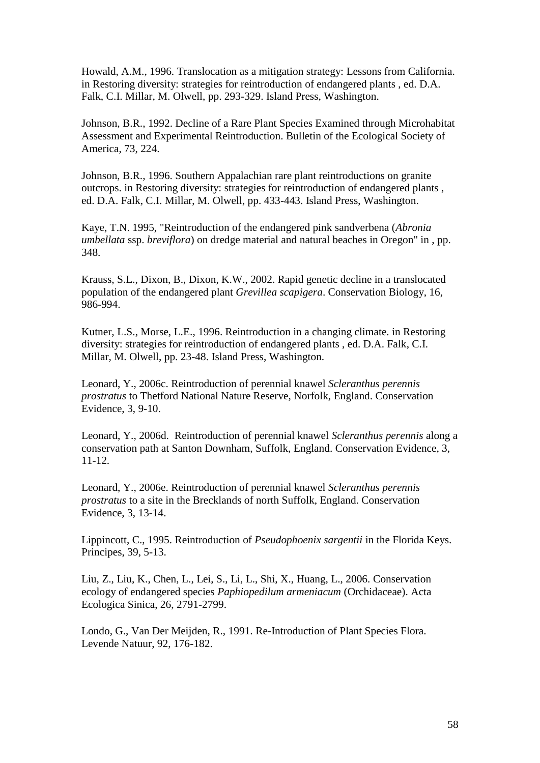Howald, A.M., 1996. Translocation as a mitigation strategy: Lessons from California. in Restoring diversity: strategies for reintroduction of endangered plants , ed. D.A. Falk, C.I. Millar, M. Olwell, pp. 293-329. Island Press, Washington.

Johnson, B.R., 1992. Decline of a Rare Plant Species Examined through Microhabitat Assessment and Experimental Reintroduction. Bulletin of the Ecological Society of America, 73, 224.

Johnson, B.R., 1996. Southern Appalachian rare plant reintroductions on granite outcrops. in Restoring diversity: strategies for reintroduction of endangered plants , ed. D.A. Falk, C.I. Millar, M. Olwell, pp. 433-443. Island Press, Washington.

Kaye, T.N. 1995, "Reintroduction of the endangered pink sandverbena (*Abronia umbellata* ssp. *breviflora*) on dredge material and natural beaches in Oregon" in , pp. 348.

Krauss, S.L., Dixon, B., Dixon, K.W., 2002. Rapid genetic decline in a translocated population of the endangered plant *Grevillea scapigera*. Conservation Biology, 16, 986-994.

Kutner, L.S., Morse, L.E., 1996. Reintroduction in a changing climate. in Restoring diversity: strategies for reintroduction of endangered plants , ed. D.A. Falk, C.I. Millar, M. Olwell, pp. 23-48. Island Press, Washington.

Leonard, Y., 2006c. Reintroduction of perennial knawel *Scleranthus perennis prostratus* to Thetford National Nature Reserve, Norfolk, England. Conservation Evidence, 3, 9-10.

Leonard, Y., 2006d. Reintroduction of perennial knawel *Scleranthus perennis* along a conservation path at Santon Downham, Suffolk, England. Conservation Evidence, 3, 11-12.

Leonard, Y., 2006e. Reintroduction of perennial knawel *Scleranthus perennis prostratus* to a site in the Brecklands of north Suffolk, England. Conservation Evidence, 3, 13-14.

Lippincott, C., 1995. Reintroduction of *Pseudophoenix sargentii* in the Florida Keys. Principes, 39, 5-13.

Liu, Z., Liu, K., Chen, L., Lei, S., Li, L., Shi, X., Huang, L., 2006. Conservation ecology of endangered species *Paphiopedilum armeniacum* (Orchidaceae). Acta Ecologica Sinica, 26, 2791-2799.

Londo, G., Van Der Meijden, R., 1991. Re-Introduction of Plant Species Flora. Levende Natuur, 92, 176-182.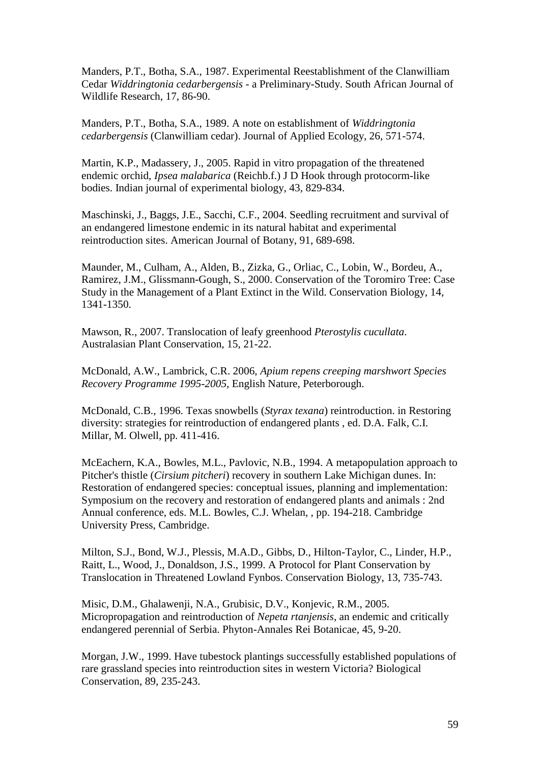Manders, P.T., Botha, S.A., 1987. Experimental Reestablishment of the Clanwilliam Cedar *Widdringtonia cedarbergensis* - a Preliminary-Study. South African Journal of Wildlife Research, 17, 86-90.

Manders, P.T., Botha, S.A., 1989. A note on establishment of *Widdringtonia cedarbergensis* (Clanwilliam cedar). Journal of Applied Ecology, 26, 571-574.

Martin, K.P., Madassery, J., 2005. Rapid in vitro propagation of the threatened endemic orchid, *Ipsea malabarica* (Reichb.f.) J D Hook through protocorm-like bodies. Indian journal of experimental biology, 43, 829-834.

Maschinski, J., Baggs, J.E., Sacchi, C.F., 2004. Seedling recruitment and survival of an endangered limestone endemic in its natural habitat and experimental reintroduction sites. American Journal of Botany, 91, 689-698.

Maunder, M., Culham, A., Alden, B., Zizka, G., Orliac, C., Lobin, W., Bordeu, A., Ramirez, J.M., Glissmann-Gough, S., 2000. Conservation of the Toromiro Tree: Case Study in the Management of a Plant Extinct in the Wild. Conservation Biology, 14, 1341-1350.

Mawson, R., 2007. Translocation of leafy greenhood *Pterostylis cucullata*. Australasian Plant Conservation, 15, 21-22.

McDonald, A.W., Lambrick, C.R. 2006, *Apium repens creeping marshwort Species Recovery Programme 1995-2005*, English Nature, Peterborough.

McDonald, C.B., 1996. Texas snowbells (*Styrax texana*) reintroduction. in Restoring diversity: strategies for reintroduction of endangered plants , ed. D.A. Falk, C.I. Millar, M. Olwell, pp. 411-416.

McEachern, K.A., Bowles, M.L., Pavlovic, N.B., 1994. A metapopulation approach to Pitcher's thistle (*Cirsium pitcheri*) recovery in southern Lake Michigan dunes. In: Restoration of endangered species: conceptual issues, planning and implementation: Symposium on the recovery and restoration of endangered plants and animals : 2nd Annual conference, eds. M.L. Bowles, C.J. Whelan, , pp. 194-218. Cambridge University Press, Cambridge.

Milton, S.J., Bond, W.J., Plessis, M.A.D., Gibbs, D., Hilton-Taylor, C., Linder, H.P., Raitt, L., Wood, J., Donaldson, J.S., 1999. A Protocol for Plant Conservation by Translocation in Threatened Lowland Fynbos. Conservation Biology, 13, 735-743.

Misic, D.M., Ghalawenji, N.A., Grubisic, D.V., Konjevic, R.M., 2005. Micropropagation and reintroduction of *Nepeta rtanjensis*, an endemic and critically endangered perennial of Serbia. Phyton-Annales Rei Botanicae, 45, 9-20.

Morgan, J.W., 1999. Have tubestock plantings successfully established populations of rare grassland species into reintroduction sites in western Victoria? Biological Conservation, 89, 235-243.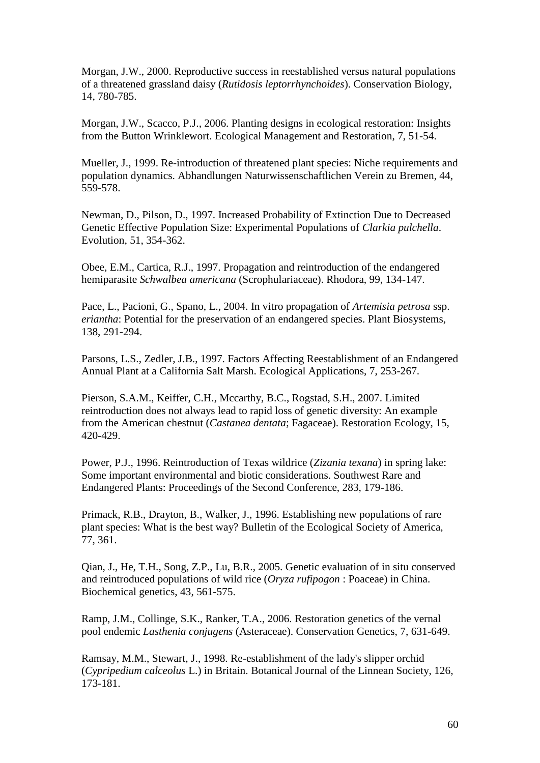Morgan, J.W., 2000. Reproductive success in reestablished versus natural populations of a threatened grassland daisy (*Rutidosis leptorrhynchoides*). Conservation Biology, 14, 780-785.

Morgan, J.W., Scacco, P.J., 2006. Planting designs in ecological restoration: Insights from the Button Wrinklewort. Ecological Management and Restoration, 7, 51-54.

Mueller, J., 1999. Re-introduction of threatened plant species: Niche requirements and population dynamics. Abhandlungen Naturwissenschaftlichen Verein zu Bremen, 44, 559-578.

Newman, D., Pilson, D., 1997. Increased Probability of Extinction Due to Decreased Genetic Effective Population Size: Experimental Populations of *Clarkia pulchella*. Evolution, 51, 354-362.

Obee, E.M., Cartica, R.J., 1997. Propagation and reintroduction of the endangered hemiparasite *Schwalbea americana* (Scrophulariaceae). Rhodora, 99, 134-147.

Pace, L., Pacioni, G., Spano, L., 2004. In vitro propagation of *Artemisia petrosa* ssp. *eriantha*: Potential for the preservation of an endangered species. Plant Biosystems, 138, 291-294.

Parsons, L.S., Zedler, J.B., 1997. Factors Affecting Reestablishment of an Endangered Annual Plant at a California Salt Marsh. Ecological Applications, 7, 253-267.

Pierson, S.A.M., Keiffer, C.H., Mccarthy, B.C., Rogstad, S.H., 2007. Limited reintroduction does not always lead to rapid loss of genetic diversity: An example from the American chestnut (*Castanea dentata*; Fagaceae). Restoration Ecology, 15, 420-429.

Power, P.J., 1996. Reintroduction of Texas wildrice (*Zizania texana*) in spring lake: Some important environmental and biotic considerations. Southwest Rare and Endangered Plants: Proceedings of the Second Conference, 283, 179-186.

Primack, R.B., Drayton, B., Walker, J., 1996. Establishing new populations of rare plant species: What is the best way? Bulletin of the Ecological Society of America, 77, 361.

Qian, J., He, T.H., Song, Z.P., Lu, B.R., 2005. Genetic evaluation of in situ conserved and reintroduced populations of wild rice (*Oryza rufipogon* : Poaceae) in China. Biochemical genetics, 43, 561-575.

Ramp, J.M., Collinge, S.K., Ranker, T.A., 2006. Restoration genetics of the vernal pool endemic *Lasthenia conjugens* (Asteraceae). Conservation Genetics, 7, 631-649.

Ramsay, M.M., Stewart, J., 1998. Re-establishment of the lady's slipper orchid (*Cypripedium calceolus* L.) in Britain. Botanical Journal of the Linnean Society, 126, 173-181.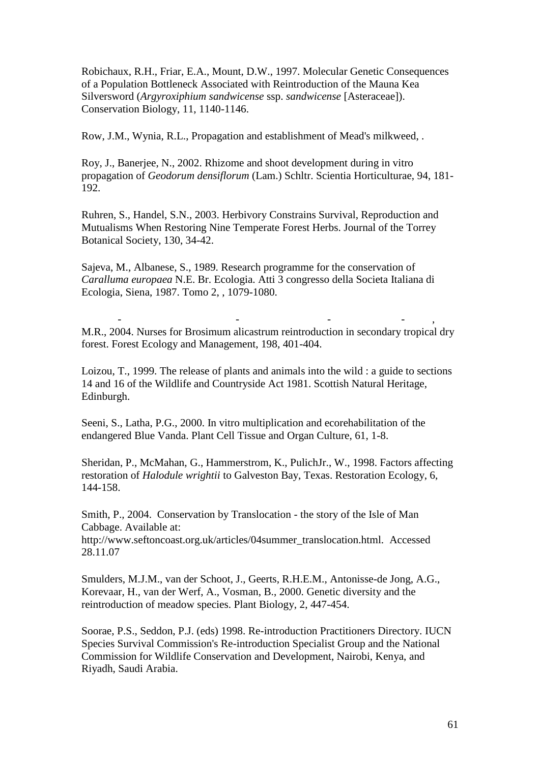Robichaux, R.H., Friar, E.A., Mount, D.W., 1997. Molecular Genetic Consequences of a Population Bottleneck Associated with Reintroduction of the Mauna Kea Silversword (*Argyroxiphium sandwicense* ssp. *sandwicense* [Asteraceae]). Conservation Biology, 11, 1140-1146.

Row, J.M., Wynia, R.L., Propagation and establishment of Mead's milkweed, .

Roy, J., Banerjee, N., 2002. Rhizome and shoot development during in vitro propagation of *Geodorum densiflorum* (Lam.) Schltr. Scientia Horticulturae, 94, 181- 192.

Ruhren, S., Handel, S.N., 2003. Herbivory Constrains Survival, Reproduction and Mutualisms When Restoring Nine Temperate Forest Herbs. Journal of the Torrey Botanical Society, 130, 34-42.

Sajeva, M., Albanese, S., 1989. Research programme for the conservation of *Caralluma europaea* N.E. Br. Ecologia. Atti 3 congresso della Societa Italiana di Ecologia, Siena, 1987. Tomo 2, , 1079-1080.

- - - - , M.R., 2004. Nurses for Brosimum alicastrum reintroduction in secondary tropical dry forest. Forest Ecology and Management, 198, 401-404.

Loizou, T., 1999. The release of plants and animals into the wild : a guide to sections 14 and 16 of the Wildlife and Countryside Act 1981. Scottish Natural Heritage, Edinburgh.

Seeni, S., Latha, P.G., 2000. In vitro multiplication and ecorehabilitation of the endangered Blue Vanda. Plant Cell Tissue and Organ Culture, 61, 1-8.

Sheridan, P., McMahan, G., Hammerstrom, K., PulichJr., W., 1998. Factors affecting restoration of *Halodule wrightii* to Galveston Bay, Texas. Restoration Ecology, 6, 144-158.

Smith, P.*,* 2004. Conservation by Translocation - the story of the Isle of Man Cabbage. Available at:

http://www.seftoncoast.org.uk/articles/04summer\_translocation.html. Accessed 28.11.07

Smulders, M.J.M., van der Schoot, J., Geerts, R.H.E.M., Antonisse-de Jong, A.G., Korevaar, H., van der Werf, A., Vosman, B., 2000. Genetic diversity and the reintroduction of meadow species. Plant Biology, 2, 447-454.

Soorae, P.S., Seddon, P.J. (eds) 1998. Re-introduction Practitioners Directory. IUCN Species Survival Commission's Re-introduction Specialist Group and the National Commission for Wildlife Conservation and Development, Nairobi, Kenya, and Riyadh, Saudi Arabia.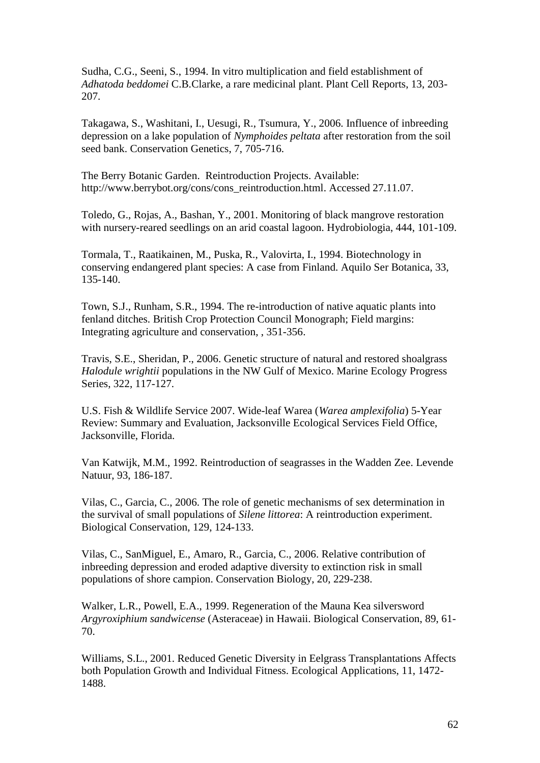Sudha, C.G., Seeni, S., 1994. In vitro multiplication and field establishment of *Adhatoda beddomei* C.B.Clarke, a rare medicinal plant. Plant Cell Reports, 13, 203- 207.

Takagawa, S., Washitani, I., Uesugi, R., Tsumura, Y., 2006. Influence of inbreeding depression on a lake population of *Nymphoides peltata* after restoration from the soil seed bank. Conservation Genetics, 7, 705-716.

The Berry Botanic Garden. Reintroduction Projects. Available: http://www.berrybot.org/cons/cons\_reintroduction.html. Accessed 27.11.07.

Toledo, G., Rojas, A., Bashan, Y., 2001. Monitoring of black mangrove restoration with nursery-reared seedlings on an arid coastal lagoon. Hydrobiologia, 444, 101-109.

Tormala, T., Raatikainen, M., Puska, R., Valovirta, I., 1994. Biotechnology in conserving endangered plant species: A case from Finland. Aquilo Ser Botanica, 33, 135-140.

Town, S.J., Runham, S.R., 1994. The re-introduction of native aquatic plants into fenland ditches. British Crop Protection Council Monograph; Field margins: Integrating agriculture and conservation, , 351-356.

Travis, S.E., Sheridan, P., 2006. Genetic structure of natural and restored shoalgrass *Halodule wrightii* populations in the NW Gulf of Mexico. Marine Ecology Progress Series, 322, 117-127.

U.S. Fish & Wildlife Service 2007. Wide-leaf Warea (*Warea amplexifolia*) 5-Year Review: Summary and Evaluation, Jacksonville Ecological Services Field Office, Jacksonville, Florida.

Van Katwijk, M.M., 1992. Reintroduction of seagrasses in the Wadden Zee. Levende Natuur, 93, 186-187.

Vilas, C., Garcia, C., 2006. The role of genetic mechanisms of sex determination in the survival of small populations of *Silene littorea*: A reintroduction experiment. Biological Conservation, 129, 124-133.

Vilas, C., SanMiguel, E., Amaro, R., Garcia, C., 2006. Relative contribution of inbreeding depression and eroded adaptive diversity to extinction risk in small populations of shore campion. Conservation Biology, 20, 229-238.

Walker, L.R., Powell, E.A., 1999. Regeneration of the Mauna Kea silversword *Argyroxiphium sandwicense* (Asteraceae) in Hawaii. Biological Conservation, 89, 61- 70.

Williams, S.L., 2001. Reduced Genetic Diversity in Eelgrass Transplantations Affects both Population Growth and Individual Fitness. Ecological Applications, 11, 1472- 1488.